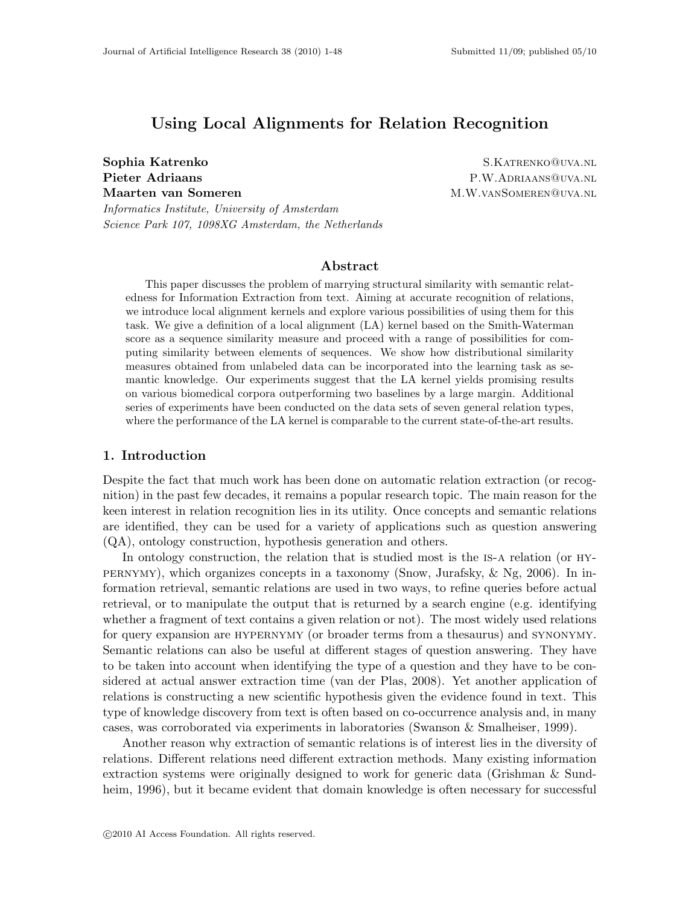# Using Local Alignments for Relation Recognition

Informatics Institute, University of Amsterdam Science Park 107, 1098XG Amsterdam, the Netherlands

Sophia Katrenko S.KATRENKO@UVA.NL Pieter Adriaans P.W.ADRIAANS QUVA.NL Maarten van Someren Maarten M.W.VANSOMEREN WALLEN.

# Abstract

This paper discusses the problem of marrying structural similarity with semantic relatedness for Information Extraction from text. Aiming at accurate recognition of relations, we introduce local alignment kernels and explore various possibilities of using them for this task. We give a definition of a local alignment (LA) kernel based on the Smith-Waterman score as a sequence similarity measure and proceed with a range of possibilities for computing similarity between elements of sequences. We show how distributional similarity measures obtained from unlabeled data can be incorporated into the learning task as semantic knowledge. Our experiments suggest that the LA kernel yields promising results on various biomedical corpora outperforming two baselines by a large margin. Additional series of experiments have been conducted on the data sets of seven general relation types, where the performance of the LA kernel is comparable to the current state-of-the-art results.

# 1. Introduction

Despite the fact that much work has been done on automatic relation extraction (or recognition) in the past few decades, it remains a popular research topic. The main reason for the keen interest in relation recognition lies in its utility. Once concepts and semantic relations are identified, they can be used for a variety of applications such as question answering (QA), ontology construction, hypothesis generation and others.

In ontology construction, the relation that is studied most is the IS-A relation (or HYpernymy), which organizes concepts in a taxonomy (Snow, Jurafsky, & Ng, 2006). In information retrieval, semantic relations are used in two ways, to refine queries before actual retrieval, or to manipulate the output that is returned by a search engine (e.g. identifying whether a fragment of text contains a given relation or not). The most widely used relations for query expansion are HYPERNYMY (or broader terms from a thesaurus) and SYNONYMY. Semantic relations can also be useful at different stages of question answering. They have to be taken into account when identifying the type of a question and they have to be considered at actual answer extraction time (van der Plas, 2008). Yet another application of relations is constructing a new scientific hypothesis given the evidence found in text. This type of knowledge discovery from text is often based on co-occurrence analysis and, in many cases, was corroborated via experiments in laboratories (Swanson & Smalheiser, 1999).

Another reason why extraction of semantic relations is of interest lies in the diversity of relations. Different relations need different extraction methods. Many existing information extraction systems were originally designed to work for generic data (Grishman & Sundheim, 1996), but it became evident that domain knowledge is often necessary for successful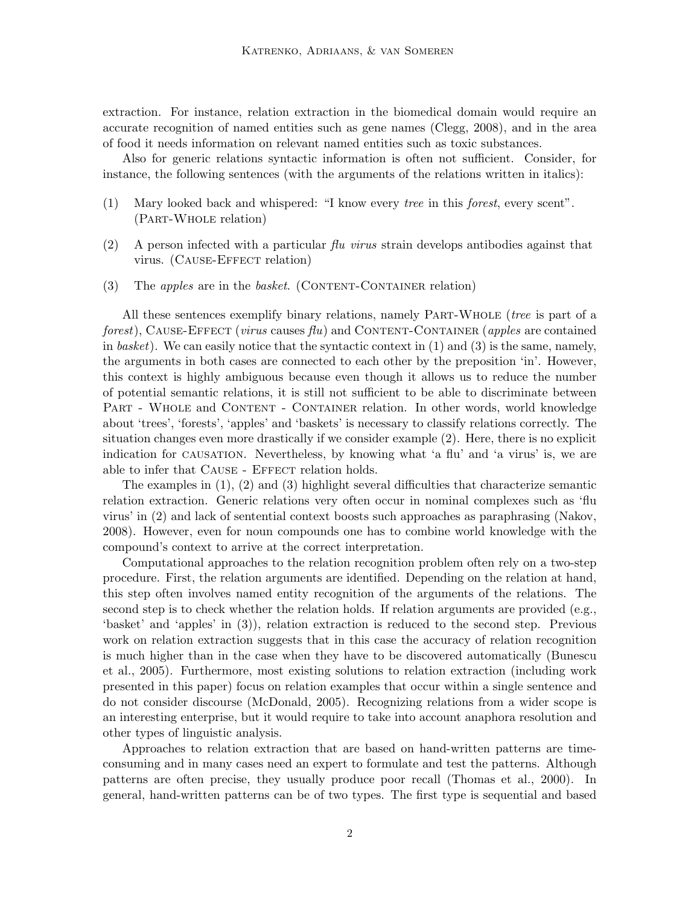extraction. For instance, relation extraction in the biomedical domain would require an accurate recognition of named entities such as gene names (Clegg, 2008), and in the area of food it needs information on relevant named entities such as toxic substances.

Also for generic relations syntactic information is often not sufficient. Consider, for instance, the following sentences (with the arguments of the relations written in italics):

- (1) Mary looked back and whispered: "I know every tree in this forest, every scent". (Part-Whole relation)
- (2) A person infected with a particular  $flu$  virus strain develops antibodies against that virus. (CAUSE-EFFECT relation)
- (3) The *apples* are in the *basket.* (CONTENT-CONTAINER relation)

All these sentences exemplify binary relations, namely Part-Whole (tree is part of a forest), CAUSE-EFFECT (virus causes  $flu$ ) and CONTENT-CONTAINER (apples are contained in basket). We can easily notice that the syntactic context in  $(1)$  and  $(3)$  is the same, namely, the arguments in both cases are connected to each other by the preposition 'in'. However, this context is highly ambiguous because even though it allows us to reduce the number of potential semantic relations, it is still not sufficient to be able to discriminate between PART - WHOLE and CONTENT - CONTAINER relation. In other words, world knowledge about 'trees', 'forests', 'apples' and 'baskets' is necessary to classify relations correctly. The situation changes even more drastically if we consider example (2). Here, there is no explicit indication for causation. Nevertheless, by knowing what 'a flu' and 'a virus' is, we are able to infer that CAUSE - EFFECT relation holds.

The examples in (1), (2) and (3) highlight several difficulties that characterize semantic relation extraction. Generic relations very often occur in nominal complexes such as 'flu virus' in (2) and lack of sentential context boosts such approaches as paraphrasing (Nakov, 2008). However, even for noun compounds one has to combine world knowledge with the compound's context to arrive at the correct interpretation.

Computational approaches to the relation recognition problem often rely on a two-step procedure. First, the relation arguments are identified. Depending on the relation at hand, this step often involves named entity recognition of the arguments of the relations. The second step is to check whether the relation holds. If relation arguments are provided (e.g., 'basket' and 'apples' in (3)), relation extraction is reduced to the second step. Previous work on relation extraction suggests that in this case the accuracy of relation recognition is much higher than in the case when they have to be discovered automatically (Bunescu et al., 2005). Furthermore, most existing solutions to relation extraction (including work presented in this paper) focus on relation examples that occur within a single sentence and do not consider discourse (McDonald, 2005). Recognizing relations from a wider scope is an interesting enterprise, but it would require to take into account anaphora resolution and other types of linguistic analysis.

Approaches to relation extraction that are based on hand-written patterns are timeconsuming and in many cases need an expert to formulate and test the patterns. Although patterns are often precise, they usually produce poor recall (Thomas et al., 2000). In general, hand-written patterns can be of two types. The first type is sequential and based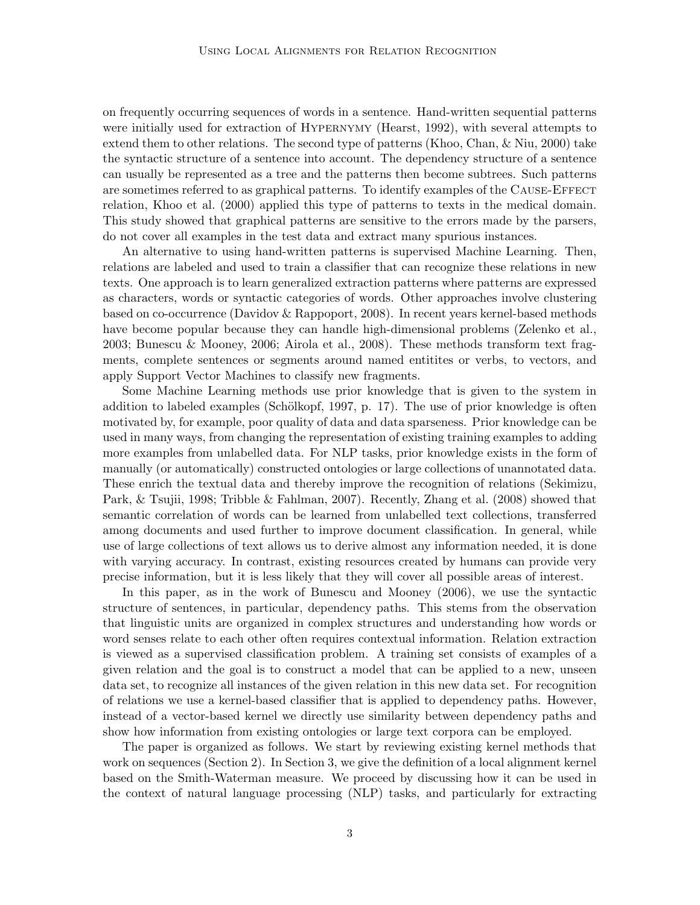on frequently occurring sequences of words in a sentence. Hand-written sequential patterns were initially used for extraction of Hypernymy (Hearst, 1992), with several attempts to extend them to other relations. The second type of patterns (Khoo, Chan, & Niu, 2000) take the syntactic structure of a sentence into account. The dependency structure of a sentence can usually be represented as a tree and the patterns then become subtrees. Such patterns are sometimes referred to as graphical patterns. To identify examples of the CAUSE-EFFECT relation, Khoo et al. (2000) applied this type of patterns to texts in the medical domain. This study showed that graphical patterns are sensitive to the errors made by the parsers, do not cover all examples in the test data and extract many spurious instances.

An alternative to using hand-written patterns is supervised Machine Learning. Then, relations are labeled and used to train a classifier that can recognize these relations in new texts. One approach is to learn generalized extraction patterns where patterns are expressed as characters, words or syntactic categories of words. Other approaches involve clustering based on co-occurrence (Davidov & Rappoport, 2008). In recent years kernel-based methods have become popular because they can handle high-dimensional problems (Zelenko et al., 2003; Bunescu & Mooney, 2006; Airola et al., 2008). These methods transform text fragments, complete sentences or segments around named entitites or verbs, to vectors, and apply Support Vector Machines to classify new fragments.

Some Machine Learning methods use prior knowledge that is given to the system in addition to labeled examples (Schölkopf, 1997, p. 17). The use of prior knowledge is often motivated by, for example, poor quality of data and data sparseness. Prior knowledge can be used in many ways, from changing the representation of existing training examples to adding more examples from unlabelled data. For NLP tasks, prior knowledge exists in the form of manually (or automatically) constructed ontologies or large collections of unannotated data. These enrich the textual data and thereby improve the recognition of relations (Sekimizu, Park, & Tsujii, 1998; Tribble & Fahlman, 2007). Recently, Zhang et al. (2008) showed that semantic correlation of words can be learned from unlabelled text collections, transferred among documents and used further to improve document classification. In general, while use of large collections of text allows us to derive almost any information needed, it is done with varying accuracy. In contrast, existing resources created by humans can provide very precise information, but it is less likely that they will cover all possible areas of interest.

In this paper, as in the work of Bunescu and Mooney (2006), we use the syntactic structure of sentences, in particular, dependency paths. This stems from the observation that linguistic units are organized in complex structures and understanding how words or word senses relate to each other often requires contextual information. Relation extraction is viewed as a supervised classification problem. A training set consists of examples of a given relation and the goal is to construct a model that can be applied to a new, unseen data set, to recognize all instances of the given relation in this new data set. For recognition of relations we use a kernel-based classifier that is applied to dependency paths. However, instead of a vector-based kernel we directly use similarity between dependency paths and show how information from existing ontologies or large text corpora can be employed.

The paper is organized as follows. We start by reviewing existing kernel methods that work on sequences (Section 2). In Section 3, we give the definition of a local alignment kernel based on the Smith-Waterman measure. We proceed by discussing how it can be used in the context of natural language processing (NLP) tasks, and particularly for extracting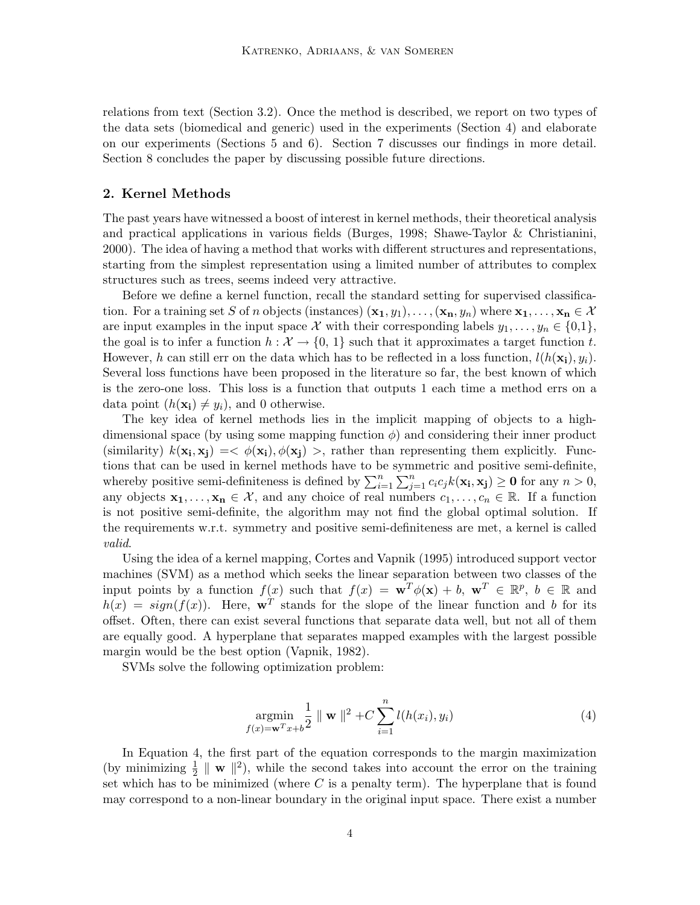relations from text (Section 3.2). Once the method is described, we report on two types of the data sets (biomedical and generic) used in the experiments (Section 4) and elaborate on our experiments (Sections 5 and 6). Section 7 discusses our findings in more detail. Section 8 concludes the paper by discussing possible future directions.

### 2. Kernel Methods

The past years have witnessed a boost of interest in kernel methods, their theoretical analysis and practical applications in various fields (Burges, 1998; Shawe-Taylor & Christianini, 2000). The idea of having a method that works with different structures and representations, starting from the simplest representation using a limited number of attributes to complex structures such as trees, seems indeed very attractive.

Before we define a kernel function, recall the standard setting for supervised classification. For a training set S of n objects (instances)  $(\mathbf{x}_1, y_1), \ldots, (\mathbf{x}_n, y_n)$  where  $\mathbf{x}_1, \ldots, \mathbf{x}_n \in \mathcal{X}$ are input examples in the input space X with their corresponding labels  $y_1, \ldots, y_n \in \{0,1\}$ , the goal is to infer a function  $h : \mathcal{X} \to \{0, 1\}$  such that it approximates a target function t. However, h can still err on the data which has to be reflected in a loss function,  $l(h(\mathbf{x_i}), y_i)$ . Several loss functions have been proposed in the literature so far, the best known of which is the zero-one loss. This loss is a function that outputs 1 each time a method errs on a data point  $(h(\mathbf{x_i}) \neq y_i)$ , and 0 otherwise.

The key idea of kernel methods lies in the implicit mapping of objects to a highdimensional space (by using some mapping function  $\phi$ ) and considering their inner product (similarity)  $k(\mathbf{x_i}, \mathbf{x_j}) = \langle \phi(\mathbf{x_i}), \phi(\mathbf{x_j}) \rangle$ , rather than representing them explicitly. Functions that can be used in kernel methods have to be symmetric and positive semi-definite, whereby positive semi-definiteness is defined by  $\sum_{i=1}^{n} \sum_{j=1}^{n} c_i c_j k(\mathbf{x_i}, \mathbf{x_j}) \geq 0$  for any  $n > 0$ , any objects  $x_1, \ldots, x_n \in \mathcal{X}$ , and any choice of real numbers  $c_1, \ldots, c_n \in \mathbb{R}$ . If a function is not positive semi-definite, the algorithm may not find the global optimal solution. If the requirements w.r.t. symmetry and positive semi-definiteness are met, a kernel is called valid.

Using the idea of a kernel mapping, Cortes and Vapnik (1995) introduced support vector machines (SVM) as a method which seeks the linear separation between two classes of the input points by a function  $f(x)$  such that  $f(x) = \mathbf{w}^T \phi(\mathbf{x}) + b$ ,  $\mathbf{w}^T \in \mathbb{R}^p$ ,  $b \in \mathbb{R}$  and  $h(x) = sign(f(x))$ . Here, w<sup>T</sup> stands for the slope of the linear function and b for its offset. Often, there can exist several functions that separate data well, but not all of them are equally good. A hyperplane that separates mapped examples with the largest possible margin would be the best option (Vapnik, 1982).

SVMs solve the following optimization problem:

$$
\underset{f(x) = \mathbf{w}^T x + b}{\text{argmin}} \frac{1}{2} \parallel \mathbf{w} \parallel^2 + C \sum_{i=1}^n l(h(x_i), y_i)
$$
(4)

In Equation 4, the first part of the equation corresponds to the margin maximization (by minimizing  $\frac{1}{2} \parallel \mathbf{w} \parallel^2$ ), while the second takes into account the error on the training set which has to be minimized (where  $C$  is a penalty term). The hyperplane that is found may correspond to a non-linear boundary in the original input space. There exist a number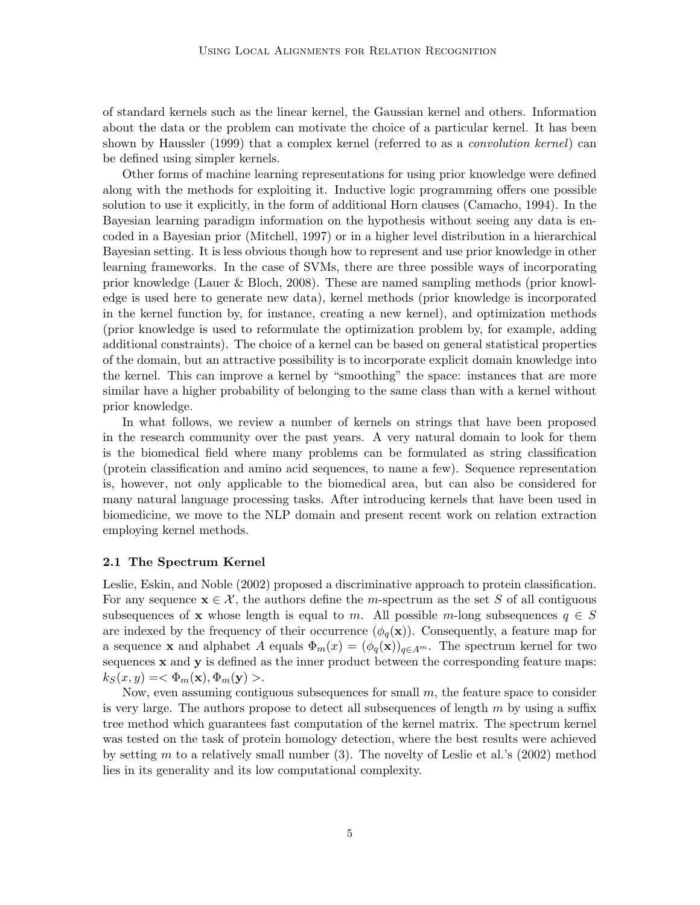of standard kernels such as the linear kernel, the Gaussian kernel and others. Information about the data or the problem can motivate the choice of a particular kernel. It has been shown by Haussler (1999) that a complex kernel (referred to as a *convolution kernel*) can be defined using simpler kernels.

Other forms of machine learning representations for using prior knowledge were defined along with the methods for exploiting it. Inductive logic programming offers one possible solution to use it explicitly, in the form of additional Horn clauses (Camacho, 1994). In the Bayesian learning paradigm information on the hypothesis without seeing any data is encoded in a Bayesian prior (Mitchell, 1997) or in a higher level distribution in a hierarchical Bayesian setting. It is less obvious though how to represent and use prior knowledge in other learning frameworks. In the case of SVMs, there are three possible ways of incorporating prior knowledge (Lauer & Bloch, 2008). These are named sampling methods (prior knowledge is used here to generate new data), kernel methods (prior knowledge is incorporated in the kernel function by, for instance, creating a new kernel), and optimization methods (prior knowledge is used to reformulate the optimization problem by, for example, adding additional constraints). The choice of a kernel can be based on general statistical properties of the domain, but an attractive possibility is to incorporate explicit domain knowledge into the kernel. This can improve a kernel by "smoothing" the space: instances that are more similar have a higher probability of belonging to the same class than with a kernel without prior knowledge.

In what follows, we review a number of kernels on strings that have been proposed in the research community over the past years. A very natural domain to look for them is the biomedical field where many problems can be formulated as string classification (protein classification and amino acid sequences, to name a few). Sequence representation is, however, not only applicable to the biomedical area, but can also be considered for many natural language processing tasks. After introducing kernels that have been used in biomedicine, we move to the NLP domain and present recent work on relation extraction employing kernel methods.

### 2.1 The Spectrum Kernel

Leslie, Eskin, and Noble (2002) proposed a discriminative approach to protein classification. For any sequence  $\mathbf{x} \in \mathcal{X}$ , the authors define the *m*-spectrum as the set S of all contiguous subsequences of x whose length is equal to m. All possible m-long subsequences  $q \in S$ are indexed by the frequency of their occurrence  $(\phi_q(\mathbf{x}))$ . Consequently, a feature map for a sequence **x** and alphabet A equals  $\Phi_m(x) = (\phi_q(\mathbf{x}))_{q \in A^m}$ . The spectrum kernel for two sequences  $x$  and  $y$  is defined as the inner product between the corresponding feature maps:  $k_S(x, y) = \langle \Phi_m(\mathbf{x}), \Phi_m(\mathbf{y}) \rangle.$ 

Now, even assuming contiguous subsequences for small  $m$ , the feature space to consider is very large. The authors propose to detect all subsequences of length  $m$  by using a suffix tree method which guarantees fast computation of the kernel matrix. The spectrum kernel was tested on the task of protein homology detection, where the best results were achieved by setting m to a relatively small number  $(3)$ . The novelty of Leslie et al.'s  $(2002)$  method lies in its generality and its low computational complexity.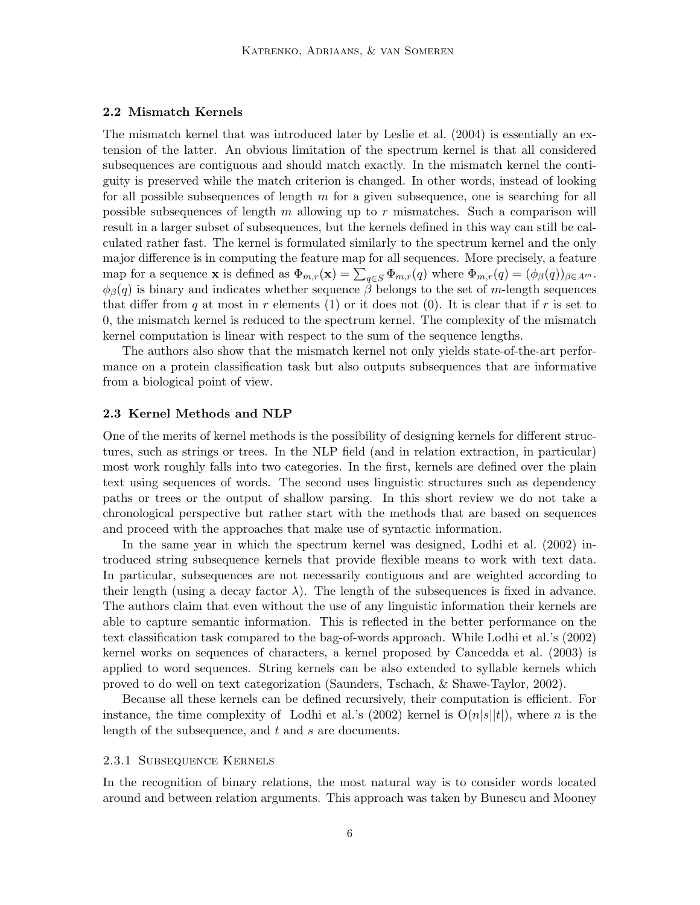### 2.2 Mismatch Kernels

The mismatch kernel that was introduced later by Leslie et al. (2004) is essentially an extension of the latter. An obvious limitation of the spectrum kernel is that all considered subsequences are contiguous and should match exactly. In the mismatch kernel the contiguity is preserved while the match criterion is changed. In other words, instead of looking for all possible subsequences of length  $m$  for a given subsequence, one is searching for all possible subsequences of length  $m$  allowing up to  $r$  mismatches. Such a comparison will result in a larger subset of subsequences, but the kernels defined in this way can still be calculated rather fast. The kernel is formulated similarly to the spectrum kernel and the only major difference is in computing the feature map for all sequences. More precisely, a feature map for a sequence **x** is defined as  $\Phi_{m,r}(\mathbf{x}) = \sum_{q \in S} \Phi_{m,r}(q)$  where  $\Phi_{m,r}(q) = (\phi_{\beta}(q))_{\beta \in A^m}$ .  $\phi_{\beta}(q)$  is binary and indicates whether sequence  $\beta$  belongs to the set of m-length sequences that differ from q at most in r elements (1) or it does not (0). It is clear that if r is set to 0, the mismatch kernel is reduced to the spectrum kernel. The complexity of the mismatch kernel computation is linear with respect to the sum of the sequence lengths.

The authors also show that the mismatch kernel not only yields state-of-the-art performance on a protein classification task but also outputs subsequences that are informative from a biological point of view.

### 2.3 Kernel Methods and NLP

One of the merits of kernel methods is the possibility of designing kernels for different structures, such as strings or trees. In the NLP field (and in relation extraction, in particular) most work roughly falls into two categories. In the first, kernels are defined over the plain text using sequences of words. The second uses linguistic structures such as dependency paths or trees or the output of shallow parsing. In this short review we do not take a chronological perspective but rather start with the methods that are based on sequences and proceed with the approaches that make use of syntactic information.

In the same year in which the spectrum kernel was designed, Lodhi et al. (2002) introduced string subsequence kernels that provide flexible means to work with text data. In particular, subsequences are not necessarily contiguous and are weighted according to their length (using a decay factor  $\lambda$ ). The length of the subsequences is fixed in advance. The authors claim that even without the use of any linguistic information their kernels are able to capture semantic information. This is reflected in the better performance on the text classification task compared to the bag-of-words approach. While Lodhi et al.'s (2002) kernel works on sequences of characters, a kernel proposed by Cancedda et al. (2003) is applied to word sequences. String kernels can be also extended to syllable kernels which proved to do well on text categorization (Saunders, Tschach, & Shawe-Taylor, 2002).

Because all these kernels can be defined recursively, their computation is efficient. For instance, the time complexity of Lodhi et al.'s (2002) kernel is  $O(n|s||t)$ , where n is the length of the subsequence, and  $t$  and  $s$  are documents.

### 2.3.1 Subsequence Kernels

In the recognition of binary relations, the most natural way is to consider words located around and between relation arguments. This approach was taken by Bunescu and Mooney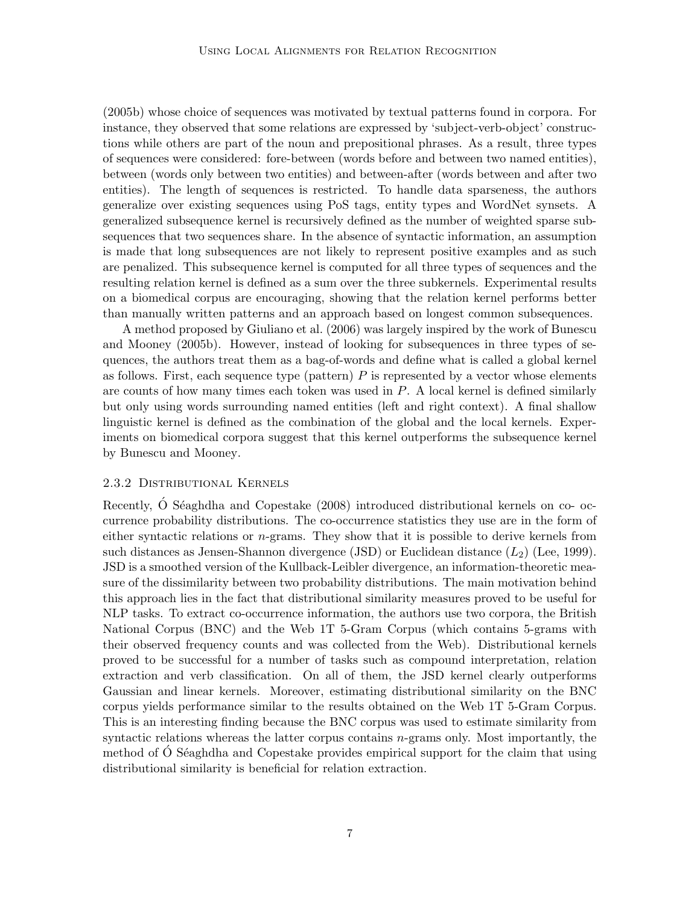(2005b) whose choice of sequences was motivated by textual patterns found in corpora. For instance, they observed that some relations are expressed by 'subject-verb-object' constructions while others are part of the noun and prepositional phrases. As a result, three types of sequences were considered: fore-between (words before and between two named entities), between (words only between two entities) and between-after (words between and after two entities). The length of sequences is restricted. To handle data sparseness, the authors generalize over existing sequences using PoS tags, entity types and WordNet synsets. A generalized subsequence kernel is recursively defined as the number of weighted sparse subsequences that two sequences share. In the absence of syntactic information, an assumption is made that long subsequences are not likely to represent positive examples and as such are penalized. This subsequence kernel is computed for all three types of sequences and the resulting relation kernel is defined as a sum over the three subkernels. Experimental results on a biomedical corpus are encouraging, showing that the relation kernel performs better than manually written patterns and an approach based on longest common subsequences.

A method proposed by Giuliano et al. (2006) was largely inspired by the work of Bunescu and Mooney (2005b). However, instead of looking for subsequences in three types of sequences, the authors treat them as a bag-of-words and define what is called a global kernel as follows. First, each sequence type (pattern)  $P$  is represented by a vector whose elements are counts of how many times each token was used in  $P$ . A local kernel is defined similarly but only using words surrounding named entities (left and right context). A final shallow linguistic kernel is defined as the combination of the global and the local kernels. Experiments on biomedical corpora suggest that this kernel outperforms the subsequence kernel by Bunescu and Mooney.

### 2.3.2 Distributional Kernels

Recently, O Séaghdha and Copestake (2008) introduced distributional kernels on co- occurrence probability distributions. The co-occurrence statistics they use are in the form of either syntactic relations or  $n$ -grams. They show that it is possible to derive kernels from such distances as Jensen-Shannon divergence (JSD) or Euclidean distance  $(L_2)$  (Lee, 1999). JSD is a smoothed version of the Kullback-Leibler divergence, an information-theoretic measure of the dissimilarity between two probability distributions. The main motivation behind this approach lies in the fact that distributional similarity measures proved to be useful for NLP tasks. To extract co-occurrence information, the authors use two corpora, the British National Corpus (BNC) and the Web 1T 5-Gram Corpus (which contains 5-grams with their observed frequency counts and was collected from the Web). Distributional kernels proved to be successful for a number of tasks such as compound interpretation, relation extraction and verb classification. On all of them, the JSD kernel clearly outperforms Gaussian and linear kernels. Moreover, estimating distributional similarity on the BNC corpus yields performance similar to the results obtained on the Web 1T 5-Gram Corpus. This is an interesting finding because the BNC corpus was used to estimate similarity from syntactic relations whereas the latter corpus contains  $n$ -grams only. Most importantly, the method of  $\dot{\text{O}}$  Séaghdha and Copestake provides empirical support for the claim that using distributional similarity is beneficial for relation extraction.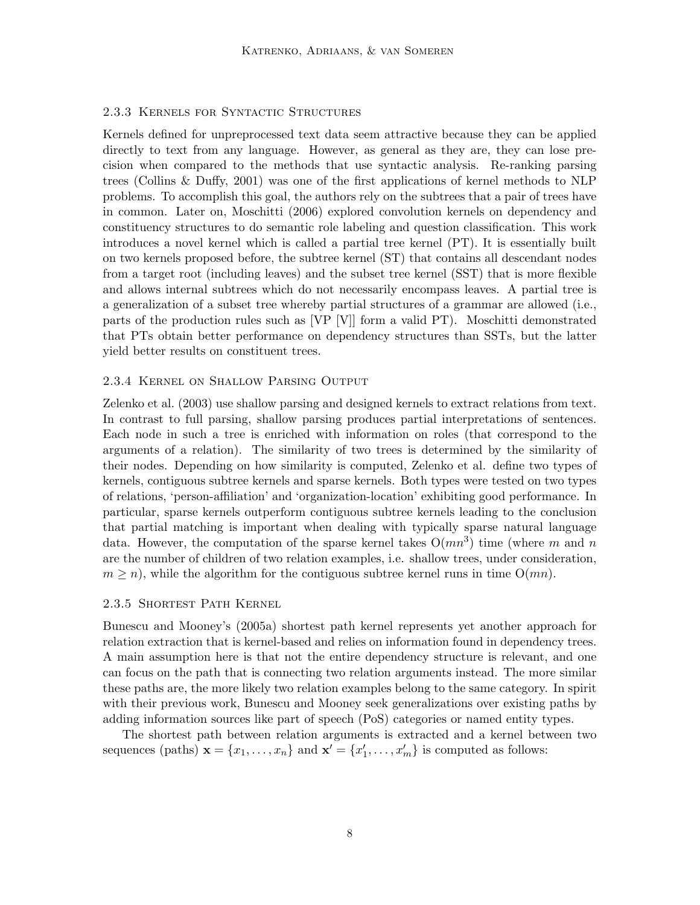# 2.3.3 Kernels for Syntactic Structures

Kernels defined for unpreprocessed text data seem attractive because they can be applied directly to text from any language. However, as general as they are, they can lose precision when compared to the methods that use syntactic analysis. Re-ranking parsing trees (Collins & Duffy, 2001) was one of the first applications of kernel methods to NLP problems. To accomplish this goal, the authors rely on the subtrees that a pair of trees have in common. Later on, Moschitti (2006) explored convolution kernels on dependency and constituency structures to do semantic role labeling and question classification. This work introduces a novel kernel which is called a partial tree kernel (PT). It is essentially built on two kernels proposed before, the subtree kernel (ST) that contains all descendant nodes from a target root (including leaves) and the subset tree kernel (SST) that is more flexible and allows internal subtrees which do not necessarily encompass leaves. A partial tree is a generalization of a subset tree whereby partial structures of a grammar are allowed (i.e., parts of the production rules such as [VP [V]] form a valid PT). Moschitti demonstrated that PTs obtain better performance on dependency structures than SSTs, but the latter yield better results on constituent trees.

#### 2.3.4 Kernel on Shallow Parsing Output

Zelenko et al. (2003) use shallow parsing and designed kernels to extract relations from text. In contrast to full parsing, shallow parsing produces partial interpretations of sentences. Each node in such a tree is enriched with information on roles (that correspond to the arguments of a relation). The similarity of two trees is determined by the similarity of their nodes. Depending on how similarity is computed, Zelenko et al. define two types of kernels, contiguous subtree kernels and sparse kernels. Both types were tested on two types of relations, 'person-affiliation' and 'organization-location' exhibiting good performance. In particular, sparse kernels outperform contiguous subtree kernels leading to the conclusion that partial matching is important when dealing with typically sparse natural language data. However, the computation of the sparse kernel takes  $O(mn^3)$  time (where m and n are the number of children of two relation examples, i.e. shallow trees, under consideration,  $m \geq n$ , while the algorithm for the contiguous subtree kernel runs in time  $O(mn)$ .

#### 2.3.5 Shortest Path Kernel

Bunescu and Mooney's (2005a) shortest path kernel represents yet another approach for relation extraction that is kernel-based and relies on information found in dependency trees. A main assumption here is that not the entire dependency structure is relevant, and one can focus on the path that is connecting two relation arguments instead. The more similar these paths are, the more likely two relation examples belong to the same category. In spirit with their previous work, Bunescu and Mooney seek generalizations over existing paths by adding information sources like part of speech (PoS) categories or named entity types.

The shortest path between relation arguments is extracted and a kernel between two sequences (paths)  $\mathbf{x} = \{x_1, \ldots, x_n\}$  and  $\mathbf{x}' = \{x'_1, \ldots, x'_m\}$  is computed as follows: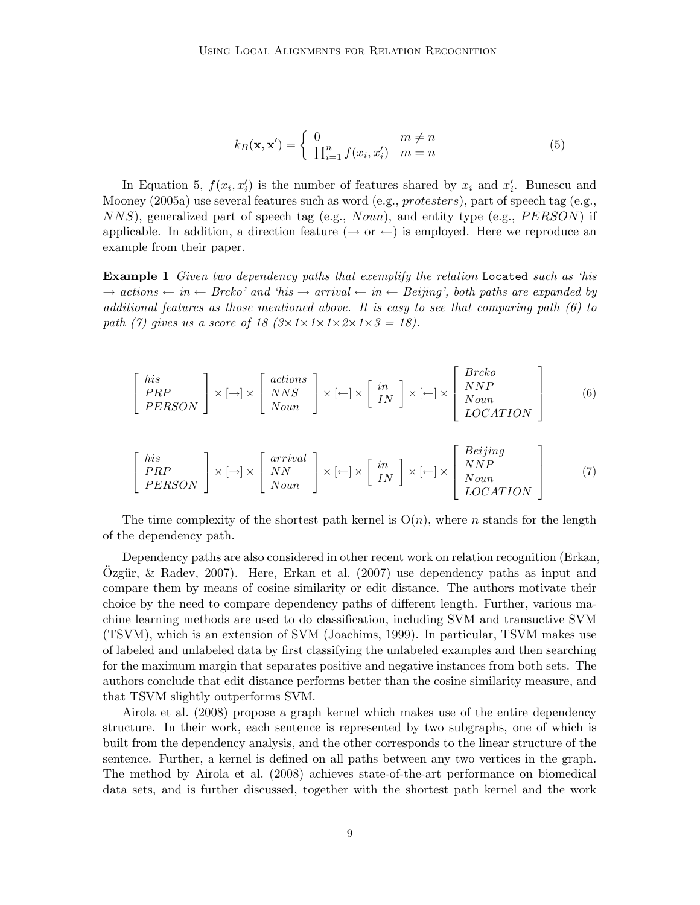$$
k_B(\mathbf{x}, \mathbf{x}') = \begin{cases} 0 & m \neq n \\ \prod_{i=1}^n f(x_i, x'_i) & m = n \end{cases}
$$
(5)

In Equation 5,  $f(x_i, x'_i)$  is the number of features shared by  $x_i$  and  $x'_i$ . Bunescu and Mooney (2005a) use several features such as word (e.g.,  $protesters$ ), part of speech tag (e.g.,  $NNS$ , generalized part of speech tag (e.g.,  $Noun$ ), and entity type (e.g.,  $PERSON$ ) if applicable. In addition, a direction feature  $(\rightarrow$  or  $\leftarrow$ ) is employed. Here we reproduce an example from their paper.

**Example 1** Given two dependency paths that exemplify the relation Located such as 'his  $\rightarrow$  actions  $\leftarrow$  in  $\leftarrow$  Brcko' and 'his  $\rightarrow$  arrival  $\leftarrow$  in  $\leftarrow$  Beijing', both paths are expanded by additional features as those mentioned above. It is easy to see that comparing path  $(6)$  to path (7) gives us a score of 18  $(3 \times 1 \times 1 \times 2 \times 1 \times 3 = 18)$ .

$$
\begin{bmatrix} his \ PRP \\ PERSON \end{bmatrix} \times [\rightarrow] \times \begin{bmatrix} actions \\ NNS \\ Noun \end{bmatrix} \times [\leftarrow] \times \begin{bmatrix} in \\ IN \end{bmatrix} \times [\leftarrow] \times \begin{bmatrix} Breko \\ NNP \\ Noun \\ LOCATION \end{bmatrix}
$$
 (6)

$$
\begin{bmatrix} his \ PRP \\ PERSON \end{bmatrix} \times [\rightarrow] \times \begin{bmatrix} arrival \\ NN \\ Noun \end{bmatrix} \times [\leftarrow] \times \begin{bmatrix} in \\ IN \\ IN \end{bmatrix} \times [\leftarrow] \times \begin{bmatrix} Beijing \\ NNP \\ Noun \\ LOCATION \end{bmatrix}
$$
 (7)

The time complexity of the shortest path kernel is  $O(n)$ , where n stands for the length of the dependency path.

Dependency paths are also considered in other recent work on relation recognition (Erkan, Ozgür,  $\&$  Radev, 2007). Here, Erkan et al. (2007) use dependency paths as input and compare them by means of cosine similarity or edit distance. The authors motivate their choice by the need to compare dependency paths of different length. Further, various machine learning methods are used to do classification, including SVM and transuctive SVM (TSVM), which is an extension of SVM (Joachims, 1999). In particular, TSVM makes use of labeled and unlabeled data by first classifying the unlabeled examples and then searching for the maximum margin that separates positive and negative instances from both sets. The authors conclude that edit distance performs better than the cosine similarity measure, and that TSVM slightly outperforms SVM.

Airola et al. (2008) propose a graph kernel which makes use of the entire dependency structure. In their work, each sentence is represented by two subgraphs, one of which is built from the dependency analysis, and the other corresponds to the linear structure of the sentence. Further, a kernel is defined on all paths between any two vertices in the graph. The method by Airola et al. (2008) achieves state-of-the-art performance on biomedical data sets, and is further discussed, together with the shortest path kernel and the work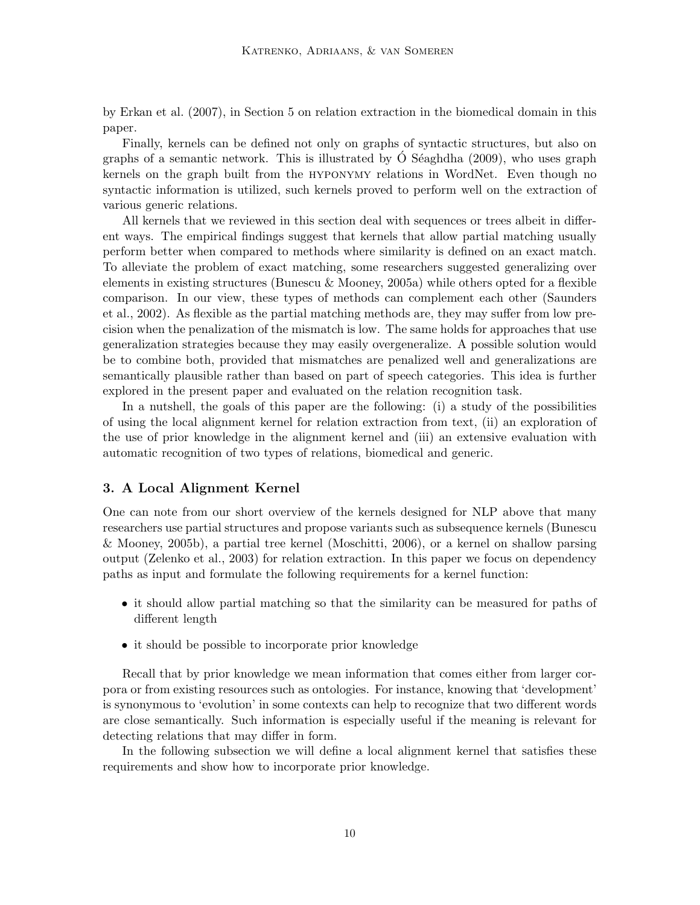by Erkan et al. (2007), in Section 5 on relation extraction in the biomedical domain in this paper.

Finally, kernels can be defined not only on graphs of syntactic structures, but also on graphs of a semantic network. This is illustrated by  $\acute{O}$  Séaghdha (2009), who uses graph kernels on the graph built from the hyponymy relations in WordNet. Even though no syntactic information is utilized, such kernels proved to perform well on the extraction of various generic relations.

All kernels that we reviewed in this section deal with sequences or trees albeit in different ways. The empirical findings suggest that kernels that allow partial matching usually perform better when compared to methods where similarity is defined on an exact match. To alleviate the problem of exact matching, some researchers suggested generalizing over elements in existing structures (Bunescu & Mooney, 2005a) while others opted for a flexible comparison. In our view, these types of methods can complement each other (Saunders et al., 2002). As flexible as the partial matching methods are, they may suffer from low precision when the penalization of the mismatch is low. The same holds for approaches that use generalization strategies because they may easily overgeneralize. A possible solution would be to combine both, provided that mismatches are penalized well and generalizations are semantically plausible rather than based on part of speech categories. This idea is further explored in the present paper and evaluated on the relation recognition task.

In a nutshell, the goals of this paper are the following: (i) a study of the possibilities of using the local alignment kernel for relation extraction from text, (ii) an exploration of the use of prior knowledge in the alignment kernel and (iii) an extensive evaluation with automatic recognition of two types of relations, biomedical and generic.

# 3. A Local Alignment Kernel

One can note from our short overview of the kernels designed for NLP above that many researchers use partial structures and propose variants such as subsequence kernels (Bunescu & Mooney, 2005b), a partial tree kernel (Moschitti, 2006), or a kernel on shallow parsing output (Zelenko et al., 2003) for relation extraction. In this paper we focus on dependency paths as input and formulate the following requirements for a kernel function:

- it should allow partial matching so that the similarity can be measured for paths of different length
- it should be possible to incorporate prior knowledge

Recall that by prior knowledge we mean information that comes either from larger corpora or from existing resources such as ontologies. For instance, knowing that 'development' is synonymous to 'evolution' in some contexts can help to recognize that two different words are close semantically. Such information is especially useful if the meaning is relevant for detecting relations that may differ in form.

In the following subsection we will define a local alignment kernel that satisfies these requirements and show how to incorporate prior knowledge.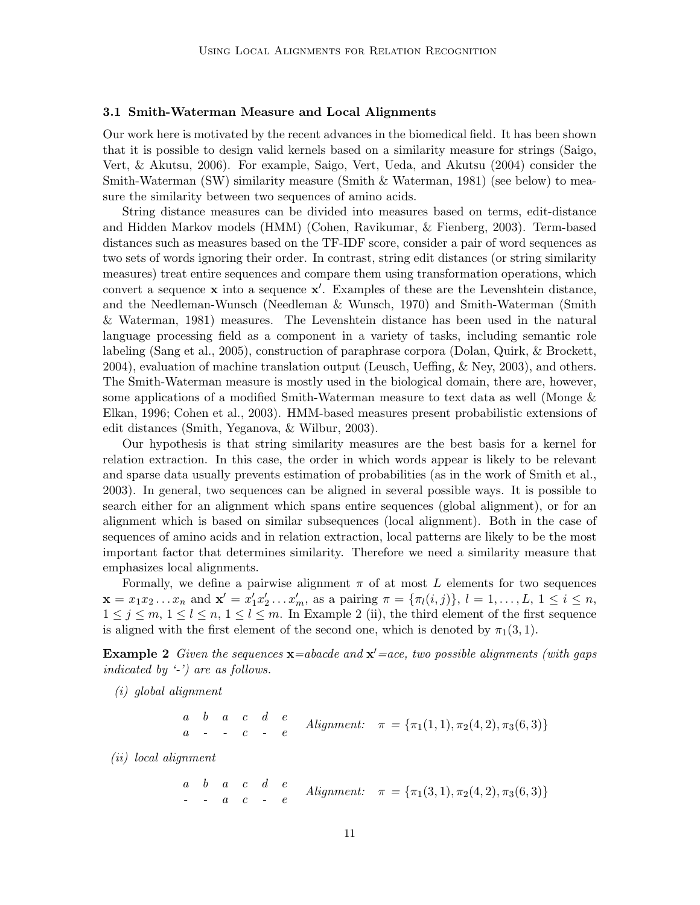#### 3.1 Smith-Waterman Measure and Local Alignments

Our work here is motivated by the recent advances in the biomedical field. It has been shown that it is possible to design valid kernels based on a similarity measure for strings (Saigo, Vert, & Akutsu, 2006). For example, Saigo, Vert, Ueda, and Akutsu (2004) consider the Smith-Waterman (SW) similarity measure (Smith & Waterman, 1981) (see below) to measure the similarity between two sequences of amino acids.

String distance measures can be divided into measures based on terms, edit-distance and Hidden Markov models (HMM) (Cohen, Ravikumar, & Fienberg, 2003). Term-based distances such as measures based on the TF-IDF score, consider a pair of word sequences as two sets of words ignoring their order. In contrast, string edit distances (or string similarity measures) treat entire sequences and compare them using transformation operations, which convert a sequence  $x$  into a sequence  $x'$ . Examples of these are the Levenshtein distance, and the Needleman-Wunsch (Needleman & Wunsch, 1970) and Smith-Waterman (Smith & Waterman, 1981) measures. The Levenshtein distance has been used in the natural language processing field as a component in a variety of tasks, including semantic role labeling (Sang et al., 2005), construction of paraphrase corpora (Dolan, Quirk, & Brockett, 2004), evaluation of machine translation output (Leusch, Ueffing, & Ney, 2003), and others. The Smith-Waterman measure is mostly used in the biological domain, there are, however, some applications of a modified Smith-Waterman measure to text data as well (Monge & Elkan, 1996; Cohen et al., 2003). HMM-based measures present probabilistic extensions of edit distances (Smith, Yeganova, & Wilbur, 2003).

Our hypothesis is that string similarity measures are the best basis for a kernel for relation extraction. In this case, the order in which words appear is likely to be relevant and sparse data usually prevents estimation of probabilities (as in the work of Smith et al., 2003). In general, two sequences can be aligned in several possible ways. It is possible to search either for an alignment which spans entire sequences (global alignment), or for an alignment which is based on similar subsequences (local alignment). Both in the case of sequences of amino acids and in relation extraction, local patterns are likely to be the most important factor that determines similarity. Therefore we need a similarity measure that emphasizes local alignments.

Formally, we define a pairwise alignment  $\pi$  of at most L elements for two sequences  $\mathbf{x} = x_1 x_2 ... x_n$  and  $\mathbf{x}' = x'_1 x'_2 ... x'_m$ , as a pairing  $\pi = {\pi_l(i, j)}$ ,  $l = 1, ..., L, 1 \le i \le n$ ,  $1 \leq j \leq m, 1 \leq l \leq n, 1 \leq l \leq m$ . In Example 2 (ii), the third element of the first sequence is aligned with the first element of the second one, which is denoted by  $\pi_1(3, 1)$ .

**Example 2** Given the sequences  $\mathbf{x} =$ abacde and  $\mathbf{x}' =$ ace, two possible alignments (with gaps indicated by '-') are as follows.

(i) global alignment

$$
\begin{array}{cccccc}\na & b & a & c & d & e \\
a & - & - & c & - & e\n\end{array}\nAlignment: \quad \pi = {\pi_1(1,1), \pi_2(4,2), \pi_3(6,3)}
$$

(ii) local alignment

a b a c d e  
\n*a* a *b* a *c* d *e*  
\n*a* a *c* - *e*  
\n*Alignment:* 
$$
\pi = {\pi_1(3, 1), \pi_2(4, 2), \pi_3(6, 3)}
$$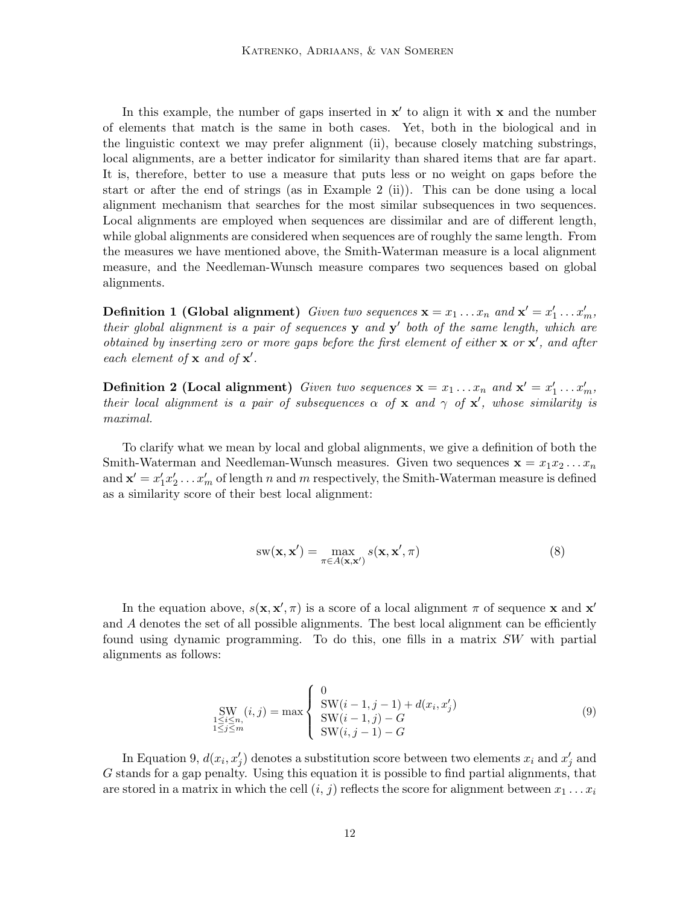In this example, the number of gaps inserted in  $x'$  to align it with x and the number of elements that match is the same in both cases. Yet, both in the biological and in the linguistic context we may prefer alignment (ii), because closely matching substrings, local alignments, are a better indicator for similarity than shared items that are far apart. It is, therefore, better to use a measure that puts less or no weight on gaps before the start or after the end of strings (as in Example 2 (ii)). This can be done using a local alignment mechanism that searches for the most similar subsequences in two sequences. Local alignments are employed when sequences are dissimilar and are of different length, while global alignments are considered when sequences are of roughly the same length. From the measures we have mentioned above, the Smith-Waterman measure is a local alignment measure, and the Needleman-Wunsch measure compares two sequences based on global alignments.

**Definition 1 (Global alignment)** Given two sequences  $\mathbf{x} = x_1 \dots x_n$  and  $\mathbf{x}' = x'_1 \dots x'_m$ , their global alignment is a pair of sequences  $y$  and  $y'$  both of the same length, which are obtained by inserting zero or more gaps before the first element of either  $x$  or  $x'$ , and after each element of  $x$  and of  $x'$ .

**Definition 2 (Local alignment)** Given two sequences  $\mathbf{x} = x_1 \dots x_n$  and  $\mathbf{x}' = x'_1 \dots x'_m$ , their local alignment is a pair of subsequences  $\alpha$  of  $\mathbf{x}$  and  $\gamma$  of  $\mathbf{x}'$ , whose similarity is maximal.

To clarify what we mean by local and global alignments, we give a definition of both the Smith-Waterman and Needleman-Wunsch measures. Given two sequences  $\mathbf{x} = x_1 x_2 \dots x_n$ and  $\mathbf{x}' = x'_1 x'_2 \dots x'_m$  of length n and m respectively, the Smith-Waterman measure is defined as a similarity score of their best local alignment:

$$
sw(\mathbf{x}, \mathbf{x}') = \max_{\pi \in A(\mathbf{x}, \mathbf{x}')} s(\mathbf{x}, \mathbf{x}', \pi)
$$
(8)

In the equation above,  $s(\mathbf{x}, \mathbf{x}', \pi)$  is a score of a local alignment  $\pi$  of sequence x and  $\mathbf{x}'$ and  $A$  denotes the set of all possible alignments. The best local alignment can be efficiently found using dynamic programming. To do this, one fills in a matrix SW with partial alignments as follows:

$$
\text{SW}_{1 \le i \le n, \atop 1 \le j \le m} (i, j) = \max \begin{cases} 0\\ \text{SW}(i - 1, j - 1) + d(x_i, x'_j) \\ \text{SW}(i - 1, j) - G \\ \text{SW}(i, j - 1) - G \end{cases} \tag{9}
$$

In Equation 9,  $d(x_i, x'_j)$  denotes a substitution score between two elements  $x_i$  and  $x'_j$  and G stands for a gap penalty. Using this equation it is possible to find partial alignments, that are stored in a matrix in which the cell  $(i, j)$  reflects the score for alignment between  $x_1 \ldots x_i$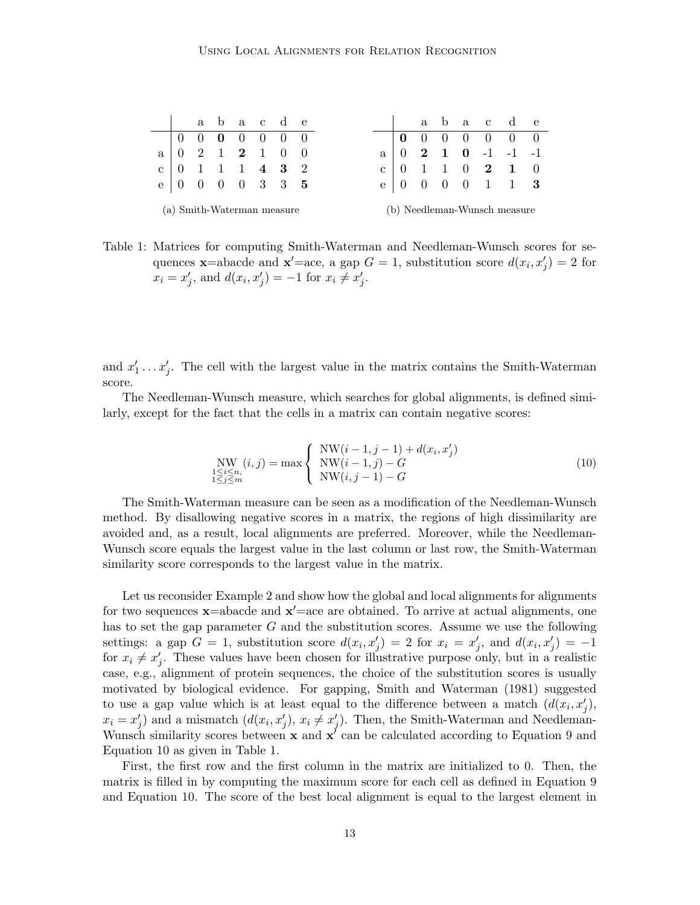|  |  |  | abac de                                                            |  |  |  |  | abac de                                                        |  |
|--|--|--|--------------------------------------------------------------------|--|--|--|--|----------------------------------------------------------------|--|
|  |  |  | $\begin{pmatrix} 0 & 0 & \mathbf{0} & 0 & 0 & 0 & 0 \end{pmatrix}$ |  |  |  |  | $\begin{bmatrix} 0 & 0 & 0 & 0 & 0 & 0 & 0 \end{bmatrix}$      |  |
|  |  |  | $a \begin{bmatrix} 0 & 2 & 1 & 2 & 1 & 0 & 0 \end{bmatrix}$        |  |  |  |  | $a \begin{bmatrix} 0 & 2 & 1 & 0 & -1 & -1 & -1 \end{bmatrix}$ |  |
|  |  |  | c   0 1 1 1 4 3 2                                                  |  |  |  |  | c   0 1 1 0 2 1 0                                              |  |
|  |  |  | e   0 0 0 0 3 3 5                                                  |  |  |  |  | e   0 0 0 0 1 1 3                                              |  |
|  |  |  | (a) Smith-Waterman measure                                         |  |  |  |  | (b) Needleman-Wunsch measure                                   |  |

Table 1: Matrices for computing Smith-Waterman and Needleman-Wunsch scores for sequences **x**=abacde and **x'**=ace, a gap  $G = 1$ , substitution score  $d(x_i, x'_j) = 2$  for  $x_i = x'_j$ , and  $d(x_i, x'_j) = -1$  for  $x_i \neq x'_j$ .

and  $x'_1 \ldots x'_j$ . The cell with the largest value in the matrix contains the Smith-Waterman score.

The Needleman-Wunsch measure, which searches for global alignments, is defined similarly, except for the fact that the cells in a matrix can contain negative scores:

$$
\text{NW}_{1 \le i \le n, \atop 1 \le j \le m} (i, j) = \max \left\{ \begin{array}{ll} \text{NW}(i - 1, j - 1) + d(x_i, x'_j) \\ \text{NW}(i - 1, j) - G \\ \text{NW}(i, j - 1) - G \end{array} \right. \tag{10}
$$

The Smith-Waterman measure can be seen as a modification of the Needleman-Wunsch method. By disallowing negative scores in a matrix, the regions of high dissimilarity are avoided and, as a result, local alignments are preferred. Moreover, while the Needleman-Wunsch score equals the largest value in the last column or last row, the Smith-Waterman similarity score corresponds to the largest value in the matrix.

Let us reconsider Example 2 and show how the global and local alignments for alignments for two sequences  $\mathbf{x}$ =abacde and  $\mathbf{x}'$ =ace are obtained. To arrive at actual alignments, one has to set the gap parameter  $G$  and the substitution scores. Assume we use the following settings: a gap  $G = 1$ , substitution score  $d(x_i, x'_j) = 2$  for  $x_i = x'_j$ , and  $d(x_i, x'_j) = -1$ for  $x_i \neq x'_j$ . These values have been chosen for illustrative purpose only, but in a realistic case, e.g., alignment of protein sequences, the choice of the substitution scores is usually motivated by biological evidence. For gapping, Smith and Waterman (1981) suggested to use a gap value which is at least equal to the difference between a match  $(d(x_i, x'_j))$ ,  $x_i = x'_j$ ) and a mismatch  $(d(x_i, x'_j), x_i \neq x'_j)$ . Then, the Smith-Waterman and Needleman-Wunsch similarity scores between  $x$  and  $x^{\prime}$  can be calculated according to Equation 9 and Equation 10 as given in Table 1.

First, the first row and the first column in the matrix are initialized to 0. Then, the matrix is filled in by computing the maximum score for each cell as defined in Equation 9 and Equation 10. The score of the best local alignment is equal to the largest element in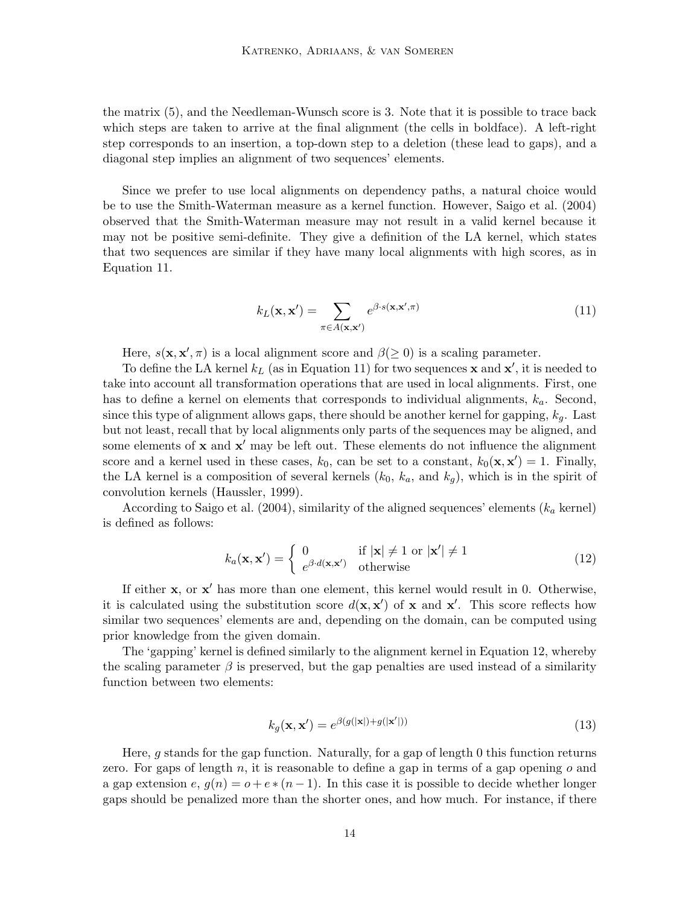the matrix (5), and the Needleman-Wunsch score is 3. Note that it is possible to trace back which steps are taken to arrive at the final alignment (the cells in boldface). A left-right step corresponds to an insertion, a top-down step to a deletion (these lead to gaps), and a diagonal step implies an alignment of two sequences' elements.

Since we prefer to use local alignments on dependency paths, a natural choice would be to use the Smith-Waterman measure as a kernel function. However, Saigo et al. (2004) observed that the Smith-Waterman measure may not result in a valid kernel because it may not be positive semi-definite. They give a definition of the LA kernel, which states that two sequences are similar if they have many local alignments with high scores, as in Equation 11.

$$
k_L(\mathbf{x}, \mathbf{x}') = \sum_{\pi \in A(\mathbf{x}, \mathbf{x}')} e^{\beta \cdot s(\mathbf{x}, \mathbf{x}', \pi)}
$$
(11)

Here,  $s(\mathbf{x}, \mathbf{x}', \pi)$  is a local alignment score and  $\beta(\geq 0)$  is a scaling parameter.

To define the LA kernel  $k_L$  (as in Equation 11) for two sequences **x** and **x'**, it is needed to take into account all transformation operations that are used in local alignments. First, one has to define a kernel on elements that corresponds to individual alignments,  $k_a$ . Second, since this type of alignment allows gaps, there should be another kernel for gapping,  $k_q$ . Last but not least, recall that by local alignments only parts of the sequences may be aligned, and some elements of  $x$  and  $x'$  may be left out. These elements do not influence the alignment score and a kernel used in these cases,  $k_0$ , can be set to a constant,  $k_0(\mathbf{x}, \mathbf{x}') = 1$ . Finally, the LA kernel is a composition of several kernels  $(k_0, k_a, \text{ and } k_q)$ , which is in the spirit of convolution kernels (Haussler, 1999).

According to Saigo et al. (2004), similarity of the aligned sequences' elements  $(k_a \text{ kernel})$ is defined as follows:

$$
k_a(\mathbf{x}, \mathbf{x}') = \begin{cases} 0 & \text{if } |\mathbf{x}| \neq 1 \text{ or } |\mathbf{x}'| \neq 1\\ e^{\beta \cdot d(\mathbf{x}, \mathbf{x}')} & \text{otherwise} \end{cases}
$$
(12)

If either  $x$ , or  $x'$  has more than one element, this kernel would result in 0. Otherwise, it is calculated using the substitution score  $d(\mathbf{x}, \mathbf{x}')$  of x and  $\mathbf{x}'$ . This score reflects how similar two sequences' elements are and, depending on the domain, can be computed using prior knowledge from the given domain.

The 'gapping' kernel is defined similarly to the alignment kernel in Equation 12, whereby the scaling parameter  $\beta$  is preserved, but the gap penalties are used instead of a similarity function between two elements:

$$
k_g(\mathbf{x}, \mathbf{x}') = e^{\beta(g(|\mathbf{x}|) + g(|\mathbf{x}'|))}
$$
\n(13)

Here, g stands for the gap function. Naturally, for a gap of length 0 this function returns zero. For gaps of length n, it is reasonable to define a gap in terms of a gap opening  $o$  and a gap extension e,  $g(n) = o + e * (n - 1)$ . In this case it is possible to decide whether longer gaps should be penalized more than the shorter ones, and how much. For instance, if there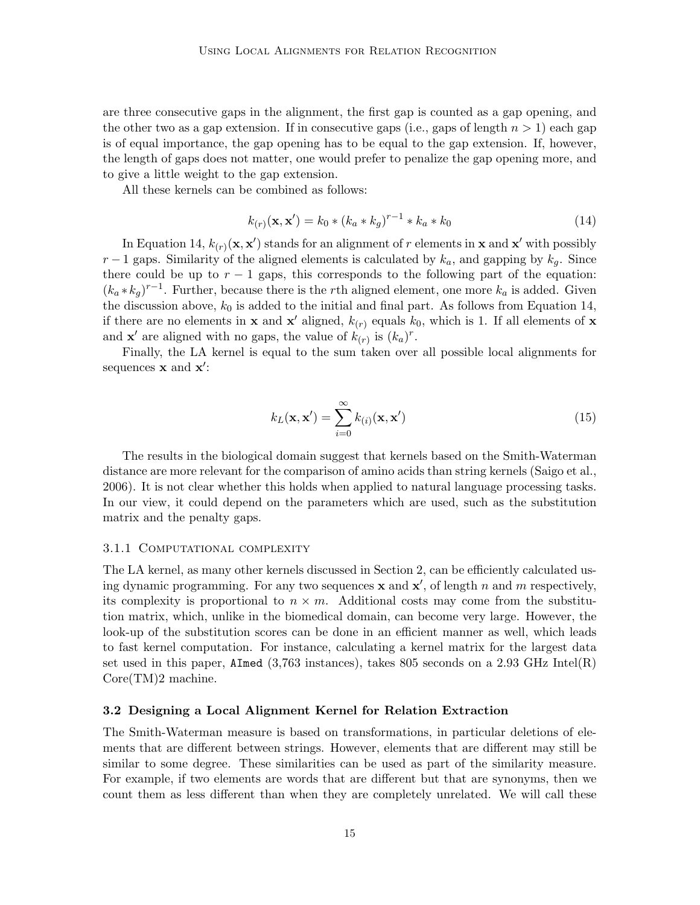are three consecutive gaps in the alignment, the first gap is counted as a gap opening, and the other two as a gap extension. If in consecutive gaps (i.e., gaps of length  $n > 1$ ) each gap is of equal importance, the gap opening has to be equal to the gap extension. If, however, the length of gaps does not matter, one would prefer to penalize the gap opening more, and to give a little weight to the gap extension.

All these kernels can be combined as follows:

$$
k_{(r)}(\mathbf{x}, \mathbf{x}') = k_0 * (k_a * k_g)^{r-1} * k_a * k_0
$$
\n(14)

In Equation 14,  $k_{(r)}(\mathbf{x}, \mathbf{x}')$  stands for an alignment of r elements in **x** and **x'** with possibly  $r-1$  gaps. Similarity of the aligned elements is calculated by  $k_a$ , and gapping by  $k_a$ . Since there could be up to  $r - 1$  gaps, this corresponds to the following part of the equation:  $(k_a * k_g)^{r-1}$ . Further, because there is the rth aligned element, one more  $k_a$  is added. Given the discussion above,  $k_0$  is added to the initial and final part. As follows from Equation 14, if there are no elements in **x** and **x'** aligned,  $k_{(r)}$  equals  $k_0$ , which is 1. If all elements of **x** and **x'** are aligned with no gaps, the value of  $k_{(r)}$  is  $(k_a)^r$ .

Finally, the LA kernel is equal to the sum taken over all possible local alignments for sequences  $\mathbf x$  and  $\mathbf x'$ :

$$
k_L(\mathbf{x}, \mathbf{x}') = \sum_{i=0}^{\infty} k_{(i)}(\mathbf{x}, \mathbf{x}')
$$
 (15)

The results in the biological domain suggest that kernels based on the Smith-Waterman distance are more relevant for the comparison of amino acids than string kernels (Saigo et al., 2006). It is not clear whether this holds when applied to natural language processing tasks. In our view, it could depend on the parameters which are used, such as the substitution matrix and the penalty gaps.

# 3.1.1 COMPUTATIONAL COMPLEXITY

The LA kernel, as many other kernels discussed in Section 2, can be efficiently calculated using dynamic programming. For any two sequences **x** and **x'**, of length n and m respectively, its complexity is proportional to  $n \times m$ . Additional costs may come from the substitution matrix, which, unlike in the biomedical domain, can become very large. However, the look-up of the substitution scores can be done in an efficient manner as well, which leads to fast kernel computation. For instance, calculating a kernel matrix for the largest data set used in this paper, AImed (3,763 instances), takes 805 seconds on a 2.93 GHz Intel(R) Core(TM)2 machine.

### 3.2 Designing a Local Alignment Kernel for Relation Extraction

The Smith-Waterman measure is based on transformations, in particular deletions of elements that are different between strings. However, elements that are different may still be similar to some degree. These similarities can be used as part of the similarity measure. For example, if two elements are words that are different but that are synonyms, then we count them as less different than when they are completely unrelated. We will call these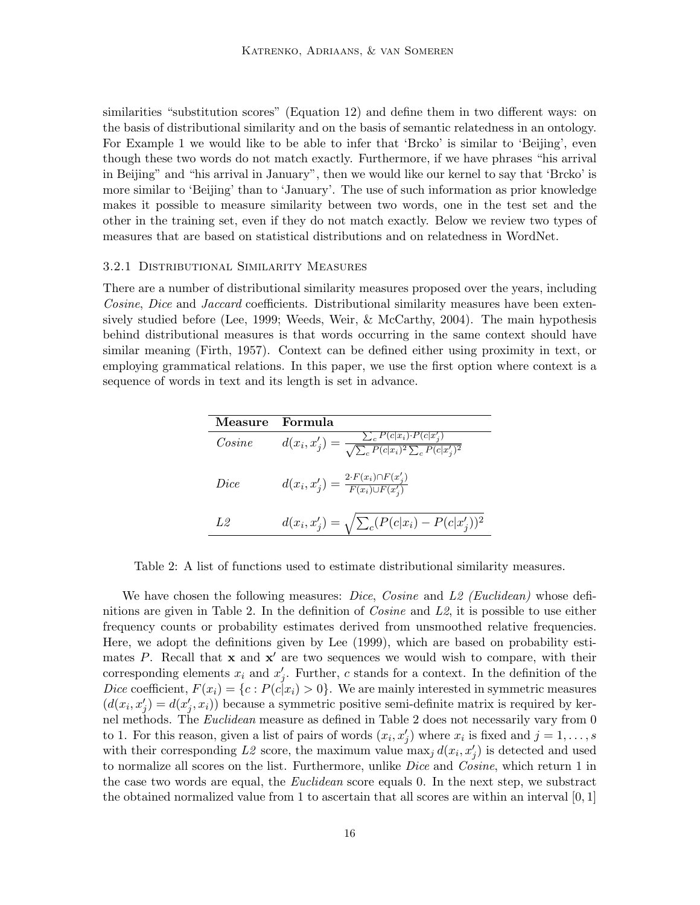similarities "substitution scores" (Equation 12) and define them in two different ways: on the basis of distributional similarity and on the basis of semantic relatedness in an ontology. For Example 1 we would like to be able to infer that 'Brcko' is similar to 'Beijing', even though these two words do not match exactly. Furthermore, if we have phrases "his arrival in Beijing" and "his arrival in January", then we would like our kernel to say that 'Brcko' is more similar to 'Beijing' than to 'January'. The use of such information as prior knowledge makes it possible to measure similarity between two words, one in the test set and the other in the training set, even if they do not match exactly. Below we review two types of measures that are based on statistical distributions and on relatedness in WordNet.

#### 3.2.1 Distributional Similarity Measures

There are a number of distributional similarity measures proposed over the years, including Cosine, Dice and Jaccard coefficients. Distributional similarity measures have been extensively studied before (Lee, 1999; Weeds, Weir, & McCarthy, 2004). The main hypothesis behind distributional measures is that words occurring in the same context should have similar meaning (Firth, 1957). Context can be defined either using proximity in text, or employing grammatical relations. In this paper, we use the first option where context is a sequence of words in text and its length is set in advance.

| Measure | Formula                                                                                                               |
|---------|-----------------------------------------------------------------------------------------------------------------------|
| Cosine  | $\overline{d(x_i, x'_j)} = \frac{\sum_{c} P(c x_i) \cdot P(c x'_j)}{\sqrt{\sum_{c} P(c x_i)^2 \sum_{c} P(c x'_j)^2}}$ |
| Dice    | $d(x_i, x'_j) = \frac{2 \cdot F(x_i) \cap F(x'_j)}{F(x_i) \cup F(x'_j)}$                                              |
| 1.2     | $d(x_i, x'_j) = \sqrt{\sum_c (P(c x_i) - P(c x'_j))^2}$                                                               |

Table 2: A list of functions used to estimate distributional similarity measures.

We have chosen the following measures: *Dice, Cosine* and L<sub>2</sub> (Euclidean) whose definitions are given in Table 2. In the definition of  $Cosine$  and  $L2$ , it is possible to use either frequency counts or probability estimates derived from unsmoothed relative frequencies. Here, we adopt the definitions given by Lee (1999), which are based on probability estimates P. Recall that  $x$  and  $x'$  are two sequences we would wish to compare, with their corresponding elements  $x_i$  and  $x'_j$ . Further, c stands for a context. In the definition of the Dice coefficient,  $F(x_i) = \{c : P(c|x_i) > 0\}$ . We are mainly interested in symmetric measures  $(d(x_i, x'_j) = d(x'_j, x_i))$  because a symmetric positive semi-definite matrix is required by kernel methods. The Euclidean measure as defined in Table 2 does not necessarily vary from 0 to 1. For this reason, given a list of pairs of words  $(x_i, x'_j)$  where  $x_i$  is fixed and  $j = 1, \ldots, s$ with their corresponding L2 score, the maximum value  $\max_j d(x_i, x'_j)$  is detected and used to normalize all scores on the list. Furthermore, unlike *Dice* and *Cosine*, which return 1 in the case two words are equal, the *Euclidean* score equals 0. In the next step, we substract the obtained normalized value from 1 to ascertain that all scores are within an interval  $[0,1]$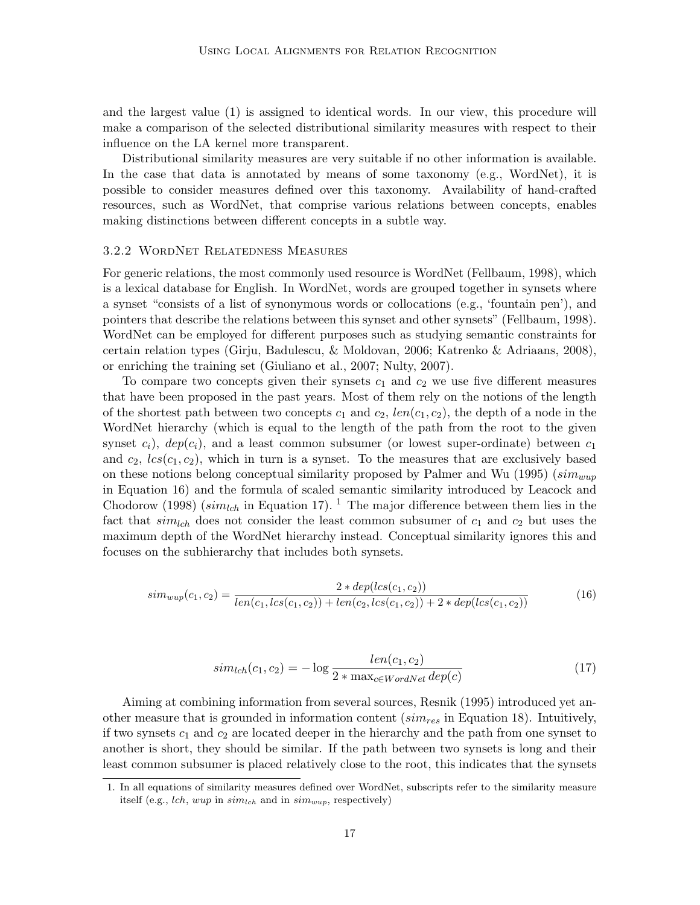and the largest value (1) is assigned to identical words. In our view, this procedure will make a comparison of the selected distributional similarity measures with respect to their influence on the LA kernel more transparent.

Distributional similarity measures are very suitable if no other information is available. In the case that data is annotated by means of some taxonomy (e.g., WordNet), it is possible to consider measures defined over this taxonomy. Availability of hand-crafted resources, such as WordNet, that comprise various relations between concepts, enables making distinctions between different concepts in a subtle way.

### 3.2.2 WordNet Relatedness Measures

For generic relations, the most commonly used resource is WordNet (Fellbaum, 1998), which is a lexical database for English. In WordNet, words are grouped together in synsets where a synset "consists of a list of synonymous words or collocations (e.g., 'fountain pen'), and pointers that describe the relations between this synset and other synsets" (Fellbaum, 1998). WordNet can be employed for different purposes such as studying semantic constraints for certain relation types (Girju, Badulescu, & Moldovan, 2006; Katrenko & Adriaans, 2008), or enriching the training set (Giuliano et al., 2007; Nulty, 2007).

To compare two concepts given their synsets  $c_1$  and  $c_2$  we use five different measures that have been proposed in the past years. Most of them rely on the notions of the length of the shortest path between two concepts  $c_1$  and  $c_2$ ,  $len(c_1, c_2)$ , the depth of a node in the WordNet hierarchy (which is equal to the length of the path from the root to the given synset  $c_i$ ),  $dep(c_i)$ , and a least common subsumer (or lowest super-ordinate) between  $c_1$ and  $c_2$ ,  $lcs(c_1, c_2)$ , which in turn is a synset. To the measures that are exclusively based on these notions belong conceptual similarity proposed by Palmer and Wu (1995) ( $sim_{wup}$ in Equation 16) and the formula of scaled semantic similarity introduced by Leacock and Chodorow (1998) ( $sim_{lch}$  in Equation 17). <sup>1</sup> The major difference between them lies in the fact that  $sim_{lch}$  does not consider the least common subsumer of  $c_1$  and  $c_2$  but uses the maximum depth of the WordNet hierarchy instead. Conceptual similarity ignores this and focuses on the subhierarchy that includes both synsets.

$$
sim_{wap}(c_1, c_2) = \frac{2 * dep(lcs(c_1, c_2))}{len(c_1, lcs(c_1, c_2)) + len(c_2, lcs(c_1, c_2)) + 2 * dep(lcs(c_1, c_2))}
$$
(16)

$$
sim_{lch}(c_1, c_2) = -\log \frac{len(c_1, c_2)}{2 * \max_{c \in WordNet} dep(c)}
$$
\n
$$
(17)
$$

Aiming at combining information from several sources, Resnik (1995) introduced yet another measure that is grounded in information content ( $\textit{sim}_{res}$  in Equation 18). Intuitively, if two synsets  $c_1$  and  $c_2$  are located deeper in the hierarchy and the path from one synset to another is short, they should be similar. If the path between two synsets is long and their least common subsumer is placed relatively close to the root, this indicates that the synsets

<sup>1.</sup> In all equations of similarity measures defined over WordNet, subscripts refer to the similarity measure itself (e.g., *lch*, *wup* in  $\text{sim}_{\text{lch}}$  and in  $\text{sim}_{\text{wup}}$ , respectively)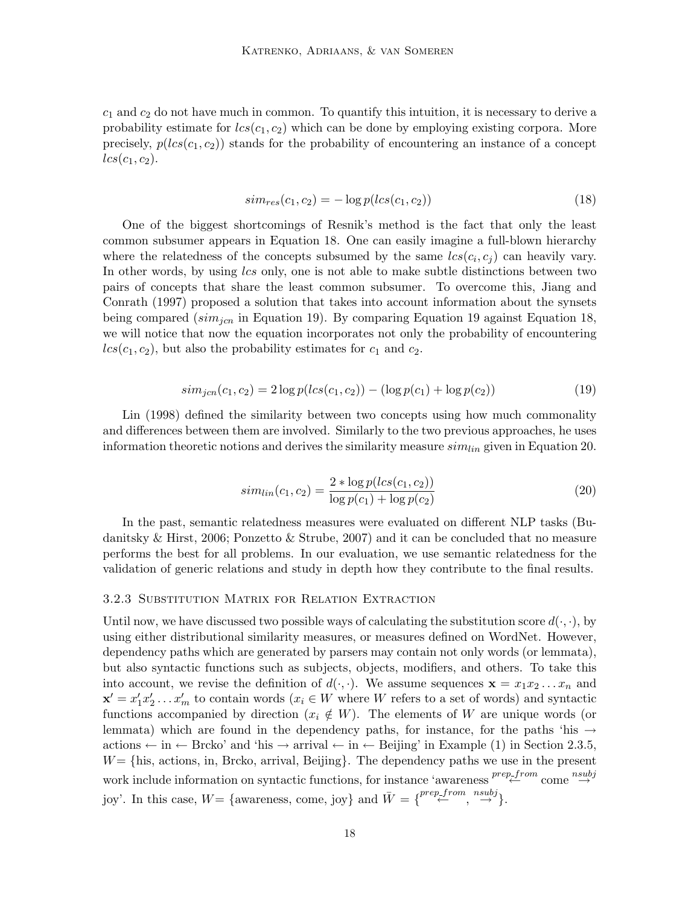$c_1$  and  $c_2$  do not have much in common. To quantify this intuition, it is necessary to derive a probability estimate for  $lcs(c_1, c_2)$  which can be done by employing existing corpora. More precisely,  $p(lcs(c_1, c_2))$  stands for the probability of encountering an instance of a concept  $lcs(c_1, c_2)$ .

$$
sim_{res}(c_1, c_2) = -\log p(lcs(c_1, c_2))
$$
\n(18)

One of the biggest shortcomings of Resnik's method is the fact that only the least common subsumer appears in Equation 18. One can easily imagine a full-blown hierarchy where the relatedness of the concepts subsumed by the same  $lcs(c_i, c_j)$  can heavily vary. In other words, by using lcs only, one is not able to make subtle distinctions between two pairs of concepts that share the least common subsumer. To overcome this, Jiang and Conrath (1997) proposed a solution that takes into account information about the synsets being compared ( $sim<sub>ion</sub>$  in Equation 19). By comparing Equation 19 against Equation 18, we will notice that now the equation incorporates not only the probability of encountering  $lcs(c_1, c_2)$ , but also the probability estimates for  $c_1$  and  $c_2$ .

$$
sim_{jcn}(c_1, c_2) = 2\log p(lcs(c_1, c_2)) - (\log p(c_1) + \log p(c_2))
$$
\n(19)

Lin (1998) defined the similarity between two concepts using how much commonality and differences between them are involved. Similarly to the two previous approaches, he uses information theoretic notions and derives the similarity measure  $sim_{lin}$  given in Equation 20.

$$
sim_{lin}(c_1, c_2) = \frac{2 * \log p(lcs(c_1, c_2))}{\log p(c_1) + \log p(c_2)}
$$
\n(20)

In the past, semantic relatedness measures were evaluated on different NLP tasks (Budanitsky & Hirst, 2006; Ponzetto & Strube, 2007) and it can be concluded that no measure performs the best for all problems. In our evaluation, we use semantic relatedness for the validation of generic relations and study in depth how they contribute to the final results.

#### 3.2.3 Substitution Matrix for Relation Extraction

Until now, we have discussed two possible ways of calculating the substitution score  $d(\cdot, \cdot)$ , by using either distributional similarity measures, or measures defined on WordNet. However, dependency paths which are generated by parsers may contain not only words (or lemmata), but also syntactic functions such as subjects, objects, modifiers, and others. To take this into account, we revise the definition of  $d(\cdot, \cdot)$ . We assume sequences  $\mathbf{x} = x_1 x_2 \dots x_n$  and  $\mathbf{x}' = x'_1 x'_2 \dots x'_m$  to contain words  $(x_i \in W$  where W refers to a set of words) and syntactic functions accompanied by direction  $(x_i \notin W)$ . The elements of W are unique words (or lemmata) which are found in the dependency paths, for instance, for the paths 'his  $\rightarrow$ actions  $\leftarrow$  in  $\leftarrow$  Brcko' and 'his  $\rightarrow$  arrival  $\leftarrow$  in  $\leftarrow$  Beijing' in Example (1) in Section 2.3.5,  $W = \{his, actions, in, Brcko, arrival, Beijing\}.$  The dependency paths we use in the present work include information on syntactic functions, for instance 'awareness  $\stackrel{prep\_from}{\longleftarrow}$  come  $\stackrel{nsubj}{\rightarrow}$ joy'. In this case,  $W = \{ \text{ awareness}, \text{ come}, \text{joy} \}$  and  $\bar{W} = \{ \begin{matrix} \text{prep\_from} & \text{nsubj} \\ \leftarrow & \cdots \end{matrix} \}$ .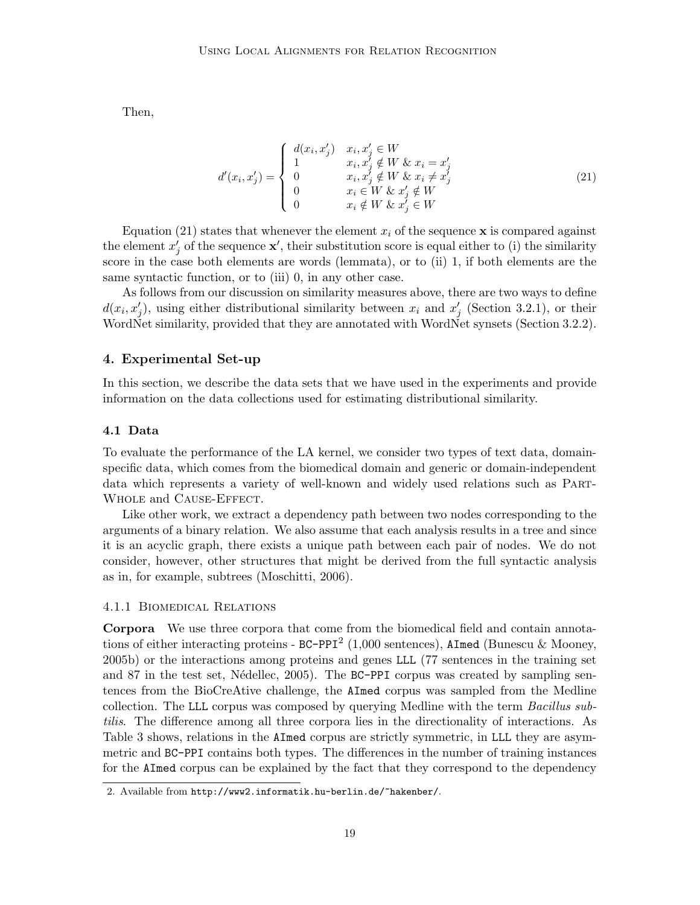Then,

$$
d'(x_i, x'_j) = \begin{cases} d(x_i, x'_j) & x_i, x'_j \in W \\ 1 & x_i, x'_j \notin W \& x_i = x'_j \\ 0 & x_i, x'_j \notin W \& x_i \neq x'_j \\ 0 & x_i \in W \& x'_j \notin W \\ 0 & x_i \notin W \& x'_j \in W \end{cases}
$$
(21)

Equation (21) states that whenever the element  $x_i$  of the sequence **x** is compared against the element  $x'_j$  of the sequence  $\mathbf{x}'$ , their substitution score is equal either to (i) the similarity score in the case both elements are words (lemmata), or to (ii) 1, if both elements are the same syntactic function, or to (iii) 0, in any other case.

As follows from our discussion on similarity measures above, there are two ways to define  $d(x_i, x'_j)$ , using either distributional similarity between  $x_i$  and  $x'_j$  (Section 3.2.1), or their WordNet similarity, provided that they are annotated with WordNet synsets (Section 3.2.2).

# 4. Experimental Set-up

In this section, we describe the data sets that we have used in the experiments and provide information on the data collections used for estimating distributional similarity.

### 4.1 Data

To evaluate the performance of the LA kernel, we consider two types of text data, domainspecific data, which comes from the biomedical domain and generic or domain-independent data which represents a variety of well-known and widely used relations such as Part-Whole and Cause-Effect.

Like other work, we extract a dependency path between two nodes corresponding to the arguments of a binary relation. We also assume that each analysis results in a tree and since it is an acyclic graph, there exists a unique path between each pair of nodes. We do not consider, however, other structures that might be derived from the full syntactic analysis as in, for example, subtrees (Moschitti, 2006).

### 4.1.1 Biomedical Relations

Corpora We use three corpora that come from the biomedical field and contain annotations of either interacting proteins - BC-PPI<sup>2</sup> (1,000 sentences), AImed (Bunescu & Mooney, 2005b) or the interactions among proteins and genes LLL (77 sentences in the training set and 87 in the test set, Nédellec, 2005). The BC-PPI corpus was created by sampling sentences from the BioCreAtive challenge, the AImed corpus was sampled from the Medline collection. The LLL corpus was composed by querying Medline with the term *Bacillus sub*tilis. The difference among all three corpora lies in the directionality of interactions. As Table 3 shows, relations in the AImed corpus are strictly symmetric, in LLL they are asymmetric and BC-PPI contains both types. The differences in the number of training instances for the AImed corpus can be explained by the fact that they correspond to the dependency

<sup>2.</sup> Available from http://www2.informatik.hu-berlin.de/~hakenber/.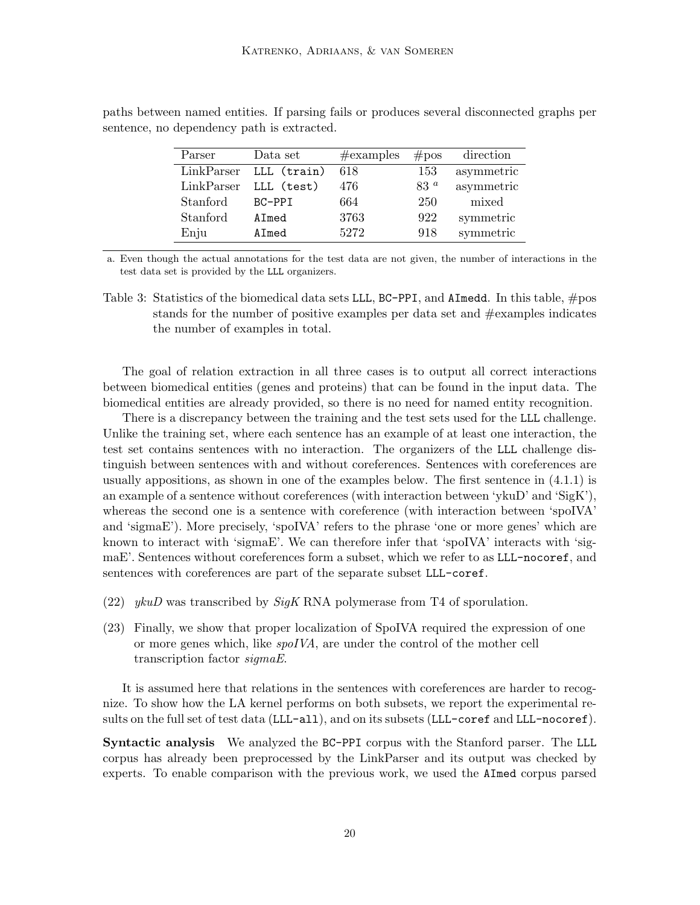| Parser     | Data set    | $\#\text{examples}$ | #pos            | direction  |
|------------|-------------|---------------------|-----------------|------------|
| LinkParser | LLL (train) | 618                 | 153             | asymmetric |
| LinkParser | LLL (test)  | 476                 | 83 <sup>a</sup> | asymmetric |
| Stanford   | BC-PPI      | 664                 | 250             | mixed      |
| Stanford   | AImed       | 3763                | 922             | symmetric  |
| Enju       | AImed       | 5272                | 918             | symmetric  |

paths between named entities. If parsing fails or produces several disconnected graphs per sentence, no dependency path is extracted.

a. Even though the actual annotations for the test data are not given, the number of interactions in the test data set is provided by the LLL organizers.

Table 3: Statistics of the biomedical data sets LLL, BC-PPI, and AImedd. In this table, #pos stands for the number of positive examples per data set and #examples indicates the number of examples in total.

The goal of relation extraction in all three cases is to output all correct interactions between biomedical entities (genes and proteins) that can be found in the input data. The biomedical entities are already provided, so there is no need for named entity recognition.

There is a discrepancy between the training and the test sets used for the LLL challenge. Unlike the training set, where each sentence has an example of at least one interaction, the test set contains sentences with no interaction. The organizers of the LLL challenge distinguish between sentences with and without coreferences. Sentences with coreferences are usually appositions, as shown in one of the examples below. The first sentence in (4.1.1) is an example of a sentence without coreferences (with interaction between 'ykuD' and 'SigK'), whereas the second one is a sentence with coreference (with interaction between 'spoIVA' and 'sigmaE'). More precisely, 'spoIVA' refers to the phrase 'one or more genes' which are known to interact with 'sigmaE'. We can therefore infer that 'spoIVA' interacts with 'sigmaE'. Sentences without coreferences form a subset, which we refer to as LLL-nocoref, and sentences with coreferences are part of the separate subset LLL-coref.

- (22) ykuD was transcribed by  $\mathcal{S}iqK$  RNA polymerase from T4 of sporulation.
- (23) Finally, we show that proper localization of SpoIVA required the expression of one or more genes which, like spoIVA, are under the control of the mother cell transcription factor sigmaE.

It is assumed here that relations in the sentences with coreferences are harder to recognize. To show how the LA kernel performs on both subsets, we report the experimental results on the full set of test data (LLL-all), and on its subsets (LLL-coref and LLL-nocoref).

Syntactic analysis We analyzed the BC-PPI corpus with the Stanford parser. The LLL corpus has already been preprocessed by the LinkParser and its output was checked by experts. To enable comparison with the previous work, we used the AImed corpus parsed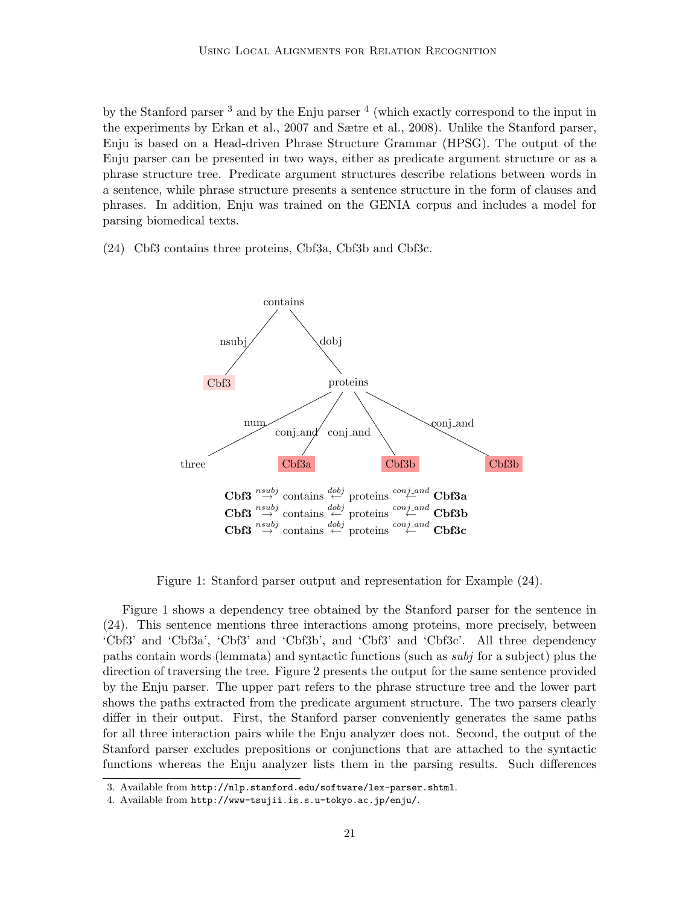by the Stanford parser  $3$  and by the Enju parser  $4$  (which exactly correspond to the input in the experiments by Erkan et al., 2007 and Sætre et al., 2008). Unlike the Stanford parser, Enju is based on a Head-driven Phrase Structure Grammar (HPSG). The output of the Enju parser can be presented in two ways, either as predicate argument structure or as a phrase structure tree. Predicate argument structures describe relations between words in a sentence, while phrase structure presents a sentence structure in the form of clauses and phrases. In addition, Enju was trained on the GENIA corpus and includes a model for parsing biomedical texts.

(24) Cbf3 contains three proteins, Cbf3a, Cbf3b and Cbf3c.



Figure 1: Stanford parser output and representation for Example (24).

Figure 1 shows a dependency tree obtained by the Stanford parser for the sentence in (24). This sentence mentions three interactions among proteins, more precisely, between 'Cbf3' and 'Cbf3a', 'Cbf3' and 'Cbf3b', and 'Cbf3' and 'Cbf3c'. All three dependency paths contain words (lemmata) and syntactic functions (such as subj for a subject) plus the direction of traversing the tree. Figure 2 presents the output for the same sentence provided by the Enju parser. The upper part refers to the phrase structure tree and the lower part shows the paths extracted from the predicate argument structure. The two parsers clearly differ in their output. First, the Stanford parser conveniently generates the same paths for all three interaction pairs while the Enju analyzer does not. Second, the output of the Stanford parser excludes prepositions or conjunctions that are attached to the syntactic functions whereas the Enju analyzer lists them in the parsing results. Such differences

<sup>3.</sup> Available from http://nlp.stanford.edu/software/lex-parser.shtml.

<sup>4.</sup> Available from http://www-tsujii.is.s.u-tokyo.ac.jp/enju/.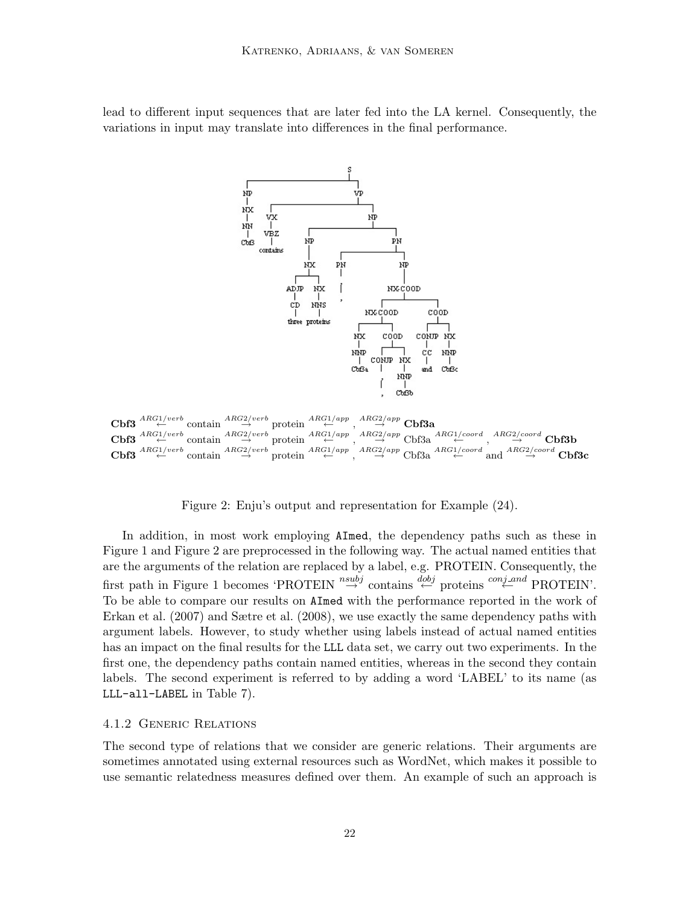lead to different input sequences that are later fed into the LA kernel. Consequently, the variations in input may translate into differences in the final performance.



 $\textbf{Cbf3} \stackrel{ARG1/verb}{\leftarrow} \text{contain} \stackrel{ARG2/verb}{\rightarrow} \text{protein} \stackrel{ARG1/app}{\leftarrow} , \stackrel{ARG2/app}{\rightarrow} \textbf{Cbf3a}$  $\text{Cbf3} \stackrel{ARG1/verb}{\leftarrow} \text{contain} \stackrel{ARG2/verb}{\rightarrow} \text{protein} \stackrel{ARG1/app}{\leftarrow} \cdot \stackrel{ARG2/app}{\rightarrow} \text{Cbf3a} \stackrel{ARG1/coord}{\leftarrow} \cdot \stackrel{ARG2/coord}{\rightarrow} \text{Cbf3b}$  $\text{Cbf3} \stackrel{ARG1/verb}{\leftarrow} \text{contain} \stackrel{ARG2/verb}{\rightarrow} \text{protein} \stackrel{ARG1/app}{\leftarrow} \cdot \stackrel{ARG2/app}{\rightarrow} \text{Ch63a} \stackrel{ARG1/coord}{\leftarrow} \text{and} \stackrel{ARG2/coord}{\rightarrow} \text{Ch63c}$ 

Figure 2: Enju's output and representation for Example (24).

In addition, in most work employing AImed, the dependency paths such as these in Figure 1 and Figure 2 are preprocessed in the following way. The actual named entities that are the arguments of the relation are replaced by a label, e.g. PROTEIN. Consequently, the first path in Figure 1 becomes 'PROTEIN"  $\stackrel{nsubj}{\rightarrow}$  contains  $\stackrel{dobj}{\leftarrow}$  proteins  $\stackrel{conj\_and}{\leftarrow}$  PROTEIN'. To be able to compare our results on AImed with the performance reported in the work of Erkan et al. (2007) and Sætre et al. (2008), we use exactly the same dependency paths with argument labels. However, to study whether using labels instead of actual named entities has an impact on the final results for the LLL data set, we carry out two experiments. In the first one, the dependency paths contain named entities, whereas in the second they contain labels. The second experiment is referred to by adding a word 'LABEL' to its name (as LLL-all-LABEL in Table 7).

#### 4.1.2 Generic Relations

The second type of relations that we consider are generic relations. Their arguments are sometimes annotated using external resources such as WordNet, which makes it possible to use semantic relatedness measures defined over them. An example of such an approach is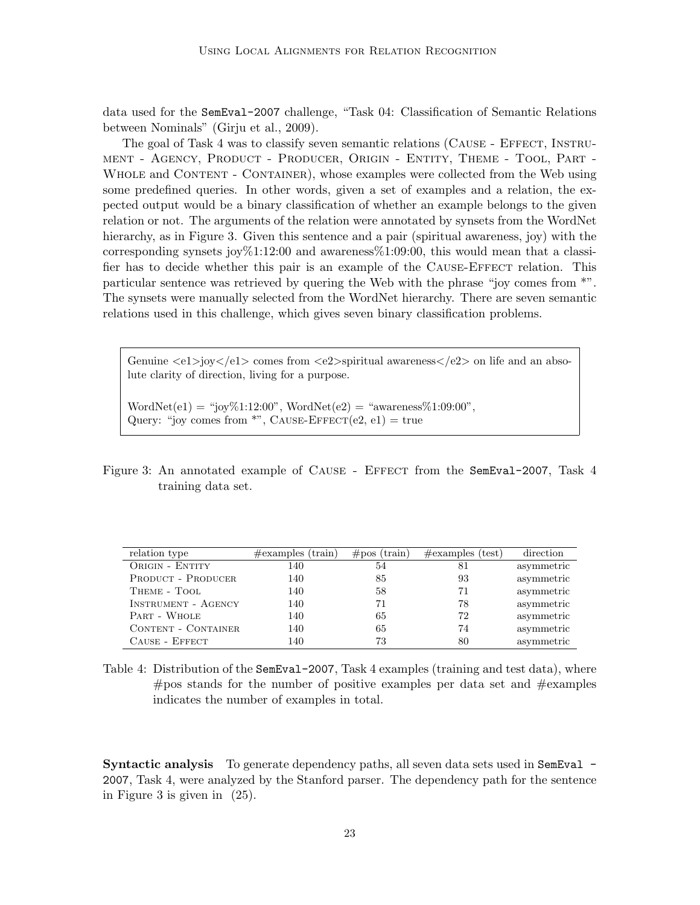data used for the SemEval-2007 challenge, "Task 04: Classification of Semantic Relations between Nominals" (Girju et al., 2009).

The goal of Task 4 was to classify seven semantic relations (CAUSE - EFFECT, INSTRUment - Agency, Product - Producer, Origin - Entity, Theme - Tool, Part - WHOLE and CONTENT - CONTAINER), whose examples were collected from the Web using some predefined queries. In other words, given a set of examples and a relation, the expected output would be a binary classification of whether an example belongs to the given relation or not. The arguments of the relation were annotated by synsets from the WordNet hierarchy, as in Figure 3. Given this sentence and a pair (spiritual awareness, joy) with the corresponding synsets joy  $1:12:00$  and awareness  $%1:09:00$ , this would mean that a classifier has to decide whether this pair is an example of the CAUSE-EFFECT relation. This particular sentence was retrieved by quering the Web with the phrase "joy comes from \*". The synsets were manually selected from the WordNet hierarchy. There are seven semantic relations used in this challenge, which gives seven binary classification problems.

Genuine  $\langle e_1 \rangle$ joy $\langle e_1 \rangle$  comes from  $\langle e_2 \rangle$ spiritual awareness $\langle e_1 \rangle$  on life and an absolute clarity of direction, living for a purpose.

 $WordNet(e1) = "joy\%1:12:00", WordNet(e2) = "awareness\%1:09:00",$ Query: "joy comes from \*", CAUSE-EFFECT $(e2, e1)$  = true

Figure 3: An annotated example of CAUSE - EFFECT from the SemEval-2007, Task 4 training data set.

| relation type              | $\#\text{examples (train)}$ | $\#pos$ (train) | $\#\text{examples}$ (test) | direction  |
|----------------------------|-----------------------------|-----------------|----------------------------|------------|
| ORIGIN - ENTITY            | 140                         | 54              | 81                         | asymmetric |
| <b>PRODUCT - PRODUCER</b>  | 140                         | 85              | 93                         | asymmetric |
| THEME - TOOL               | 140                         | 58              | 71                         | asymmetric |
| <b>INSTRUMENT - AGENCY</b> | 140                         | 71              | 78                         | asymmetric |
| PART - WHOLE               | 140                         | 65              | 72                         | asymmetric |
| <b>CONTENT - CONTAINER</b> | 140                         | 65              | 74                         | asymmetric |
| CAUSE - EFFECT             | 140                         | 73              | 80                         | asymmetric |

Table 4: Distribution of the SemEval-2007, Task 4 examples (training and test data), where  $\#$ pos stands for the number of positive examples per data set and  $\#$ examples indicates the number of examples in total.

Syntactic analysis To generate dependency paths, all seven data sets used in SemEval -2007, Task 4, were analyzed by the Stanford parser. The dependency path for the sentence in Figure 3 is given in (25).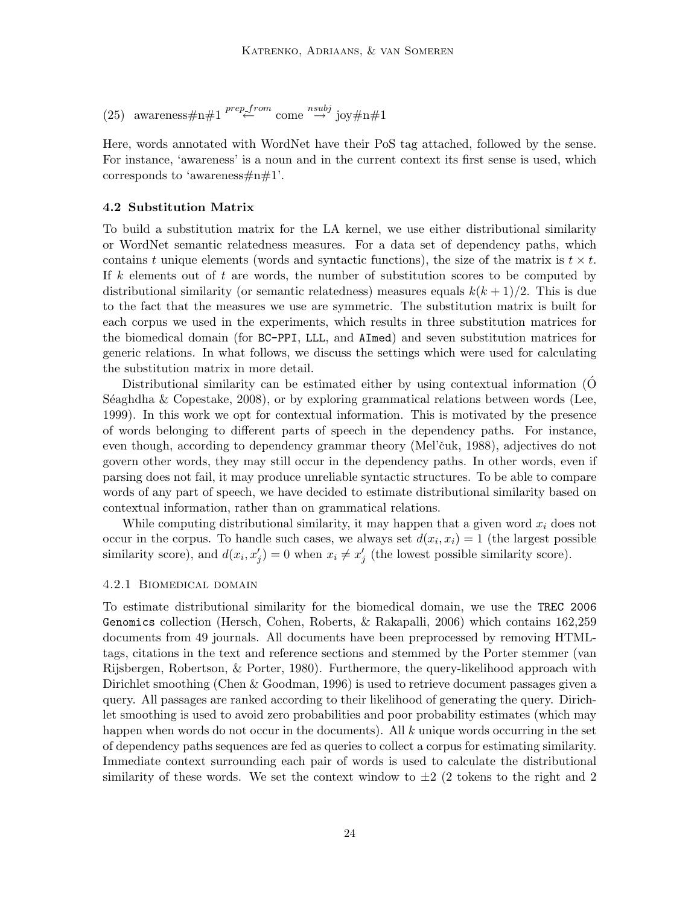(25) awareness#n#1<sup>prep\_from</sup> come  $\stackrel{nsubj}{\rightarrow} joy\#n\#1$ 

Here, words annotated with WordNet have their PoS tag attached, followed by the sense. For instance, 'awareness' is a noun and in the current context its first sense is used, which corresponds to 'awareness $\#n\#1$ '.

#### 4.2 Substitution Matrix

To build a substitution matrix for the LA kernel, we use either distributional similarity or WordNet semantic relatedness measures. For a data set of dependency paths, which contains t unique elements (words and syntactic functions), the size of the matrix is  $t \times t$ . If k elements out of t are words, the number of substitution scores to be computed by distributional similarity (or semantic relatedness) measures equals  $k(k+1)/2$ . This is due to the fact that the measures we use are symmetric. The substitution matrix is built for each corpus we used in the experiments, which results in three substitution matrices for the biomedical domain (for BC-PPI, LLL, and AImed) and seven substitution matrices for generic relations. In what follows, we discuss the settings which were used for calculating the substitution matrix in more detail.

Distributional similarity can be estimated either by using contextual information (O´ Séaghdha & Copestake,  $2008$ ), or by exploring grammatical relations between words (Lee, 1999). In this work we opt for contextual information. This is motivated by the presence of words belonging to different parts of speech in the dependency paths. For instance, even though, according to dependency grammar theory (Mel'ˇcuk, 1988), adjectives do not govern other words, they may still occur in the dependency paths. In other words, even if parsing does not fail, it may produce unreliable syntactic structures. To be able to compare words of any part of speech, we have decided to estimate distributional similarity based on contextual information, rather than on grammatical relations.

While computing distributional similarity, it may happen that a given word  $x_i$  does not occur in the corpus. To handle such cases, we always set  $d(x_i, x_i) = 1$  (the largest possible similarity score), and  $d(x_i, x'_j) = 0$  when  $x_i \neq x'_j$  (the lowest possible similarity score).

#### 4.2.1 Biomedical domain

To estimate distributional similarity for the biomedical domain, we use the TREC 2006 Genomics collection (Hersch, Cohen, Roberts, & Rakapalli, 2006) which contains 162,259 documents from 49 journals. All documents have been preprocessed by removing HTMLtags, citations in the text and reference sections and stemmed by the Porter stemmer (van Rijsbergen, Robertson, & Porter, 1980). Furthermore, the query-likelihood approach with Dirichlet smoothing (Chen & Goodman, 1996) is used to retrieve document passages given a query. All passages are ranked according to their likelihood of generating the query. Dirichlet smoothing is used to avoid zero probabilities and poor probability estimates (which may happen when words do not occur in the documents). All  $k$  unique words occurring in the set of dependency paths sequences are fed as queries to collect a corpus for estimating similarity. Immediate context surrounding each pair of words is used to calculate the distributional similarity of these words. We set the context window to  $\pm 2$  (2 tokens to the right and 2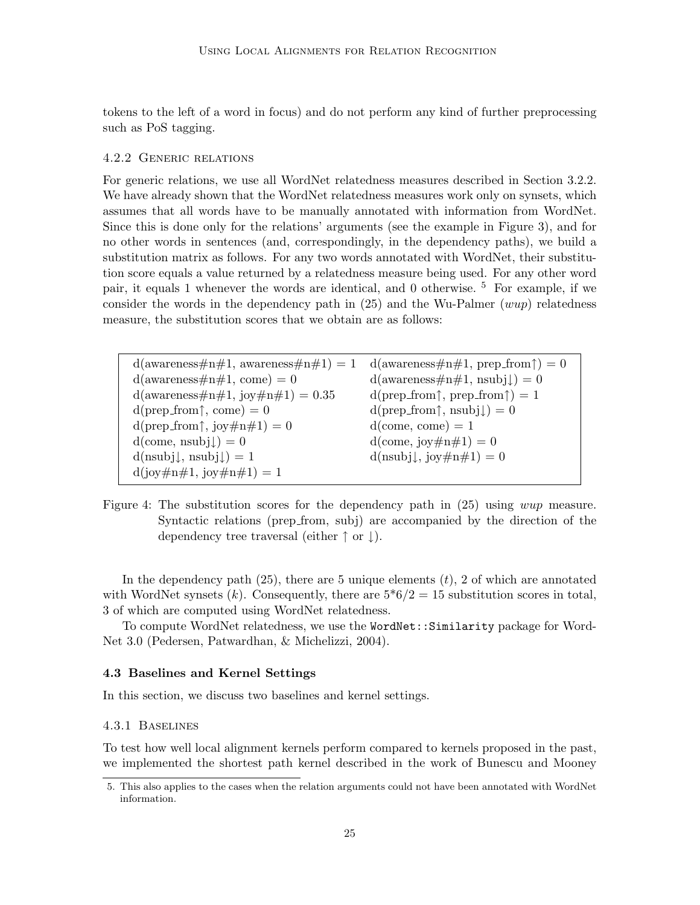tokens to the left of a word in focus) and do not perform any kind of further preprocessing such as PoS tagging.

### 4.2.2 Generic relations

For generic relations, we use all WordNet relatedness measures described in Section 3.2.2. We have already shown that the WordNet relatedness measures work only on synsets, which assumes that all words have to be manually annotated with information from WordNet. Since this is done only for the relations' arguments (see the example in Figure 3), and for no other words in sentences (and, correspondingly, in the dependency paths), we build a substitution matrix as follows. For any two words annotated with WordNet, their substitution score equals a value returned by a relatedness measure being used. For any other word pair, it equals 1 whenever the words are identical, and 0 otherwise. <sup>5</sup> For example, if we consider the words in the dependency path in  $(25)$  and the Wu-Palmer (wup) relatedness measure, the substitution scores that we obtain are as follows:

 $d(\text{awareness} \# \text{n} \# 1, \text{awareness} \# \text{n} \# 1) = 1 \quad d(\text{awareness} \# \text{n} \# 1, \text{prep\_from} \uparrow) = 0$  $d(\text{awareness} \# \text{n} \# 1, \text{ come}) = 0$   $d(\text{awareness} \# \text{n} \# 1, \text{nsub} \cdot 1) = 0$  $d(\text{awareness} \# \text{n} \# 1, \text{ joy} \# \text{n} \# 1) = 0.35$  d(prep\_from  $\uparrow$ , prep\_from  $\uparrow$ ) = 1  $d(prep\_from\,\uparrow, come) = 0$   $d(prep\_from\,\uparrow,nsubj\downarrow) = 0$  $d(\text{prep\_from}\,\uparrow, \text{joy}\,\#n\,\#1) = 0$   $d(\text{come, come}) = 1$  $d(\text{come, nsubj}) = 0$   $d(\text{come, joy#n#1}) = 0$ d(nsubj $\downarrow$ , nsubj $\downarrow$ ) = 1 d(nsubj $\downarrow$ , joy#n#1) = 0  $d(iov \# n \# 1, iov \# n \# 1) = 1$ 

Figure 4: The substitution scores for the dependency path in  $(25)$  using *wup* measure. Syntactic relations (prep from, subj) are accompanied by the direction of the dependency tree traversal (either ↑ or ↓).

In the dependency path  $(25)$ , there are 5 unique elements  $(t)$ , 2 of which are annotated with WordNet synsets  $(k)$ . Consequently, there are  $5*6/2 = 15$  substitution scores in total, 3 of which are computed using WordNet relatedness.

To compute WordNet relatedness, we use the WordNet::Similarity package for Word-Net 3.0 (Pedersen, Patwardhan, & Michelizzi, 2004).

# 4.3 Baselines and Kernel Settings

In this section, we discuss two baselines and kernel settings.

#### 4.3.1 Baselines

To test how well local alignment kernels perform compared to kernels proposed in the past, we implemented the shortest path kernel described in the work of Bunescu and Mooney

<sup>5.</sup> This also applies to the cases when the relation arguments could not have been annotated with WordNet information.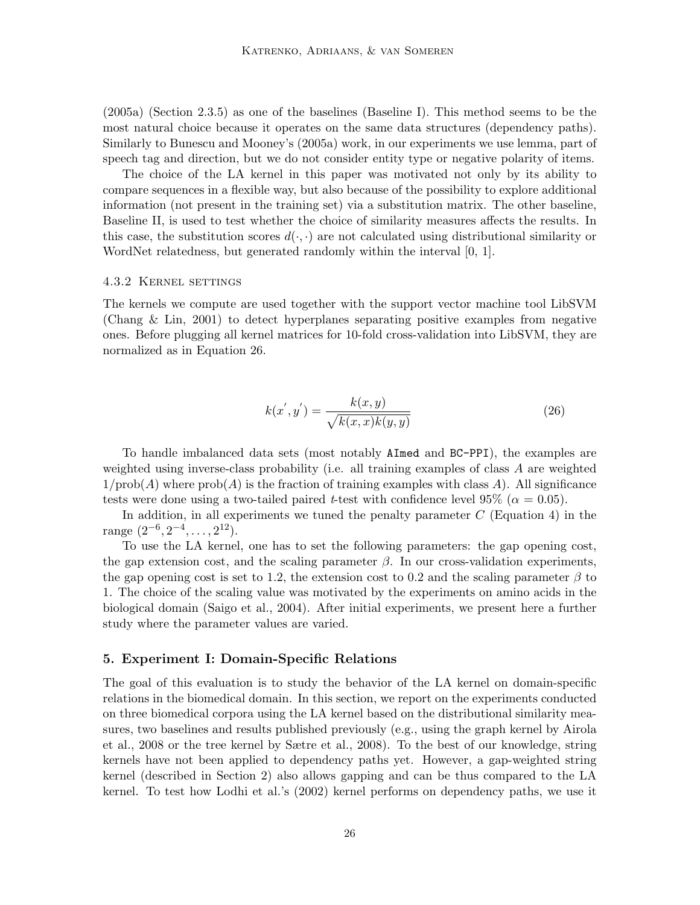(2005a) (Section 2.3.5) as one of the baselines (Baseline I). This method seems to be the most natural choice because it operates on the same data structures (dependency paths). Similarly to Bunescu and Mooney's (2005a) work, in our experiments we use lemma, part of speech tag and direction, but we do not consider entity type or negative polarity of items.

The choice of the LA kernel in this paper was motivated not only by its ability to compare sequences in a flexible way, but also because of the possibility to explore additional information (not present in the training set) via a substitution matrix. The other baseline, Baseline II, is used to test whether the choice of similarity measures affects the results. In this case, the substitution scores  $d(\cdot, \cdot)$  are not calculated using distributional similarity or WordNet relatedness, but generated randomly within the interval [0, 1].

#### 4.3.2 Kernel settings

The kernels we compute are used together with the support vector machine tool LibSVM (Chang & Lin, 2001) to detect hyperplanes separating positive examples from negative ones. Before plugging all kernel matrices for 10-fold cross-validation into LibSVM, they are normalized as in Equation 26.

$$
k(x', y') = \frac{k(x, y)}{\sqrt{k(x, x)k(y, y)}}
$$
(26)

To handle imbalanced data sets (most notably AImed and BC-PPI), the examples are weighted using inverse-class probability (i.e. all training examples of class A are weighted  $1/\text{prob}(A)$  where  $\text{prob}(A)$  is the fraction of training examples with class A). All significance tests were done using a two-tailed paired t-test with confidence level 95% ( $\alpha = 0.05$ ).

In addition, in all experiments we tuned the penalty parameter  $C$  (Equation 4) in the range  $(2^{-6}, 2^{-4}, \ldots, 2^{12}).$ 

To use the LA kernel, one has to set the following parameters: the gap opening cost, the gap extension cost, and the scaling parameter  $\beta$ . In our cross-validation experiments, the gap opening cost is set to 1.2, the extension cost to 0.2 and the scaling parameter  $\beta$  to 1. The choice of the scaling value was motivated by the experiments on amino acids in the biological domain (Saigo et al., 2004). After initial experiments, we present here a further study where the parameter values are varied.

# 5. Experiment I: Domain-Specific Relations

The goal of this evaluation is to study the behavior of the LA kernel on domain-specific relations in the biomedical domain. In this section, we report on the experiments conducted on three biomedical corpora using the LA kernel based on the distributional similarity measures, two baselines and results published previously (e.g., using the graph kernel by Airola et al., 2008 or the tree kernel by Sætre et al., 2008). To the best of our knowledge, string kernels have not been applied to dependency paths yet. However, a gap-weighted string kernel (described in Section 2) also allows gapping and can be thus compared to the LA kernel. To test how Lodhi et al.'s (2002) kernel performs on dependency paths, we use it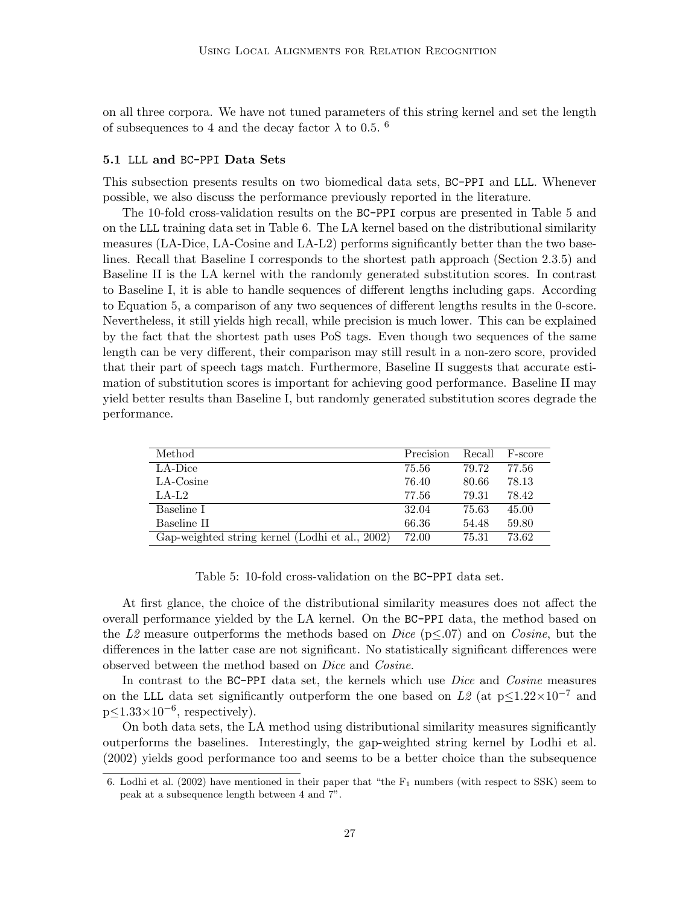on all three corpora. We have not tuned parameters of this string kernel and set the length of subsequences to 4 and the decay factor  $\lambda$  to 0.5. <sup>6</sup>

#### 5.1 LLL and BC-PPI Data Sets

This subsection presents results on two biomedical data sets, BC-PPI and LLL. Whenever possible, we also discuss the performance previously reported in the literature.

The 10-fold cross-validation results on the BC-PPI corpus are presented in Table 5 and on the LLL training data set in Table 6. The LA kernel based on the distributional similarity measures (LA-Dice, LA-Cosine and LA-L2) performs significantly better than the two baselines. Recall that Baseline I corresponds to the shortest path approach (Section 2.3.5) and Baseline II is the LA kernel with the randomly generated substitution scores. In contrast to Baseline I, it is able to handle sequences of different lengths including gaps. According to Equation 5, a comparison of any two sequences of different lengths results in the 0-score. Nevertheless, it still yields high recall, while precision is much lower. This can be explained by the fact that the shortest path uses PoS tags. Even though two sequences of the same length can be very different, their comparison may still result in a non-zero score, provided that their part of speech tags match. Furthermore, Baseline II suggests that accurate estimation of substitution scores is important for achieving good performance. Baseline II may yield better results than Baseline I, but randomly generated substitution scores degrade the performance.

| Method                                          | Precision | Recall | F-score |
|-------------------------------------------------|-----------|--------|---------|
| LA-Dice                                         | 75.56     | 79.72  | 77.56   |
| LA-Cosine                                       | 76.40     | 80.66  | 78.13   |
| $LA-L2$                                         | 77.56     | 79.31  | 78.42   |
| Baseline I                                      | 32.04     | 75.63  | 45.00   |
| Baseline II                                     | 66.36     | 54.48  | 59.80   |
| Gap-weighted string kernel (Lodhi et al., 2002) | 72.00     | 75.31  | 73.62   |

Table 5: 10-fold cross-validation on the BC-PPI data set.

At first glance, the choice of the distributional similarity measures does not affect the overall performance yielded by the LA kernel. On the BC-PPI data, the method based on the L2 measure outperforms the methods based on Dice ( $p \leq 0.07$ ) and on Cosine, but the differences in the latter case are not significant. No statistically significant differences were observed between the method based on Dice and Cosine.

In contrast to the BC-PPI data set, the kernels which use *Dice* and *Cosine* measures on the LLL data set significantly outperform the one based on L2 (at  $p\leq 1.22\times10^{-7}$  and  $p\leq 1.33\times10^{-6}$ , respectively).

On both data sets, the LA method using distributional similarity measures significantly outperforms the baselines. Interestingly, the gap-weighted string kernel by Lodhi et al. (2002) yields good performance too and seems to be a better choice than the subsequence

<sup>6.</sup> Lodhi et al.  $(2002)$  have mentioned in their paper that "the  $F_1$  numbers (with respect to SSK) seem to peak at a subsequence length between 4 and 7".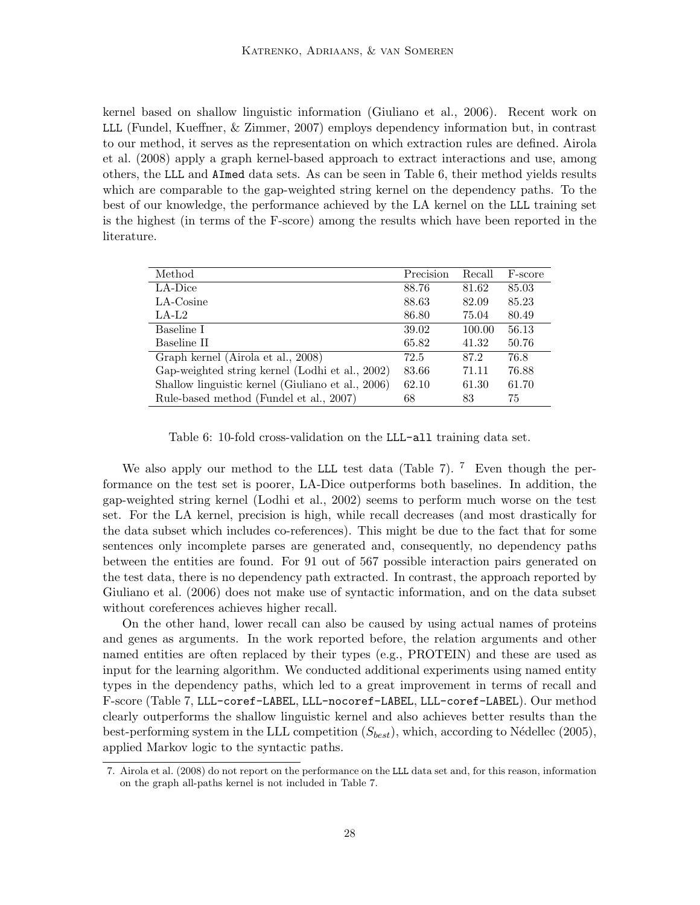kernel based on shallow linguistic information (Giuliano et al., 2006). Recent work on LLL (Fundel, Kueffner, & Zimmer, 2007) employs dependency information but, in contrast to our method, it serves as the representation on which extraction rules are defined. Airola et al. (2008) apply a graph kernel-based approach to extract interactions and use, among others, the LLL and AImed data sets. As can be seen in Table 6, their method yields results which are comparable to the gap-weighted string kernel on the dependency paths. To the best of our knowledge, the performance achieved by the LA kernel on the LLL training set is the highest (in terms of the F-score) among the results which have been reported in the literature.

| Method                                            | Precision | Recall | F-score |
|---------------------------------------------------|-----------|--------|---------|
| LA-Dice                                           | 88.76     | 81.62  | 85.03   |
| $LA$ -Cosine                                      | 88.63     | 82.09  | 85.23   |
| $LA-L2$                                           | 86.80     | 75.04  | 80.49   |
| Baseline I                                        | 39.02     | 100.00 | 56.13   |
| Baseline II                                       | 65.82     | 41.32  | 50.76   |
| Graph kernel (Airola et al., 2008)                | 72.5      | 87.2   | 76.8    |
| Gap-weighted string kernel (Lodhi et al., 2002)   | 83.66     | 71.11  | 76.88   |
| Shallow linguistic kernel (Giuliano et al., 2006) | 62.10     | 61.30  | 61.70   |
| Rule-based method (Fundel et al., 2007)           | 68        | 83     | 75      |

Table 6: 10-fold cross-validation on the LLL-all training data set.

We also apply our method to the LLL test data (Table 7). <sup>7</sup> Even though the performance on the test set is poorer, LA-Dice outperforms both baselines. In addition, the gap-weighted string kernel (Lodhi et al., 2002) seems to perform much worse on the test set. For the LA kernel, precision is high, while recall decreases (and most drastically for the data subset which includes co-references). This might be due to the fact that for some sentences only incomplete parses are generated and, consequently, no dependency paths between the entities are found. For 91 out of 567 possible interaction pairs generated on the test data, there is no dependency path extracted. In contrast, the approach reported by Giuliano et al. (2006) does not make use of syntactic information, and on the data subset without coreferences achieves higher recall.

On the other hand, lower recall can also be caused by using actual names of proteins and genes as arguments. In the work reported before, the relation arguments and other named entities are often replaced by their types (e.g., PROTEIN) and these are used as input for the learning algorithm. We conducted additional experiments using named entity types in the dependency paths, which led to a great improvement in terms of recall and F-score (Table 7, LLL-coref-LABEL, LLL-nocoref-LABEL, LLL-coref-LABEL). Our method clearly outperforms the shallow linguistic kernel and also achieves better results than the best-performing system in the LLL competition  $(S_{best})$ , which, according to Nédellec (2005), applied Markov logic to the syntactic paths.

<sup>7.</sup> Airola et al. (2008) do not report on the performance on the LLL data set and, for this reason, information on the graph all-paths kernel is not included in Table 7.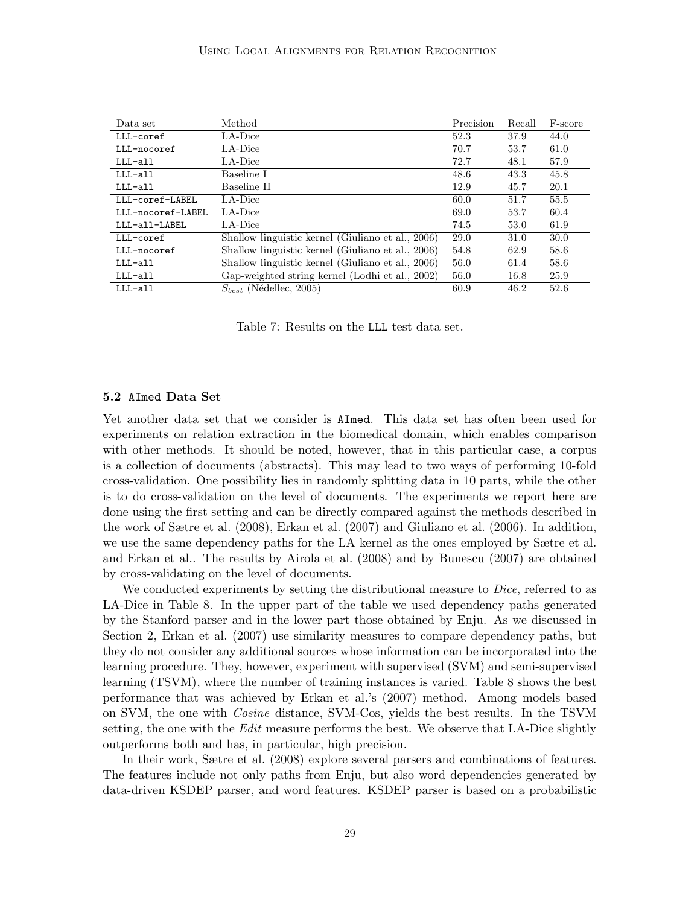| Data set          | Method                                            | Precision | Recall | F-score |
|-------------------|---------------------------------------------------|-----------|--------|---------|
| LLL-coref         | LA-Dice                                           | 52.3      | 37.9   | 44.0    |
| LLL-nocoref       | LA-Dice                                           | 70.7      | 53.7   | 61.0    |
| LLL-all           | LA-Dice                                           | 72.7      | 48.1   | 57.9    |
| LLL-all           | Baseline I                                        | 48.6      | 43.3   | 45.8    |
| LLL-all           | Baseline II                                       | 12.9      | 45.7   | 20.1    |
| LLL-coref-LABEL   | LA-Dice                                           | 60.0      | 51.7   | 55.5    |
| LLL-nocoref-LABEL | LA-Dice                                           | 69.0      | 53.7   | 60.4    |
| LLL-all-LABEL     | LA-Dice                                           | 74.5      | 53.0   | 61.9    |
| LLL-coref         | Shallow linguistic kernel (Giuliano et al., 2006) | 29.0      | 31.0   | 30.0    |
| LLL-nocoref       | Shallow linguistic kernel (Giuliano et al., 2006) | 54.8      | 62.9   | 58.6    |
| LLL-all           | Shallow linguistic kernel (Giuliano et al., 2006) | 56.0      | 61.4   | 58.6    |
| LLL-all           | Gap-weighted string kernel (Lodhi et al., 2002)   | 56.0      | 16.8   | 25.9    |
| LLL-all           | $S_{best}$ (Nédellec, 2005)                       | 60.9      | 46.2   | 52.6    |

Table 7: Results on the LLL test data set.

#### 5.2 AImed Data Set

Yet another data set that we consider is AImed. This data set has often been used for experiments on relation extraction in the biomedical domain, which enables comparison with other methods. It should be noted, however, that in this particular case, a corpus is a collection of documents (abstracts). This may lead to two ways of performing 10-fold cross-validation. One possibility lies in randomly splitting data in 10 parts, while the other is to do cross-validation on the level of documents. The experiments we report here are done using the first setting and can be directly compared against the methods described in the work of Sætre et al. (2008), Erkan et al. (2007) and Giuliano et al. (2006). In addition, we use the same dependency paths for the LA kernel as the ones employed by Sætre et al. and Erkan et al.. The results by Airola et al. (2008) and by Bunescu (2007) are obtained by cross-validating on the level of documents.

We conducted experiments by setting the distributional measure to *Dice*, referred to as LA-Dice in Table 8. In the upper part of the table we used dependency paths generated by the Stanford parser and in the lower part those obtained by Enju. As we discussed in Section 2, Erkan et al. (2007) use similarity measures to compare dependency paths, but they do not consider any additional sources whose information can be incorporated into the learning procedure. They, however, experiment with supervised (SVM) and semi-supervised learning (TSVM), where the number of training instances is varied. Table 8 shows the best performance that was achieved by Erkan et al.'s (2007) method. Among models based on SVM, the one with Cosine distance, SVM-Cos, yields the best results. In the TSVM setting, the one with the *Edit* measure performs the best. We observe that LA-Dice slightly outperforms both and has, in particular, high precision.

In their work, Sætre et al. (2008) explore several parsers and combinations of features. The features include not only paths from Enju, but also word dependencies generated by data-driven KSDEP parser, and word features. KSDEP parser is based on a probabilistic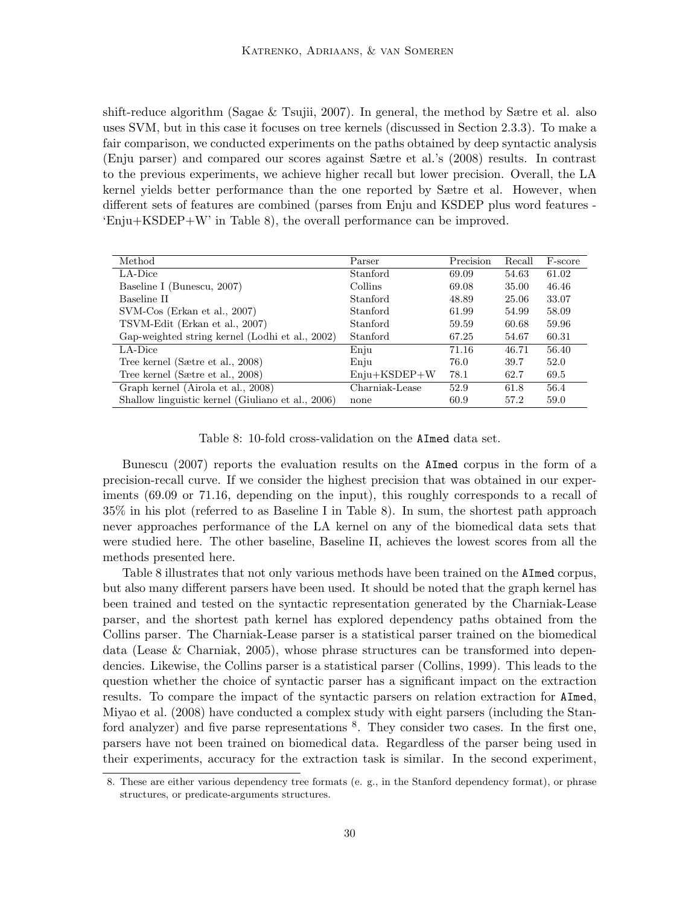shift-reduce algorithm (Sagae & Tsujii, 2007). In general, the method by Sætre et al. also uses SVM, but in this case it focuses on tree kernels (discussed in Section 2.3.3). To make a fair comparison, we conducted experiments on the paths obtained by deep syntactic analysis (Enju parser) and compared our scores against Sætre et al.'s (2008) results. In contrast to the previous experiments, we achieve higher recall but lower precision. Overall, the LA kernel yields better performance than the one reported by Sætre et al. However, when different sets of features are combined (parses from Enju and KSDEP plus word features - 'Enju+KSDEP+W' in Table 8), the overall performance can be improved.

| Method                                            | Parser         | Precision | Recall | F-score |
|---------------------------------------------------|----------------|-----------|--------|---------|
| LA-Dice                                           | Stanford       | 69.09     | 54.63  | 61.02   |
| Baseline I (Bunescu, 2007)                        | Collins        | 69.08     | 35.00  | 46.46   |
| Baseline II                                       | Stanford       | 48.89     | 25.06  | 33.07   |
| $SVM-Cos$ (Erkan et al., 2007)                    | Stanford       | 61.99     | 54.99  | 58.09   |
| TSVM-Edit (Erkan et al., 2007)                    | Stanford       | 59.59     | 60.68  | 59.96   |
| Gap-weighted string kernel (Lodhi et al., 2002)   | Stanford       | 67.25     | 54.67  | 60.31   |
| LA-Dice                                           | Enju           | 71.16     | 46.71  | 56.40   |
| Tree kernel (Sætre et al., 2008)                  | Enju           | 76.0      | 39.7   | 52.0    |
| Tree kernel (Sætre et al., 2008)                  | $Enju+KSDEP+W$ | 78.1      | 62.7   | 69.5    |
| Graph kernel (Airola et al., 2008)                | Charniak-Lease | 52.9      | 61.8   | 56.4    |
| Shallow linguistic kernel (Giuliano et al., 2006) | none           | 60.9      | 57.2   | 59.0    |

Table 8: 10-fold cross-validation on the AImed data set.

Bunescu (2007) reports the evaluation results on the AImed corpus in the form of a precision-recall curve. If we consider the highest precision that was obtained in our experiments (69.09 or 71.16, depending on the input), this roughly corresponds to a recall of 35% in his plot (referred to as Baseline I in Table 8). In sum, the shortest path approach never approaches performance of the LA kernel on any of the biomedical data sets that were studied here. The other baseline, Baseline II, achieves the lowest scores from all the methods presented here.

Table 8 illustrates that not only various methods have been trained on the AImed corpus, but also many different parsers have been used. It should be noted that the graph kernel has been trained and tested on the syntactic representation generated by the Charniak-Lease parser, and the shortest path kernel has explored dependency paths obtained from the Collins parser. The Charniak-Lease parser is a statistical parser trained on the biomedical data (Lease & Charniak, 2005), whose phrase structures can be transformed into dependencies. Likewise, the Collins parser is a statistical parser (Collins, 1999). This leads to the question whether the choice of syntactic parser has a significant impact on the extraction results. To compare the impact of the syntactic parsers on relation extraction for AImed, Miyao et al. (2008) have conducted a complex study with eight parsers (including the Stanford analyzer) and five parse representations  $8$ . They consider two cases. In the first one, parsers have not been trained on biomedical data. Regardless of the parser being used in their experiments, accuracy for the extraction task is similar. In the second experiment,

<sup>8.</sup> These are either various dependency tree formats (e. g., in the Stanford dependency format), or phrase structures, or predicate-arguments structures.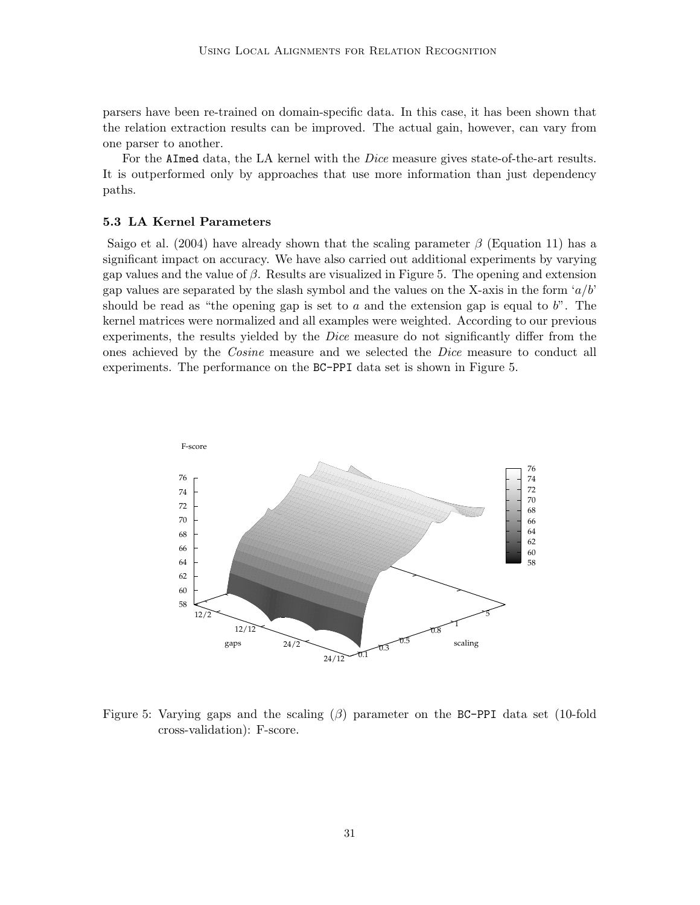parsers have been re-trained on domain-specific data. In this case, it has been shown that the relation extraction results can be improved. The actual gain, however, can vary from one parser to another.

For the AImed data, the LA kernel with the *Dice* measure gives state-of-the-art results. It is outperformed only by approaches that use more information than just dependency paths.

### 5.3 LA Kernel Parameters

Saigo et al. (2004) have already shown that the scaling parameter  $\beta$  (Equation 11) has a significant impact on accuracy. We have also carried out additional experiments by varying gap values and the value of  $\beta$ . Results are visualized in Figure 5. The opening and extension gap values are separated by the slash symbol and the values on the X-axis in the form  $a/b'$ should be read as "the opening gap is set to a and the extension gap is equal to  $b$ ". The kernel matrices were normalized and all examples were weighted. According to our previous experiments, the results yielded by the Dice measure do not significantly differ from the ones achieved by the Cosine measure and we selected the Dice measure to conduct all experiments. The performance on the BC-PPI data set is shown in Figure 5.



Figure 5: Varying gaps and the scaling  $(\beta)$  parameter on the BC-PPI data set (10-fold cross-validation): F-score.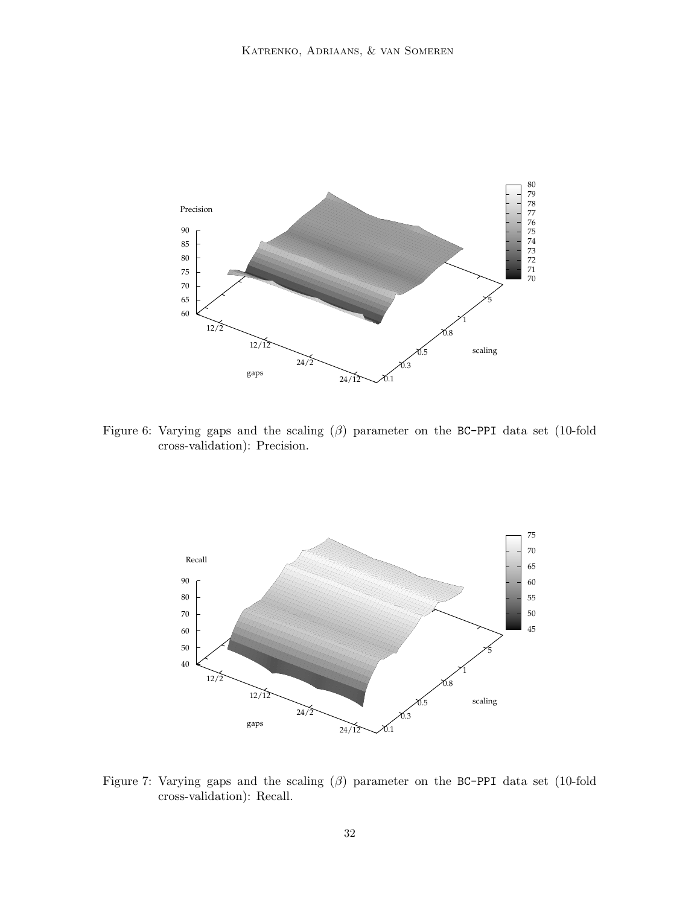

Figure 6: Varying gaps and the scaling (β) parameter on the BC-PPI data set (10-fold cross-validation): Precision.



Figure 7: Varying gaps and the scaling (β) parameter on the BC-PPI data set (10-fold cross-validation): Recall.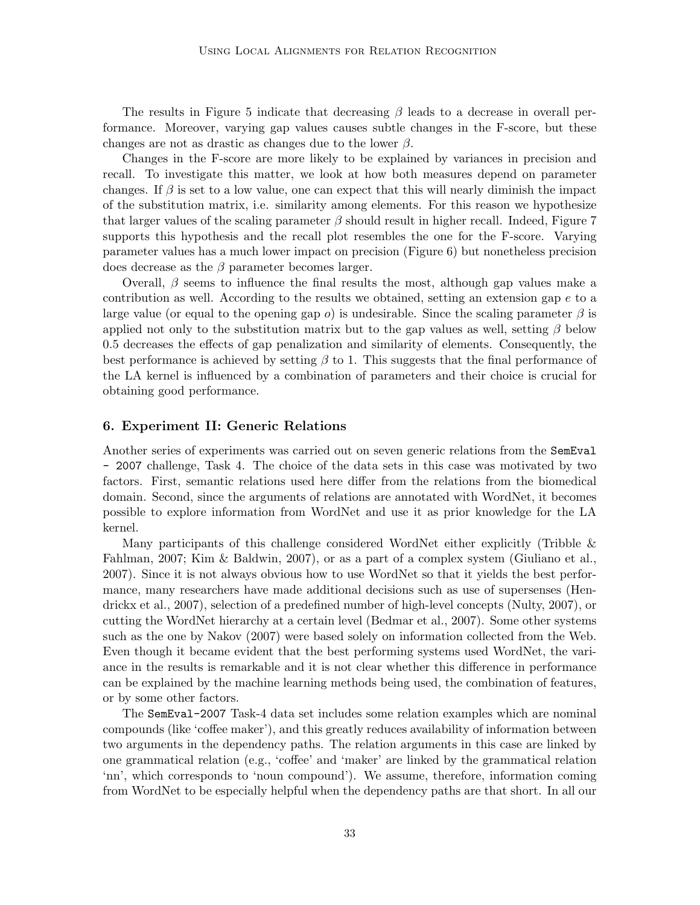The results in Figure 5 indicate that decreasing  $\beta$  leads to a decrease in overall performance. Moreover, varying gap values causes subtle changes in the F-score, but these changes are not as drastic as changes due to the lower  $\beta$ .

Changes in the F-score are more likely to be explained by variances in precision and recall. To investigate this matter, we look at how both measures depend on parameter changes. If  $\beta$  is set to a low value, one can expect that this will nearly diminish the impact of the substitution matrix, i.e. similarity among elements. For this reason we hypothesize that larger values of the scaling parameter  $\beta$  should result in higher recall. Indeed, Figure 7 supports this hypothesis and the recall plot resembles the one for the F-score. Varying parameter values has a much lower impact on precision (Figure 6) but nonetheless precision does decrease as the  $\beta$  parameter becomes larger.

Overall,  $\beta$  seems to influence the final results the most, although gap values make a contribution as well. According to the results we obtained, setting an extension gap  $e$  to a large value (or equal to the opening gap o) is undesirable. Since the scaling parameter  $\beta$  is applied not only to the substitution matrix but to the gap values as well, setting  $\beta$  below 0.5 decreases the effects of gap penalization and similarity of elements. Consequently, the best performance is achieved by setting  $\beta$  to 1. This suggests that the final performance of the LA kernel is influenced by a combination of parameters and their choice is crucial for obtaining good performance.

### 6. Experiment II: Generic Relations

Another series of experiments was carried out on seven generic relations from the SemEval - 2007 challenge, Task 4. The choice of the data sets in this case was motivated by two factors. First, semantic relations used here differ from the relations from the biomedical domain. Second, since the arguments of relations are annotated with WordNet, it becomes possible to explore information from WordNet and use it as prior knowledge for the LA kernel.

Many participants of this challenge considered WordNet either explicitly (Tribble & Fahlman, 2007; Kim & Baldwin, 2007), or as a part of a complex system (Giuliano et al., 2007). Since it is not always obvious how to use WordNet so that it yields the best performance, many researchers have made additional decisions such as use of supersenses (Hendrickx et al., 2007), selection of a predefined number of high-level concepts (Nulty, 2007), or cutting the WordNet hierarchy at a certain level (Bedmar et al., 2007). Some other systems such as the one by Nakov (2007) were based solely on information collected from the Web. Even though it became evident that the best performing systems used WordNet, the variance in the results is remarkable and it is not clear whether this difference in performance can be explained by the machine learning methods being used, the combination of features, or by some other factors.

The SemEval-2007 Task-4 data set includes some relation examples which are nominal compounds (like 'coffee maker'), and this greatly reduces availability of information between two arguments in the dependency paths. The relation arguments in this case are linked by one grammatical relation (e.g., 'coffee' and 'maker' are linked by the grammatical relation 'nn', which corresponds to 'noun compound'). We assume, therefore, information coming from WordNet to be especially helpful when the dependency paths are that short. In all our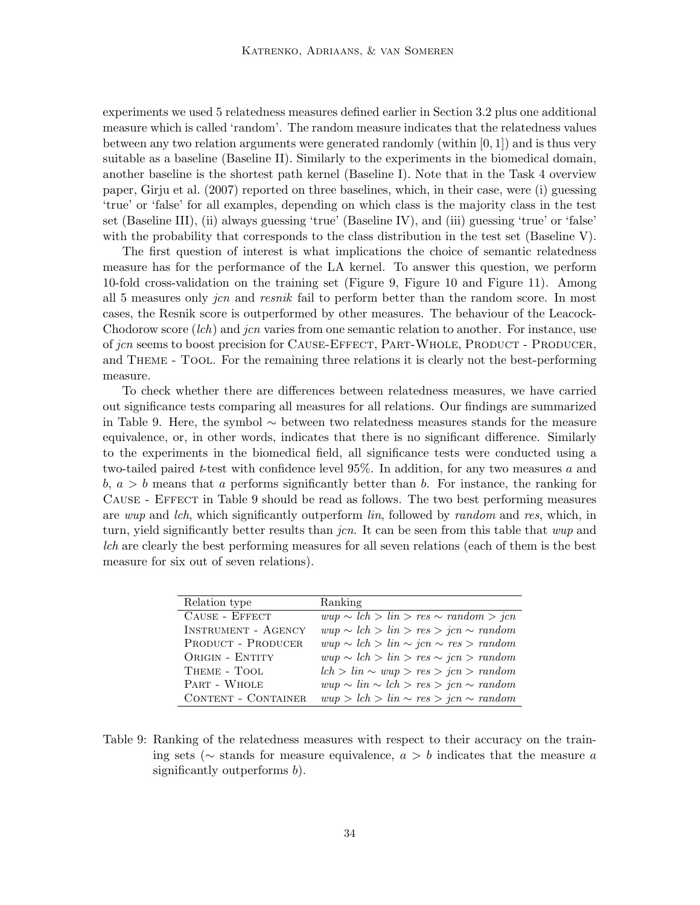experiments we used 5 relatedness measures defined earlier in Section 3.2 plus one additional measure which is called 'random'. The random measure indicates that the relatedness values between any two relation arguments were generated randomly (within [0, 1]) and is thus very suitable as a baseline (Baseline II). Similarly to the experiments in the biomedical domain, another baseline is the shortest path kernel (Baseline I). Note that in the Task 4 overview paper, Girju et al. (2007) reported on three baselines, which, in their case, were (i) guessing 'true' or 'false' for all examples, depending on which class is the majority class in the test set (Baseline III), (ii) always guessing 'true' (Baseline IV), and (iii) guessing 'true' or 'false' with the probability that corresponds to the class distribution in the test set (Baseline V).

The first question of interest is what implications the choice of semantic relatedness measure has for the performance of the LA kernel. To answer this question, we perform 10-fold cross-validation on the training set (Figure 9, Figure 10 and Figure 11). Among all 5 measures only *jcn* and *resnik* fail to perform better than the random score. In most cases, the Resnik score is outperformed by other measures. The behaviour of the Leacock-Chodorow score *(lch)* and *jcn* varies from one semantic relation to another. For instance, use of jcn seems to boost precision for CAUSE-EFFECT, PART-WHOLE, PRODUCT - PRODUCER, and Theme - Tool. For the remaining three relations it is clearly not the best-performing measure.

To check whether there are differences between relatedness measures, we have carried out significance tests comparing all measures for all relations. Our findings are summarized in Table 9. Here, the symbol ∼ between two relatedness measures stands for the measure equivalence, or, in other words, indicates that there is no significant difference. Similarly to the experiments in the biomedical field, all significance tests were conducted using a two-tailed paired t-test with confidence level  $95\%$ . In addition, for any two measures a and  $b, a > b$  means that a performs significantly better than b. For instance, the ranking for Cause - Effect in Table 9 should be read as follows. The two best performing measures are wup and lch, which significantly outperform lin, followed by random and res, which, in turn, yield significantly better results than *jcn*. It can be seen from this table that *wup* and lch are clearly the best performing measures for all seven relations (each of them is the best measure for six out of seven relations).

| Relation type              | Ranking                                         |
|----------------------------|-------------------------------------------------|
| CAUSE - EFFECT             | $wup \sim lch > lin > res \sim random > jcn$    |
| <b>INSTRUMENT - AGENCY</b> | $wup \sim lch > lin > res > jcn \sim random$    |
| <b>PRODUCT - PRODUCER</b>  | $wup \sim lch > lin \sim jcn \sim res > random$ |
| ORIGIN - ENTITY            | $wup \sim lch > lin > res \sim jcn > random$    |
| THEME - TOOL               | $lch > lin \sim wup > res > jcn > random$       |
| PART - WHOLE               | $wup \sim lin \sim lch > res > jcn \sim random$ |
| <b>CONTENT - CONTAINER</b> | $wup > lch > lin \sim res > jcn \sim random$    |

Table 9: Ranking of the relatedness measures with respect to their accuracy on the training sets ( $\sim$  stands for measure equivalence,  $a > b$  indicates that the measure a significantly outperforms b).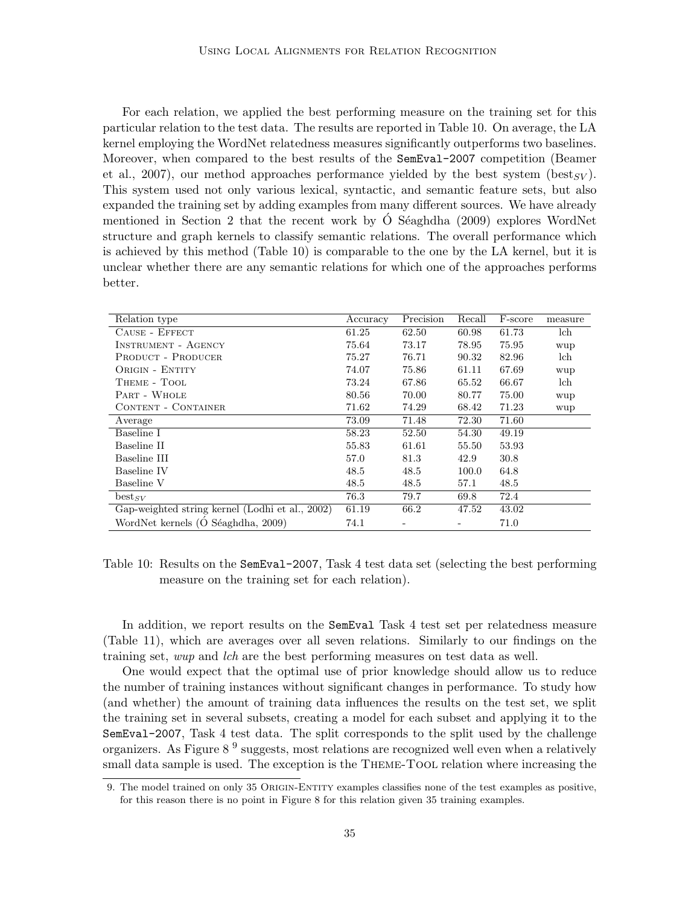For each relation, we applied the best performing measure on the training set for this particular relation to the test data. The results are reported in Table 10. On average, the LA kernel employing the WordNet relatedness measures significantly outperforms two baselines. Moreover, when compared to the best results of the SemEval-2007 competition (Beamer et al., 2007), our method approaches performance yielded by the best system (best<sub>SV</sub>). This system used not only various lexical, syntactic, and semantic feature sets, but also expanded the training set by adding examples from many different sources. We have already mentioned in Section 2 that the recent work by  $\acute{O}$  Séaghdha (2009) explores WordNet structure and graph kernels to classify semantic relations. The overall performance which is achieved by this method (Table 10) is comparable to the one by the LA kernel, but it is unclear whether there are any semantic relations for which one of the approaches performs better.

| Relation type                                   | Accuracy | Precision | Recall | F-score | measure |
|-------------------------------------------------|----------|-----------|--------|---------|---------|
| CAUSE - EFFECT                                  | 61.25    | 62.50     | 60.98  | 61.73   | lch     |
| INSTRUMENT - AGENCY                             | 75.64    | 73.17     | 78.95  | 75.95   | wup     |
| <b>PRODUCT - PRODUCER</b>                       | 75.27    | 76.71     | 90.32  | 82.96   | lch     |
| ORIGIN - ENTITY                                 | 74.07    | 75.86     | 61.11  | 67.69   | wup     |
| THEME - TOOL                                    | 73.24    | 67.86     | 65.52  | 66.67   | lch     |
| PART - WHOLE                                    | 80.56    | 70.00     | 80.77  | 75.00   | wup     |
| CONTENT - CONTAINER                             | 71.62    | 74.29     | 68.42  | 71.23   | wup     |
| Average                                         | 73.09    | 71.48     | 72.30  | 71.60   |         |
| Baseline I                                      | 58.23    | 52.50     | 54.30  | 49.19   |         |
| Baseline II                                     | 55.83    | 61.61     | 55.50  | 53.93   |         |
| Baseline III                                    | 57.0     | 81.3      | 42.9   | 30.8    |         |
| Baseline IV                                     | 48.5     | 48.5      | 100.0  | 64.8    |         |
| Baseline V                                      | 48.5     | 48.5      | 57.1   | 48.5    |         |
| $best_{SV}$                                     | 76.3     | 79.7      | 69.8   | 72.4    |         |
| Gap-weighted string kernel (Lodhi et al., 2002) | 61.19    | 66.2      | 47.52  | 43.02   |         |
| WordNet kernels (Ó Séaghdha, 2009)              | 74.1     |           |        | 71.0    |         |

Table 10: Results on the SemEval-2007, Task 4 test data set (selecting the best performing measure on the training set for each relation).

In addition, we report results on the SemEval Task 4 test set per relatedness measure (Table 11), which are averages over all seven relations. Similarly to our findings on the training set, wup and lch are the best performing measures on test data as well.

One would expect that the optimal use of prior knowledge should allow us to reduce the number of training instances without significant changes in performance. To study how (and whether) the amount of training data influences the results on the test set, we split the training set in several subsets, creating a model for each subset and applying it to the SemEval-2007, Task 4 test data. The split corresponds to the split used by the challenge organizers. As Figure 8<sup>9</sup> suggests, most relations are recognized well even when a relatively small data sample is used. The exception is the THEME-TOOL relation where increasing the

<sup>9.</sup> The model trained on only 35 ORIGIN-ENTITY examples classifies none of the test examples as positive, for this reason there is no point in Figure 8 for this relation given 35 training examples.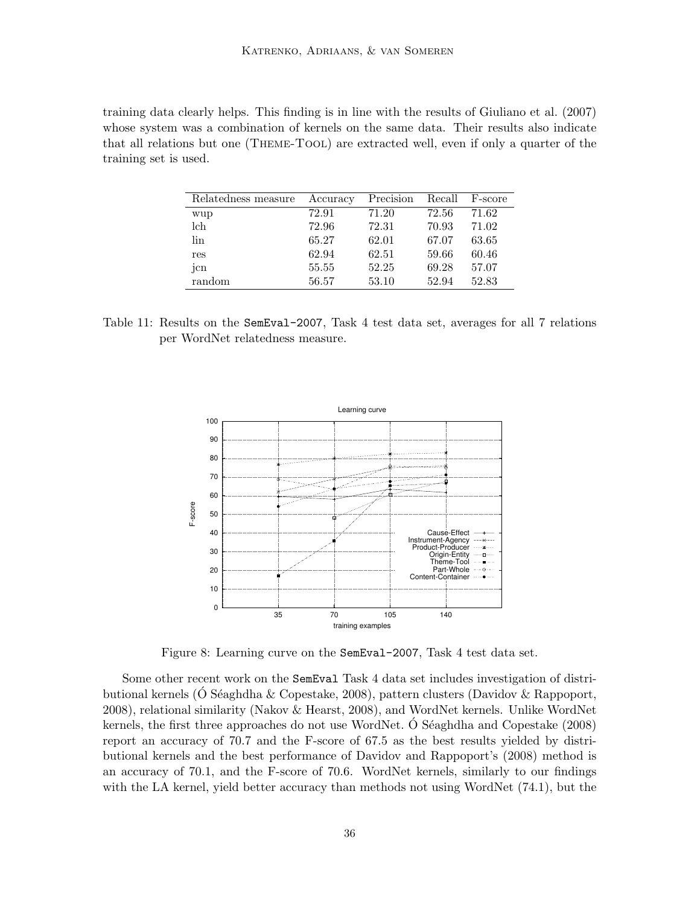training data clearly helps. This finding is in line with the results of Giuliano et al. (2007) whose system was a combination of kernels on the same data. Their results also indicate that all relations but one (Theme-Tool) are extracted well, even if only a quarter of the training set is used.

| Relatedness measure | Accuracy | Precision | Recall | F-score |
|---------------------|----------|-----------|--------|---------|
| wup                 | 72.91    | 71.20     | 72.56  | 71.62   |
| lch                 | 72.96    | 72.31     | 70.93  | 71.02   |
| lin                 | 65.27    | 62.01     | 67.07  | 63.65   |
| res                 | 62.94    | 62.51     | 59.66  | 60.46   |
| jcn                 | 55.55    | 52.25     | 69.28  | 57.07   |
| random              | 56.57    | 53.10     | 52.94  | 52.83   |

Table 11: Results on the SemEval-2007, Task 4 test data set, averages for all 7 relations per WordNet relatedness measure.



Figure 8: Learning curve on the SemEval-2007, Task 4 test data set.

Some other recent work on the SemEval Task 4 data set includes investigation of distributional kernels (O Séaghdha & Copestake, 2008), pattern clusters (Davidov & Rappoport, 2008), relational similarity (Nakov & Hearst, 2008), and WordNet kernels. Unlike WordNet kernels, the first three approaches do not use WordNet. O Séaghdha and Copestake  $(2008)$ report an accuracy of 70.7 and the F-score of 67.5 as the best results yielded by distributional kernels and the best performance of Davidov and Rappoport's (2008) method is an accuracy of 70.1, and the F-score of 70.6. WordNet kernels, similarly to our findings with the LA kernel, yield better accuracy than methods not using WordNet (74.1), but the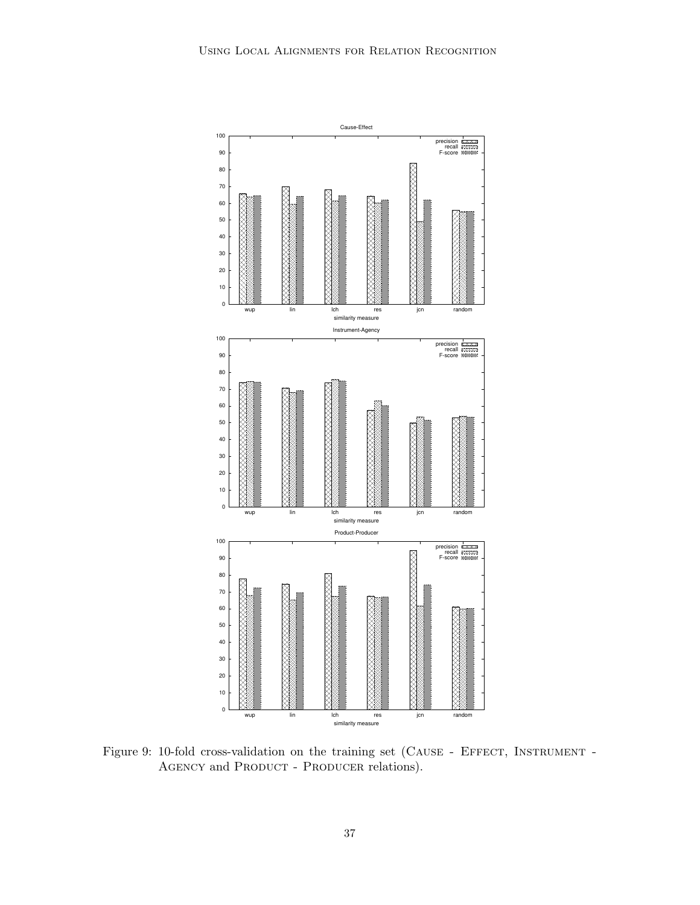

Figure 9: 10-fold cross-validation on the training set (CAUSE - EFFECT, INSTRUMENT -AGENCY and PRODUCT - PRODUCER relations).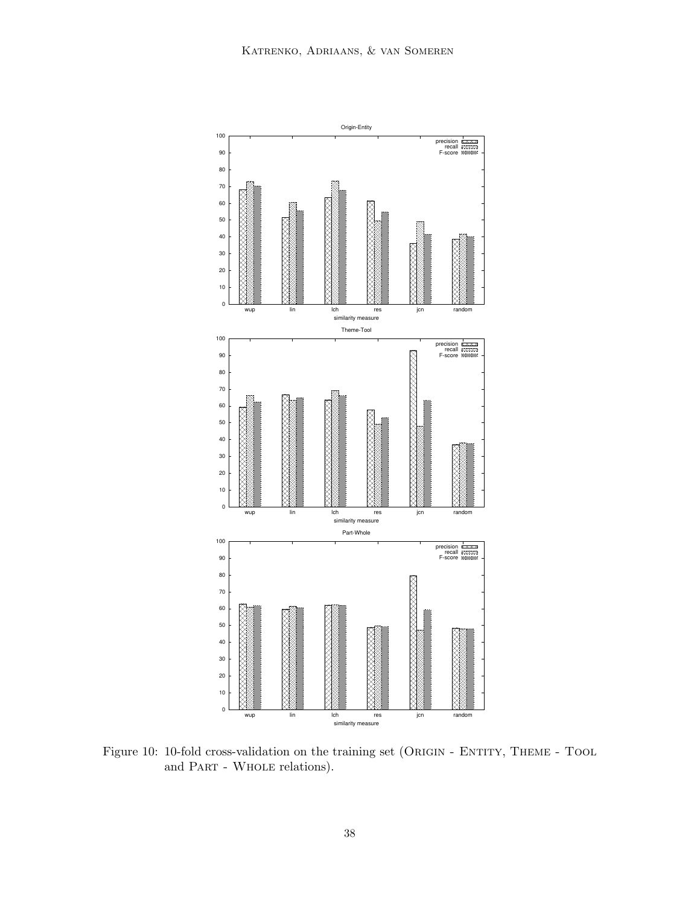

Figure 10: 10-fold cross-validation on the training set (ORIGIN - ENTITY, THEME - TOOL and Part - Whole relations).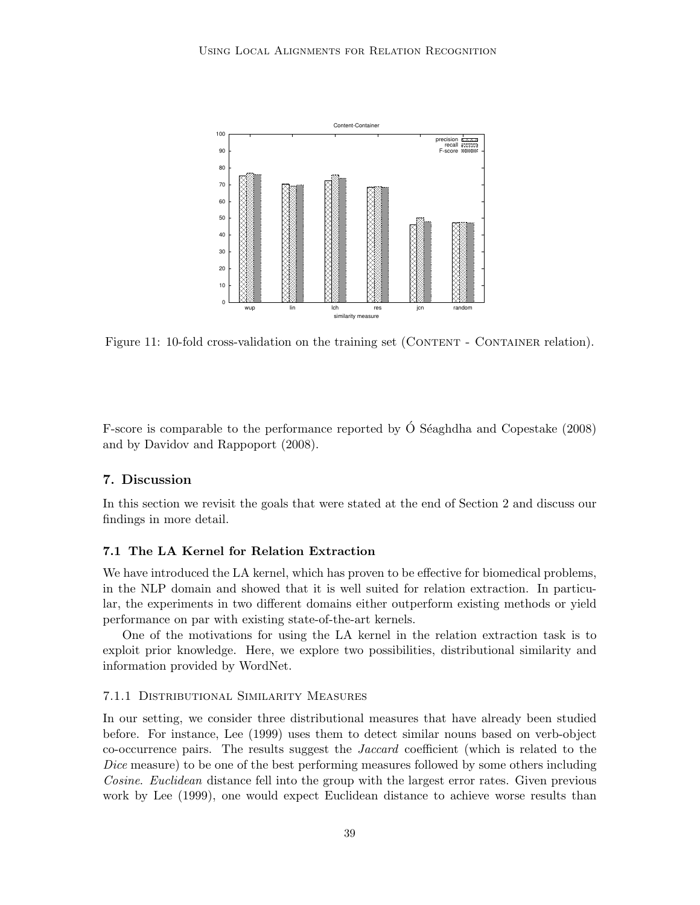

Figure 11: 10-fold cross-validation on the training set (CONTENT - CONTAINER relation).

F-score is comparable to the performance reported by  $\acute{O}$  Séaghdha and Copestake (2008) and by Davidov and Rappoport (2008).

# 7. Discussion

In this section we revisit the goals that were stated at the end of Section 2 and discuss our findings in more detail.

# 7.1 The LA Kernel for Relation Extraction

We have introduced the LA kernel, which has proven to be effective for biomedical problems, in the NLP domain and showed that it is well suited for relation extraction. In particular, the experiments in two different domains either outperform existing methods or yield performance on par with existing state-of-the-art kernels.

One of the motivations for using the LA kernel in the relation extraction task is to exploit prior knowledge. Here, we explore two possibilities, distributional similarity and information provided by WordNet.

### 7.1.1 Distributional Similarity Measures

In our setting, we consider three distributional measures that have already been studied before. For instance, Lee (1999) uses them to detect similar nouns based on verb-object co-occurrence pairs. The results suggest the Jaccard coefficient (which is related to the Dice measure) to be one of the best performing measures followed by some others including Cosine. Euclidean distance fell into the group with the largest error rates. Given previous work by Lee (1999), one would expect Euclidean distance to achieve worse results than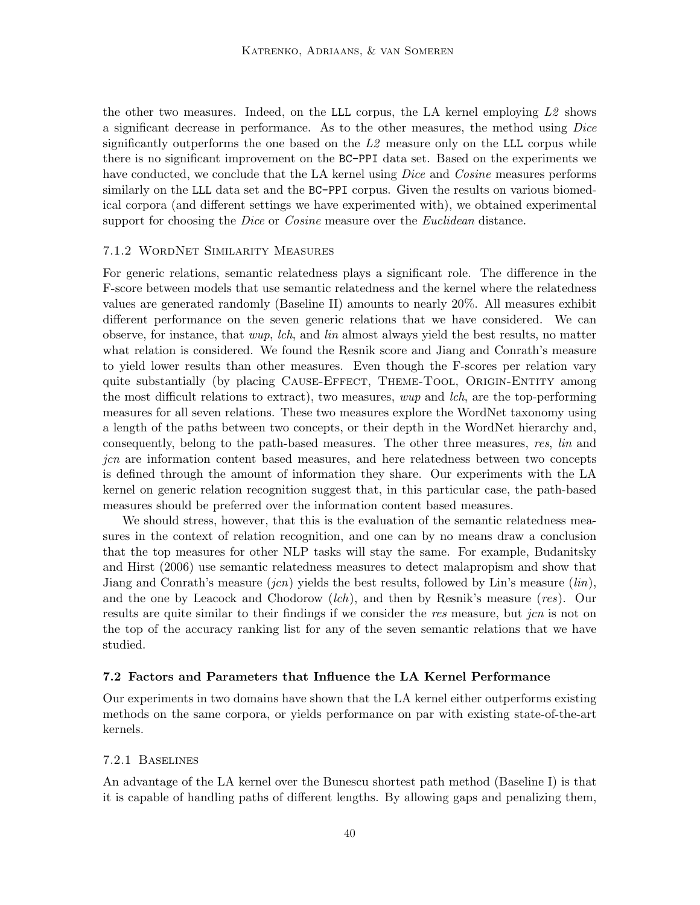the other two measures. Indeed, on the LLL corpus, the LA kernel employing  $L2$  shows a significant decrease in performance. As to the other measures, the method using Dice significantly outperforms the one based on the  $L2$  measure only on the LLL corpus while there is no significant improvement on the BC-PPI data set. Based on the experiments we have conducted, we conclude that the LA kernel using *Dice* and *Cosine* measures performs similarly on the LLL data set and the BC-PPI corpus. Given the results on various biomedical corpora (and different settings we have experimented with), we obtained experimental support for choosing the *Dice* or *Cosine* measure over the *Euclidean* distance.

### 7.1.2 WordNet Similarity Measures

For generic relations, semantic relatedness plays a significant role. The difference in the F-score between models that use semantic relatedness and the kernel where the relatedness values are generated randomly (Baseline II) amounts to nearly 20%. All measures exhibit different performance on the seven generic relations that we have considered. We can observe, for instance, that wup, lch, and lin almost always yield the best results, no matter what relation is considered. We found the Resnik score and Jiang and Conrath's measure to yield lower results than other measures. Even though the F-scores per relation vary quite substantially (by placing CAUSE-EFFECT, THEME-TOOL, ORIGIN-ENTITY among the most difficult relations to extract), two measures, wup and lch, are the top-performing measures for all seven relations. These two measures explore the WordNet taxonomy using a length of the paths between two concepts, or their depth in the WordNet hierarchy and, consequently, belong to the path-based measures. The other three measures, res, lin and jcn are information content based measures, and here relatedness between two concepts is defined through the amount of information they share. Our experiments with the LA kernel on generic relation recognition suggest that, in this particular case, the path-based measures should be preferred over the information content based measures.

We should stress, however, that this is the evaluation of the semantic relatedness measures in the context of relation recognition, and one can by no means draw a conclusion that the top measures for other NLP tasks will stay the same. For example, Budanitsky and Hirst (2006) use semantic relatedness measures to detect malapropism and show that Jiang and Conrath's measure  $(jcn)$  yields the best results, followed by Lin's measure  $(lin)$ , and the one by Leacock and Chodorow (lch), and then by Resnik's measure (res). Our results are quite similar to their findings if we consider the res measure, but jcn is not on the top of the accuracy ranking list for any of the seven semantic relations that we have studied.

#### 7.2 Factors and Parameters that Influence the LA Kernel Performance

Our experiments in two domains have shown that the LA kernel either outperforms existing methods on the same corpora, or yields performance on par with existing state-of-the-art kernels.

#### 7.2.1 Baselines

An advantage of the LA kernel over the Bunescu shortest path method (Baseline I) is that it is capable of handling paths of different lengths. By allowing gaps and penalizing them,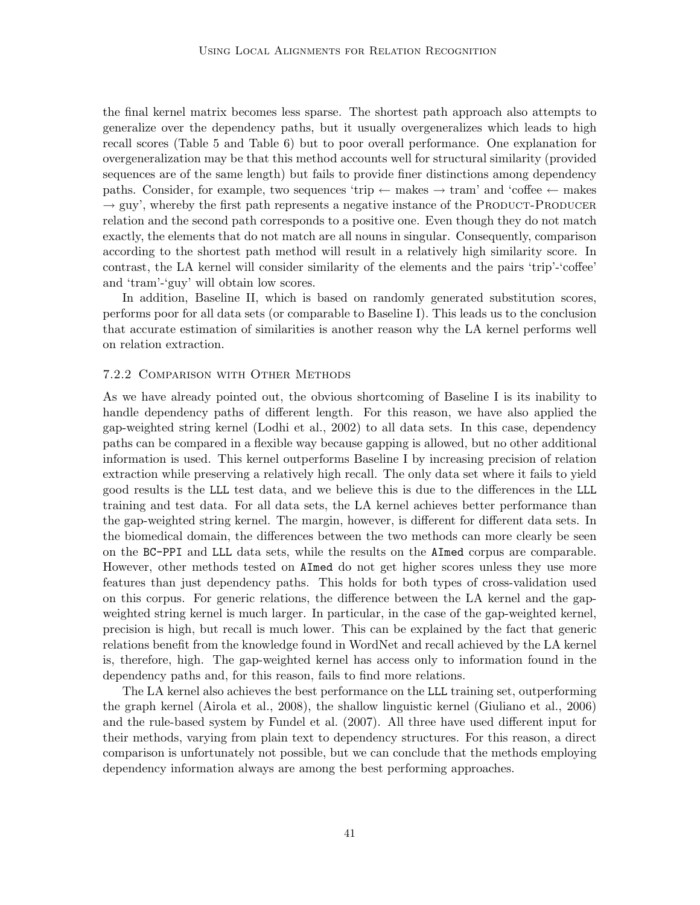the final kernel matrix becomes less sparse. The shortest path approach also attempts to generalize over the dependency paths, but it usually overgeneralizes which leads to high recall scores (Table 5 and Table 6) but to poor overall performance. One explanation for overgeneralization may be that this method accounts well for structural similarity (provided sequences are of the same length) but fails to provide finer distinctions among dependency paths. Consider, for example, two sequences 'trip  $\leftarrow$  makes  $\rightarrow$  tram' and 'coffee  $\leftarrow$  makes  $\rightarrow$  guy', whereby the first path represents a negative instance of the PRODUCT-PRODUCER relation and the second path corresponds to a positive one. Even though they do not match exactly, the elements that do not match are all nouns in singular. Consequently, comparison according to the shortest path method will result in a relatively high similarity score. In contrast, the LA kernel will consider similarity of the elements and the pairs 'trip'-'coffee' and 'tram'-'guy' will obtain low scores.

In addition, Baseline II, which is based on randomly generated substitution scores, performs poor for all data sets (or comparable to Baseline I). This leads us to the conclusion that accurate estimation of similarities is another reason why the LA kernel performs well on relation extraction.

# 7.2.2 Comparison with Other Methods

As we have already pointed out, the obvious shortcoming of Baseline I is its inability to handle dependency paths of different length. For this reason, we have also applied the gap-weighted string kernel (Lodhi et al., 2002) to all data sets. In this case, dependency paths can be compared in a flexible way because gapping is allowed, but no other additional information is used. This kernel outperforms Baseline I by increasing precision of relation extraction while preserving a relatively high recall. The only data set where it fails to yield good results is the LLL test data, and we believe this is due to the differences in the LLL training and test data. For all data sets, the LA kernel achieves better performance than the gap-weighted string kernel. The margin, however, is different for different data sets. In the biomedical domain, the differences between the two methods can more clearly be seen on the BC-PPI and LLL data sets, while the results on the AImed corpus are comparable. However, other methods tested on AImed do not get higher scores unless they use more features than just dependency paths. This holds for both types of cross-validation used on this corpus. For generic relations, the difference between the LA kernel and the gapweighted string kernel is much larger. In particular, in the case of the gap-weighted kernel, precision is high, but recall is much lower. This can be explained by the fact that generic relations benefit from the knowledge found in WordNet and recall achieved by the LA kernel is, therefore, high. The gap-weighted kernel has access only to information found in the dependency paths and, for this reason, fails to find more relations.

The LA kernel also achieves the best performance on the LLL training set, outperforming the graph kernel (Airola et al., 2008), the shallow linguistic kernel (Giuliano et al., 2006) and the rule-based system by Fundel et al. (2007). All three have used different input for their methods, varying from plain text to dependency structures. For this reason, a direct comparison is unfortunately not possible, but we can conclude that the methods employing dependency information always are among the best performing approaches.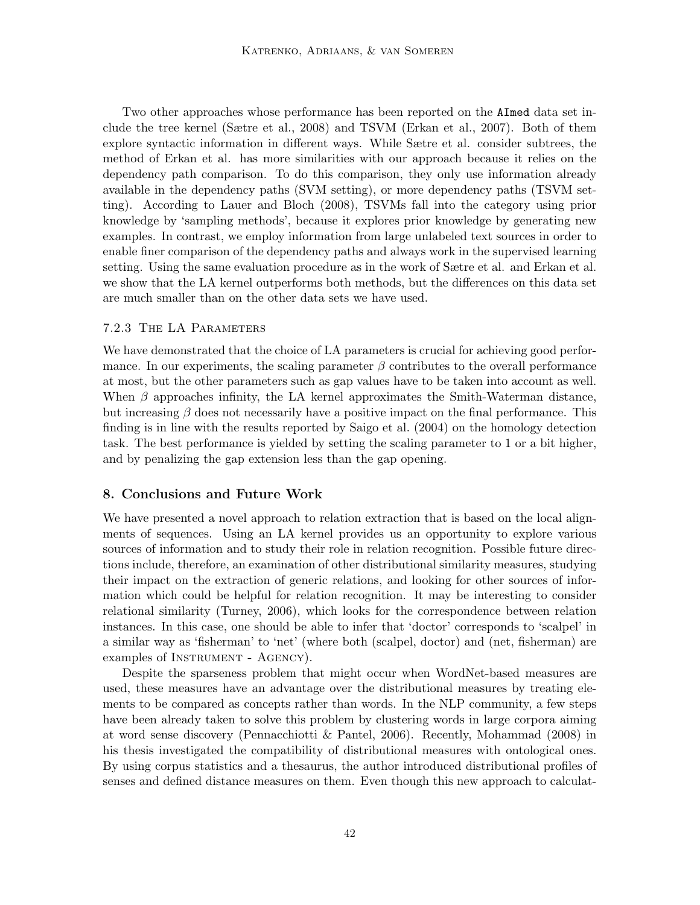Two other approaches whose performance has been reported on the AImed data set include the tree kernel (Sætre et al., 2008) and TSVM (Erkan et al., 2007). Both of them explore syntactic information in different ways. While Sætre et al. consider subtrees, the method of Erkan et al. has more similarities with our approach because it relies on the dependency path comparison. To do this comparison, they only use information already available in the dependency paths (SVM setting), or more dependency paths (TSVM setting). According to Lauer and Bloch (2008), TSVMs fall into the category using prior knowledge by 'sampling methods', because it explores prior knowledge by generating new examples. In contrast, we employ information from large unlabeled text sources in order to enable finer comparison of the dependency paths and always work in the supervised learning setting. Using the same evaluation procedure as in the work of Sætre et al. and Erkan et al. we show that the LA kernel outperforms both methods, but the differences on this data set are much smaller than on the other data sets we have used.

#### 7.2.3 The LA Parameters

We have demonstrated that the choice of LA parameters is crucial for achieving good performance. In our experiments, the scaling parameter  $\beta$  contributes to the overall performance at most, but the other parameters such as gap values have to be taken into account as well. When  $\beta$  approaches infinity, the LA kernel approximates the Smith-Waterman distance, but increasing  $\beta$  does not necessarily have a positive impact on the final performance. This finding is in line with the results reported by Saigo et al. (2004) on the homology detection task. The best performance is yielded by setting the scaling parameter to 1 or a bit higher, and by penalizing the gap extension less than the gap opening.

### 8. Conclusions and Future Work

We have presented a novel approach to relation extraction that is based on the local alignments of sequences. Using an LA kernel provides us an opportunity to explore various sources of information and to study their role in relation recognition. Possible future directions include, therefore, an examination of other distributional similarity measures, studying their impact on the extraction of generic relations, and looking for other sources of information which could be helpful for relation recognition. It may be interesting to consider relational similarity (Turney, 2006), which looks for the correspondence between relation instances. In this case, one should be able to infer that 'doctor' corresponds to 'scalpel' in a similar way as 'fisherman' to 'net' (where both (scalpel, doctor) and (net, fisherman) are examples of INSTRUMENT - AGENCY).

Despite the sparseness problem that might occur when WordNet-based measures are used, these measures have an advantage over the distributional measures by treating elements to be compared as concepts rather than words. In the NLP community, a few steps have been already taken to solve this problem by clustering words in large corpora aiming at word sense discovery (Pennacchiotti & Pantel, 2006). Recently, Mohammad (2008) in his thesis investigated the compatibility of distributional measures with ontological ones. By using corpus statistics and a thesaurus, the author introduced distributional profiles of senses and defined distance measures on them. Even though this new approach to calculat-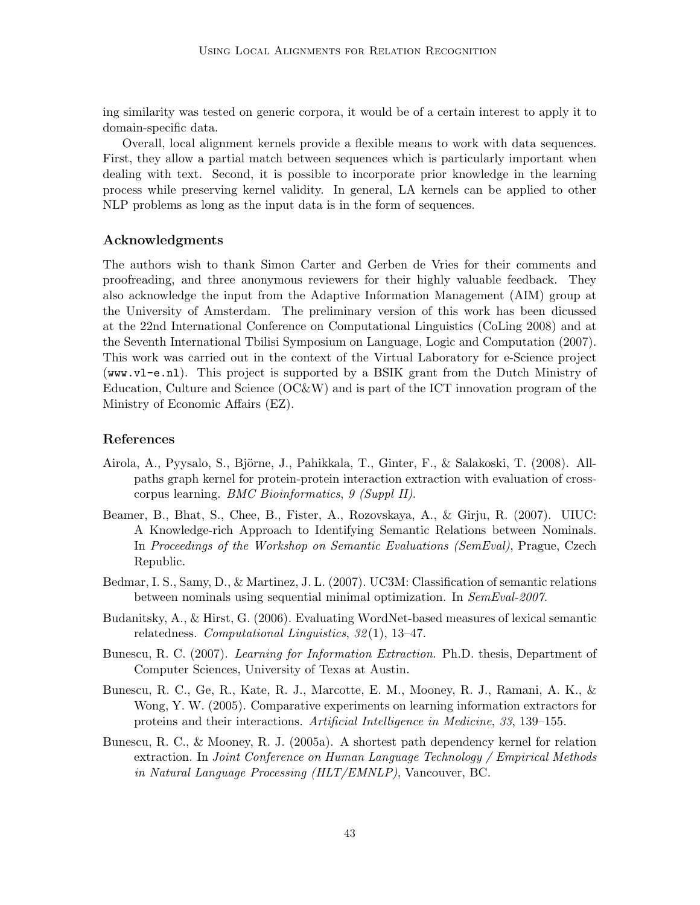ing similarity was tested on generic corpora, it would be of a certain interest to apply it to domain-specific data.

Overall, local alignment kernels provide a flexible means to work with data sequences. First, they allow a partial match between sequences which is particularly important when dealing with text. Second, it is possible to incorporate prior knowledge in the learning process while preserving kernel validity. In general, LA kernels can be applied to other NLP problems as long as the input data is in the form of sequences.

#### Acknowledgments

The authors wish to thank Simon Carter and Gerben de Vries for their comments and proofreading, and three anonymous reviewers for their highly valuable feedback. They also acknowledge the input from the Adaptive Information Management (AIM) group at the University of Amsterdam. The preliminary version of this work has been dicussed at the 22nd International Conference on Computational Linguistics (CoLing 2008) and at the Seventh International Tbilisi Symposium on Language, Logic and Computation (2007). This work was carried out in the context of the Virtual Laboratory for e-Science project (www.vl-e.nl). This project is supported by a BSIK grant from the Dutch Ministry of Education, Culture and Science (OC&W) and is part of the ICT innovation program of the Ministry of Economic Affairs (EZ).

# References

- Airola, A., Pyysalo, S., Björne, J., Pahikkala, T., Ginter, F., & Salakoski, T. (2008). Allpaths graph kernel for protein-protein interaction extraction with evaluation of crosscorpus learning. BMC Bioinformatics, 9 (Suppl II).
- Beamer, B., Bhat, S., Chee, B., Fister, A., Rozovskaya, A., & Girju, R. (2007). UIUC: A Knowledge-rich Approach to Identifying Semantic Relations between Nominals. In Proceedings of the Workshop on Semantic Evaluations (SemEval), Prague, Czech Republic.
- Bedmar, I. S., Samy, D., & Martinez, J. L. (2007). UC3M: Classification of semantic relations between nominals using sequential minimal optimization. In SemEval-2007.
- Budanitsky, A., & Hirst, G. (2006). Evaluating WordNet-based measures of lexical semantic relatedness. Computational Linguistics, 32 (1), 13–47.
- Bunescu, R. C. (2007). Learning for Information Extraction. Ph.D. thesis, Department of Computer Sciences, University of Texas at Austin.
- Bunescu, R. C., Ge, R., Kate, R. J., Marcotte, E. M., Mooney, R. J., Ramani, A. K., & Wong, Y. W. (2005). Comparative experiments on learning information extractors for proteins and their interactions. Artificial Intelligence in Medicine, 33, 139–155.
- Bunescu, R. C., & Mooney, R. J. (2005a). A shortest path dependency kernel for relation extraction. In Joint Conference on Human Language Technology / Empirical Methods in Natural Language Processing (HLT/EMNLP), Vancouver, BC.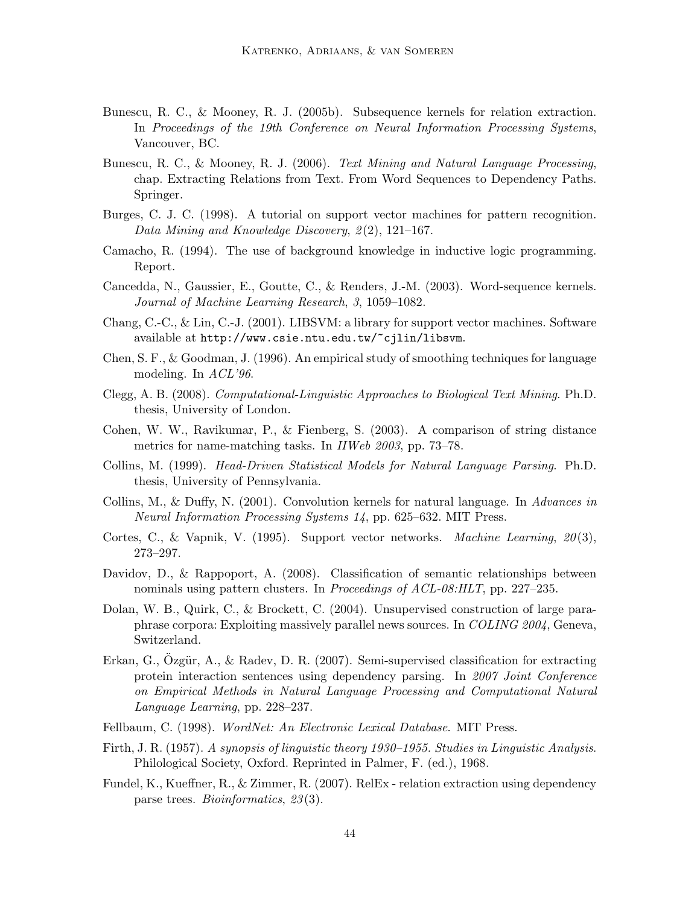- Bunescu, R. C., & Mooney, R. J. (2005b). Subsequence kernels for relation extraction. In Proceedings of the 19th Conference on Neural Information Processing Systems, Vancouver, BC.
- Bunescu, R. C., & Mooney, R. J. (2006). Text Mining and Natural Language Processing, chap. Extracting Relations from Text. From Word Sequences to Dependency Paths. Springer.
- Burges, C. J. C. (1998). A tutorial on support vector machines for pattern recognition. Data Mining and Knowledge Discovery,  $2(2)$ , 121–167.
- Camacho, R. (1994). The use of background knowledge in inductive logic programming. Report.
- Cancedda, N., Gaussier, E., Goutte, C., & Renders, J.-M. (2003). Word-sequence kernels. Journal of Machine Learning Research, 3, 1059–1082.
- Chang, C.-C., & Lin, C.-J. (2001). LIBSVM: a library for support vector machines. Software available at http://www.csie.ntu.edu.tw/~cjlin/libsvm.
- Chen, S. F., & Goodman, J. (1996). An empirical study of smoothing techniques for language modeling. In ACL'96.
- Clegg, A. B. (2008). Computational-Linguistic Approaches to Biological Text Mining. Ph.D. thesis, University of London.
- Cohen, W. W., Ravikumar, P., & Fienberg, S. (2003). A comparison of string distance metrics for name-matching tasks. In IIWeb 2003, pp. 73–78.
- Collins, M. (1999). Head-Driven Statistical Models for Natural Language Parsing. Ph.D. thesis, University of Pennsylvania.
- Collins, M., & Duffy, N. (2001). Convolution kernels for natural language. In Advances in Neural Information Processing Systems 14, pp. 625–632. MIT Press.
- Cortes, C., & Vapnik, V. (1995). Support vector networks. *Machine Learning*,  $20(3)$ , 273–297.
- Davidov, D., & Rappoport, A. (2008). Classification of semantic relationships between nominals using pattern clusters. In *Proceedings of ACL-08:HLT*, pp. 227–235.
- Dolan, W. B., Quirk, C., & Brockett, C. (2004). Unsupervised construction of large paraphrase corpora: Exploiting massively parallel news sources. In COLING 2004, Geneva, Switzerland.
- Erkan, G., Ozgür, A., & Radev, D. R. (2007). Semi-supervised classification for extracting protein interaction sentences using dependency parsing. In 2007 Joint Conference on Empirical Methods in Natural Language Processing and Computational Natural Language Learning, pp. 228–237.
- Fellbaum, C. (1998). WordNet: An Electronic Lexical Database. MIT Press.
- Firth, J. R. (1957). A synopsis of linguistic theory 1930–1955. Studies in Linguistic Analysis. Philological Society, Oxford. Reprinted in Palmer, F. (ed.), 1968.
- Fundel, K., Kueffner, R., & Zimmer, R. (2007). RelEx relation extraction using dependency parse trees. *Bioinformatics*, 23(3).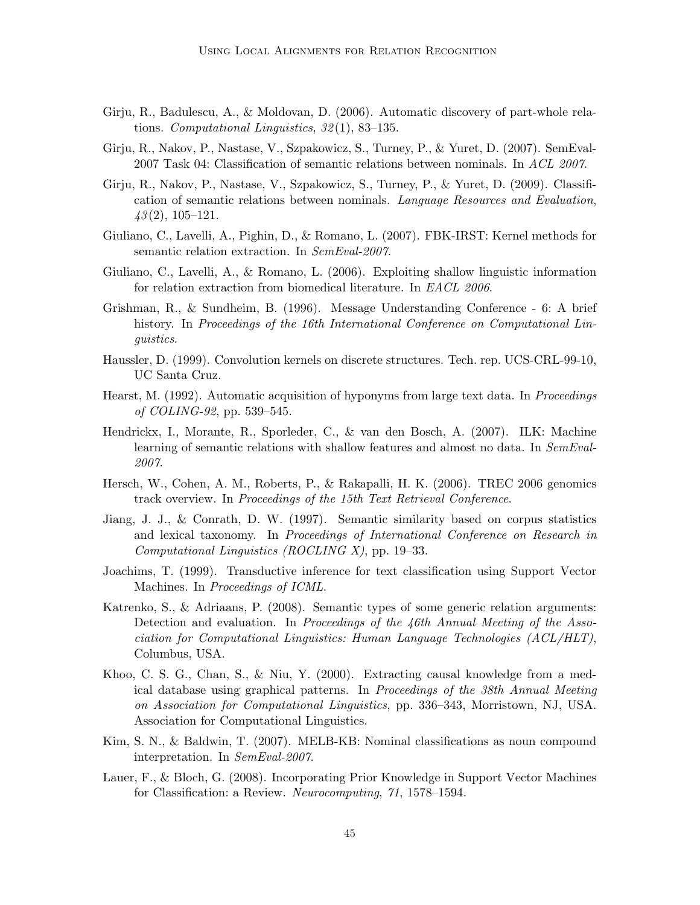- Girju, R., Badulescu, A., & Moldovan, D. (2006). Automatic discovery of part-whole relations. Computational Linguistics,  $32(1)$ ,  $83-135$ .
- Girju, R., Nakov, P., Nastase, V., Szpakowicz, S., Turney, P., & Yuret, D. (2007). SemEval-2007 Task 04: Classification of semantic relations between nominals. In ACL 2007.
- Girju, R., Nakov, P., Nastase, V., Szpakowicz, S., Turney, P., & Yuret, D. (2009). Classification of semantic relations between nominals. Language Resources and Evaluation,  $43(2), 105-121.$
- Giuliano, C., Lavelli, A., Pighin, D., & Romano, L. (2007). FBK-IRST: Kernel methods for semantic relation extraction. In SemEval-2007.
- Giuliano, C., Lavelli, A., & Romano, L. (2006). Exploiting shallow linguistic information for relation extraction from biomedical literature. In EACL 2006.
- Grishman, R., & Sundheim, B. (1996). Message Understanding Conference 6: A brief history. In Proceedings of the 16th International Conference on Computational Linguistics.
- Haussler, D. (1999). Convolution kernels on discrete structures. Tech. rep. UCS-CRL-99-10, UC Santa Cruz.
- Hearst, M. (1992). Automatic acquisition of hyponyms from large text data. In *Proceedings* of COLING-92, pp. 539–545.
- Hendrickx, I., Morante, R., Sporleder, C., & van den Bosch, A. (2007). ILK: Machine learning of semantic relations with shallow features and almost no data. In SemEval-2007.
- Hersch, W., Cohen, A. M., Roberts, P., & Rakapalli, H. K. (2006). TREC 2006 genomics track overview. In Proceedings of the 15th Text Retrieval Conference.
- Jiang, J. J., & Conrath, D. W. (1997). Semantic similarity based on corpus statistics and lexical taxonomy. In Proceedings of International Conference on Research in Computational Linguistics (ROCLING X), pp. 19–33.
- Joachims, T. (1999). Transductive inference for text classification using Support Vector Machines. In Proceedings of ICML.
- Katrenko, S., & Adriaans, P. (2008). Semantic types of some generic relation arguments: Detection and evaluation. In Proceedings of the  $46th$  Annual Meeting of the Association for Computational Linguistics: Human Language Technologies (ACL/HLT), Columbus, USA.
- Khoo, C. S. G., Chan, S., & Niu, Y. (2000). Extracting causal knowledge from a medical database using graphical patterns. In Proceedings of the 38th Annual Meeting on Association for Computational Linguistics, pp. 336–343, Morristown, NJ, USA. Association for Computational Linguistics.
- Kim, S. N., & Baldwin, T. (2007). MELB-KB: Nominal classifications as noun compound interpretation. In SemEval-2007.
- Lauer, F., & Bloch, G. (2008). Incorporating Prior Knowledge in Support Vector Machines for Classification: a Review. Neurocomputing, 71, 1578–1594.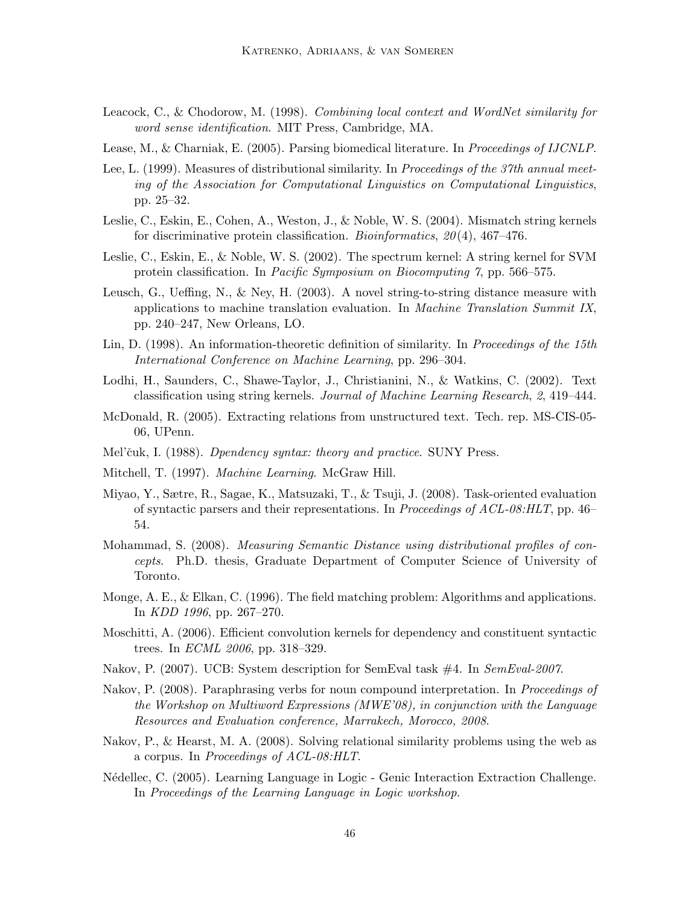- Leacock, C., & Chodorow, M. (1998). Combining local context and WordNet similarity for word sense identification. MIT Press, Cambridge, MA.
- Lease, M., & Charniak, E. (2005). Parsing biomedical literature. In Proceedings of IJCNLP.
- Lee, L. (1999). Measures of distributional similarity. In Proceedings of the 37th annual meeting of the Association for Computational Linguistics on Computational Linguistics, pp. 25–32.
- Leslie, C., Eskin, E., Cohen, A., Weston, J., & Noble, W. S. (2004). Mismatch string kernels for discriminative protein classification. *Bioinformatics*,  $20(4)$ ,  $467-476$ .
- Leslie, C., Eskin, E., & Noble, W. S. (2002). The spectrum kernel: A string kernel for SVM protein classification. In Pacific Symposium on Biocomputing 7, pp. 566–575.
- Leusch, G., Ueffing, N., & Ney, H. (2003). A novel string-to-string distance measure with applications to machine translation evaluation. In Machine Translation Summit IX, pp. 240–247, New Orleans, LO.
- Lin, D. (1998). An information-theoretic definition of similarity. In Proceedings of the 15th International Conference on Machine Learning, pp. 296–304.
- Lodhi, H., Saunders, C., Shawe-Taylor, J., Christianini, N., & Watkins, C. (2002). Text classification using string kernels. Journal of Machine Learning Research, 2, 419–444.
- McDonald, R. (2005). Extracting relations from unstructured text. Tech. rep. MS-CIS-05- 06, UPenn.
- Mel'čuk, I. (1988). Dpendency syntax: theory and practice. SUNY Press.
- Mitchell, T. (1997). Machine Learning. McGraw Hill.
- Miyao, Y., Sætre, R., Sagae, K., Matsuzaki, T., & Tsuji, J. (2008). Task-oriented evaluation of syntactic parsers and their representations. In Proceedings of ACL-08:HLT, pp. 46– 54.
- Mohammad, S. (2008). *Measuring Semantic Distance using distributional profiles of con*cepts. Ph.D. thesis, Graduate Department of Computer Science of University of Toronto.
- Monge, A. E., & Elkan, C. (1996). The field matching problem: Algorithms and applications. In KDD 1996, pp. 267–270.
- Moschitti, A. (2006). Efficient convolution kernels for dependency and constituent syntactic trees. In ECML 2006, pp. 318–329.
- Nakov, P. (2007). UCB: System description for SemEval task #4. In SemEval-2007.
- Nakov, P. (2008). Paraphrasing verbs for noun compound interpretation. In Proceedings of the Workshop on Multiword Expressions (MWE'08), in conjunction with the Language Resources and Evaluation conference, Marrakech, Morocco, 2008.
- Nakov, P., & Hearst, M. A. (2008). Solving relational similarity problems using the web as a corpus. In Proceedings of ACL-08:HLT.
- N´edellec, C. (2005). Learning Language in Logic Genic Interaction Extraction Challenge. In Proceedings of the Learning Language in Logic workshop.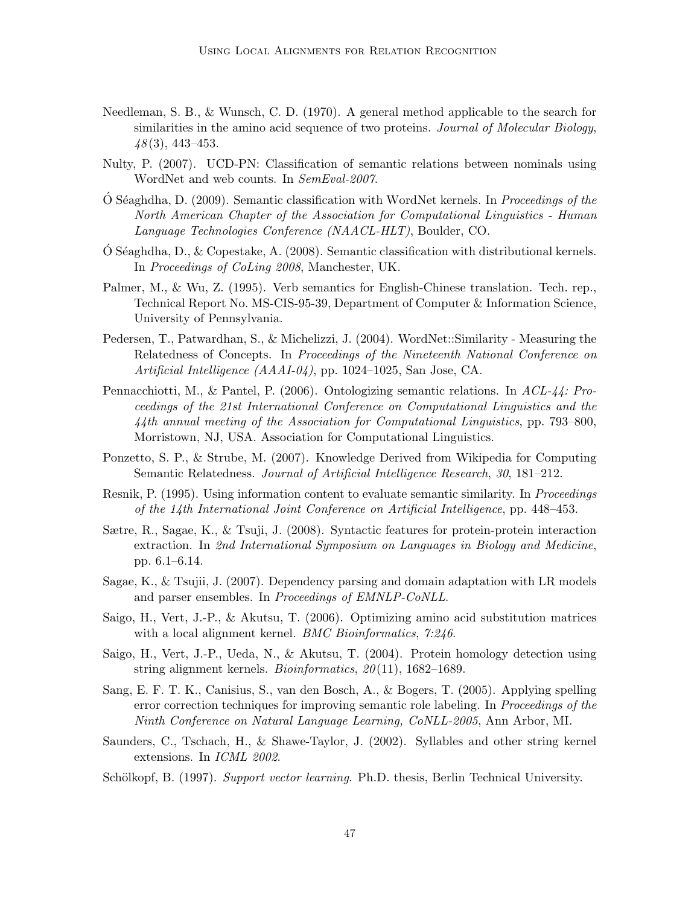- Needleman, S. B., & Wunsch, C. D. (1970). A general method applicable to the search for similarities in the amino acid sequence of two proteins. Journal of Molecular Biology,  $48(3)$ , 443-453.
- Nulty, P. (2007). UCD-PN: Classification of semantic relations between nominals using WordNet and web counts. In SemEval-2007.
- $\dot{\text{O}}$  Séaghdha, D. (2009). Semantic classification with WordNet kernels. In *Proceedings of the* North American Chapter of the Association for Computational Linguistics - Human Language Technologies Conference (NAACL-HLT), Boulder, CO.
- $\acute{O}$  Séaghdha, D., & Copestake, A. (2008). Semantic classification with distributional kernels. In Proceedings of CoLing 2008, Manchester, UK.
- Palmer, M., & Wu, Z. (1995). Verb semantics for English-Chinese translation. Tech. rep., Technical Report No. MS-CIS-95-39, Department of Computer & Information Science, University of Pennsylvania.
- Pedersen, T., Patwardhan, S., & Michelizzi, J. (2004). WordNet::Similarity Measuring the Relatedness of Concepts. In Proceedings of the Nineteenth National Conference on Artificial Intelligence (AAAI-04), pp. 1024–1025, San Jose, CA.
- Pennacchiotti, M., & Pantel, P. (2006). Ontologizing semantic relations. In ACL-44: Proceedings of the 21st International Conference on Computational Linguistics and the 44th annual meeting of the Association for Computational Linguistics, pp. 793–800, Morristown, NJ, USA. Association for Computational Linguistics.
- Ponzetto, S. P., & Strube, M. (2007). Knowledge Derived from Wikipedia for Computing Semantic Relatedness. Journal of Artificial Intelligence Research, 30, 181–212.
- Resnik, P. (1995). Using information content to evaluate semantic similarity. In *Proceedings* of the 14th International Joint Conference on Artificial Intelligence, pp. 448–453.
- Sætre, R., Sagae, K., & Tsuji, J. (2008). Syntactic features for protein-protein interaction extraction. In 2nd International Symposium on Languages in Biology and Medicine, pp. 6.1–6.14.
- Sagae, K., & Tsujii, J. (2007). Dependency parsing and domain adaptation with LR models and parser ensembles. In Proceedings of EMNLP-CoNLL.
- Saigo, H., Vert, J.-P., & Akutsu, T. (2006). Optimizing amino acid substitution matrices with a local alignment kernel. *BMC Bioinformatics*, 7:246.
- Saigo, H., Vert, J.-P., Ueda, N., & Akutsu, T. (2004). Protein homology detection using string alignment kernels. *Bioinformatics*,  $20(11)$ , 1682–1689.
- Sang, E. F. T. K., Canisius, S., van den Bosch, A., & Bogers, T. (2005). Applying spelling error correction techniques for improving semantic role labeling. In *Proceedings of the* Ninth Conference on Natural Language Learning, CoNLL-2005, Ann Arbor, MI.
- Saunders, C., Tschach, H., & Shawe-Taylor, J. (2002). Syllables and other string kernel extensions. In ICML 2002.
- Schölkopf, B. (1997). Support vector learning. Ph.D. thesis, Berlin Technical University.